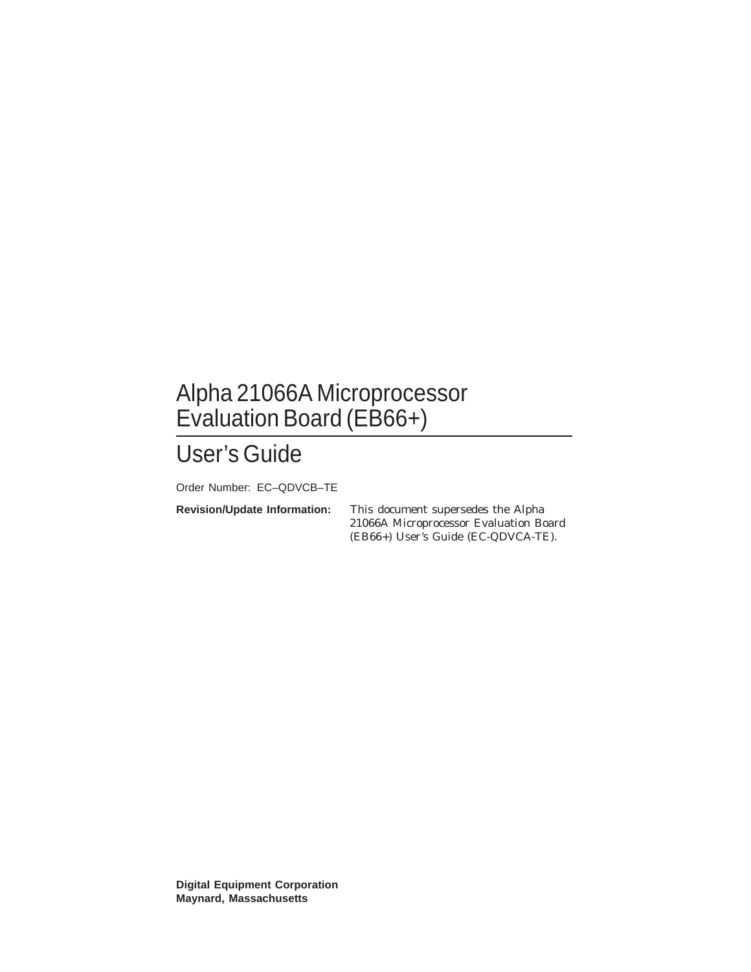## Alpha 21066A Microprocessor Evaluation Board (EB66+)

# User's Guide

Order Number: EC–QDVCB–TE

**Revision/Update Information:** This document supersedes the Alpha 21066A Microprocessor Evaluation Board (EB66+) User's Guide (EC-QDVCA-TE).

**Digital Equipment Corporation Maynard, Massachusetts**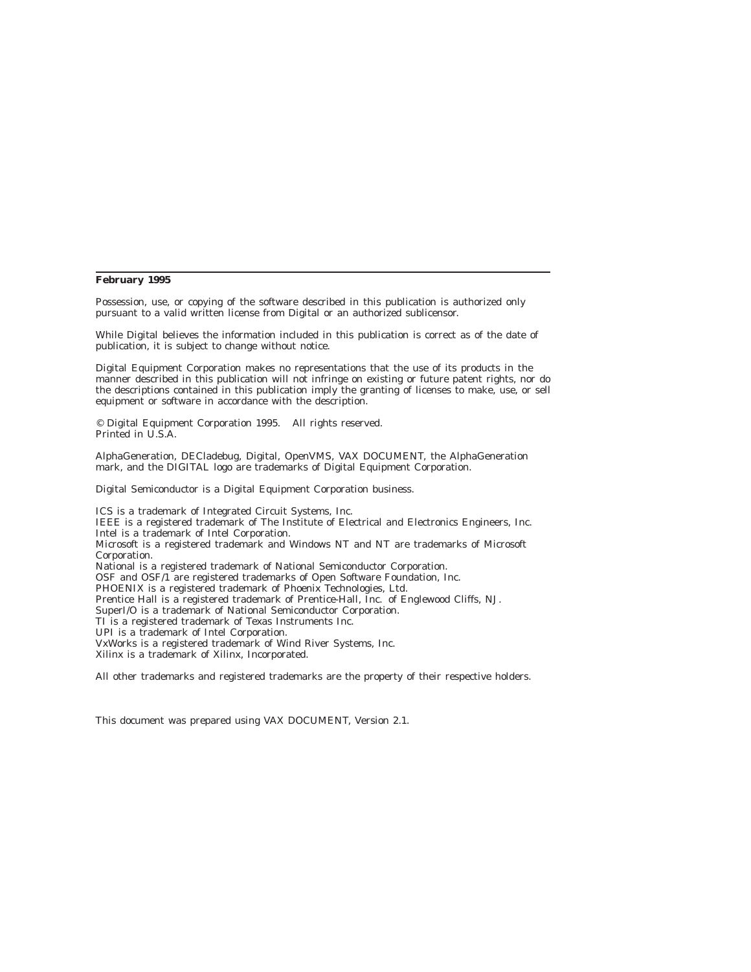#### **February 1995**

Possession, use, or copying of the software described in this publication is authorized only pursuant to a valid written license from Digital or an authorized sublicensor.

While Digital believes the information included in this publication is correct as of the date of publication, it is subject to change without notice.

Digital Equipment Corporation makes no representations that the use of its products in the manner described in this publication will not infringe on existing or future patent rights, nor do the descriptions contained in this publication imply the granting of licenses to make, use, or sell equipment or software in accordance with the description.

© Digital Equipment Corporation 1995. All rights reserved. Printed in U.S.A.

AlphaGeneration, DECladebug, Digital, OpenVMS, VAX DOCUMENT, the AlphaGeneration mark, and the DIGITAL logo are trademarks of Digital Equipment Corporation.

Digital Semiconductor is a Digital Equipment Corporation business.

ICS is a trademark of Integrated Circuit Systems, Inc. IEEE is a registered trademark of The Institute of Electrical and Electronics Engineers, Inc. Intel is a trademark of Intel Corporation. Microsoft is a registered trademark and Windows NT and NT are trademarks of Microsoft Corporation. National is a registered trademark of National Semiconductor Corporation. OSF and OSF/1 are registered trademarks of Open Software Foundation, Inc. PHOENIX is a registered trademark of Phoenix Technologies, Ltd. Prentice Hall is a registered trademark of Prentice-Hall, Inc. of Englewood Cliffs, NJ. SuperI/O is a trademark of National Semiconductor Corporation. TI is a registered trademark of Texas Instruments Inc. UPI is a trademark of Intel Corporation. VxWorks is a registered trademark of Wind River Systems, Inc. Xilinx is a trademark of Xilinx, Incorporated.

All other trademarks and registered trademarks are the property of their respective holders.

This document was prepared using VAX DOCUMENT, Version 2.1.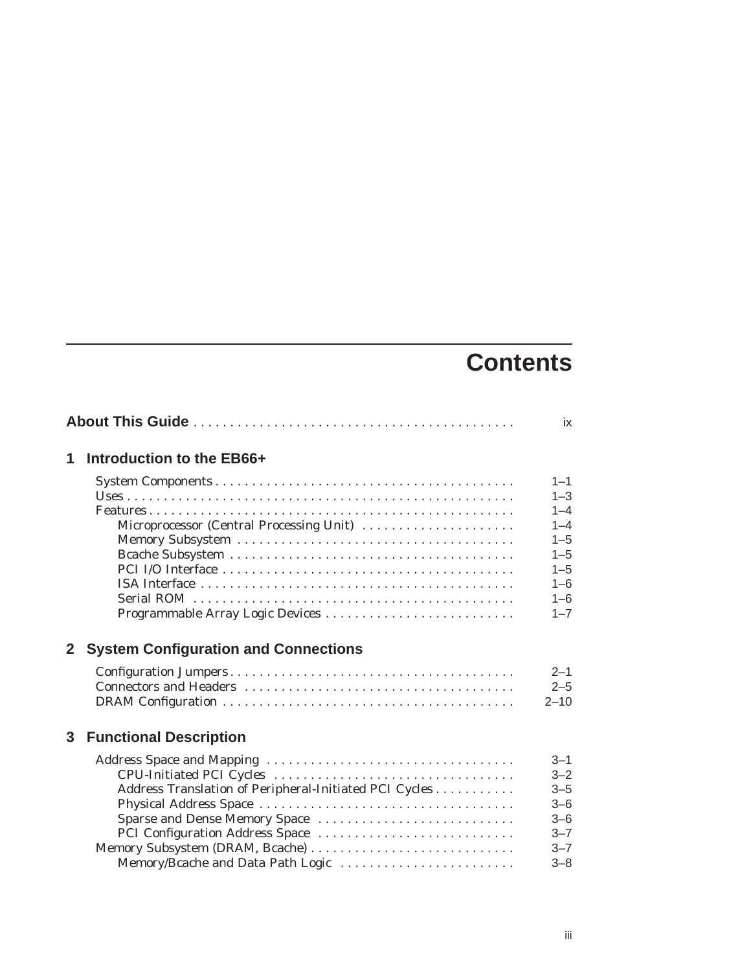# **Contents**

|              |                                                                                                                                                                                                    | ix                                                                                                         |
|--------------|----------------------------------------------------------------------------------------------------------------------------------------------------------------------------------------------------|------------------------------------------------------------------------------------------------------------|
| 1            | Introduction to the EB66+                                                                                                                                                                          |                                                                                                            |
|              | Microprocessor (Central Processing Unit)                                                                                                                                                           | $1 - 1$<br>$1 - 3$<br>$1 - 4$<br>$1 - 4$<br>$1 - 5$<br>$1 - 5$<br>$1 - 5$<br>$1 - 6$<br>$1 - 6$<br>$1 - 7$ |
| $\mathbf{2}$ | <b>System Configuration and Connections</b>                                                                                                                                                        |                                                                                                            |
|              |                                                                                                                                                                                                    | $2 - 1$<br>$2 - 5$<br>$2 - 10$                                                                             |
| 3            | <b>Functional Description</b>                                                                                                                                                                      |                                                                                                            |
|              | Address Translation of Peripheral-Initiated PCI Cycles<br>Sparse and Dense Memory Space<br>PCI Configuration Address Space<br>Memory Subsystem (DRAM, Bcache)<br>Memory/Bcache and Data Path Logic | $3 - 1$<br>$3 - 2$<br>$3 - 5$<br>$3 - 6$<br>$3 - 6$<br>$3 - 7$<br>$3 - 7$<br>$3 - 8$                       |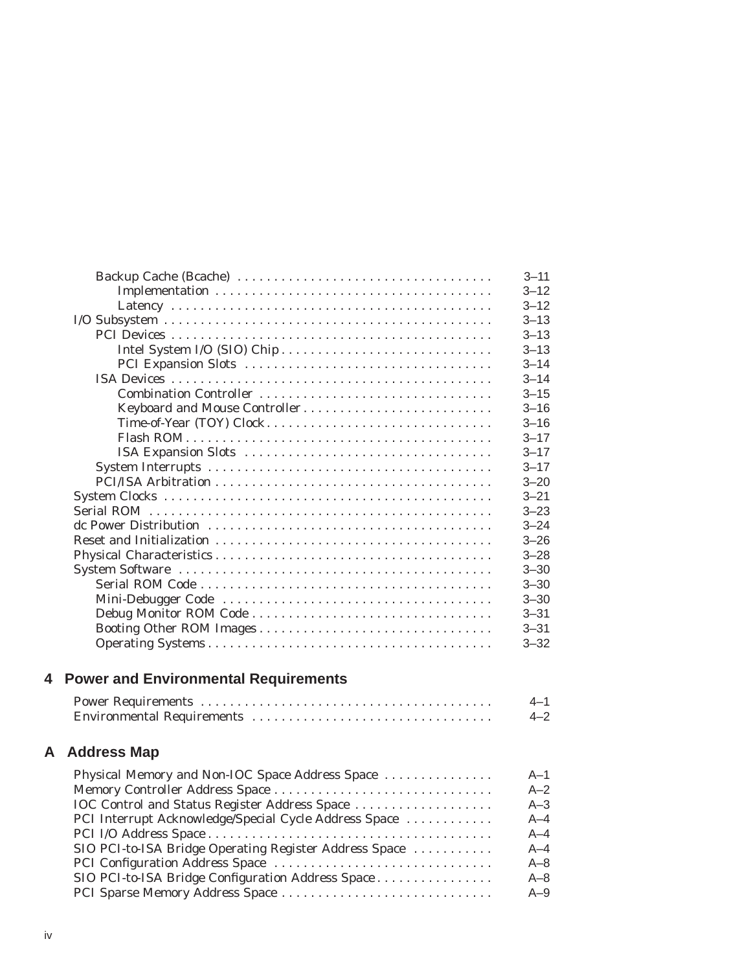|                               | $3 - 11$ |
|-------------------------------|----------|
|                               | $3 - 12$ |
|                               | $3 - 12$ |
|                               | $3 - 13$ |
|                               | $3 - 13$ |
|                               | $3 - 13$ |
|                               | $3 - 14$ |
|                               | $3 - 14$ |
|                               | $3 - 15$ |
| Keyboard and Mouse Controller | $3 - 16$ |
| Time-of-Year (TOY) Clock      | $3 - 16$ |
|                               | $3 - 17$ |
|                               | $3 - 17$ |
|                               | $3 - 17$ |
|                               | $3 - 20$ |
|                               | $3 - 21$ |
|                               | $3 - 23$ |
|                               | $3 - 24$ |
|                               | $3 - 26$ |
|                               | $3 - 28$ |
|                               | $3 - 30$ |
|                               | $3 - 30$ |
|                               | $3 - 30$ |
| Debug Monitor ROM Code        | $3 - 31$ |
| Booting Other ROM Images      | $3 - 31$ |
|                               | $3 - 32$ |

## **4 Power and Environmental Requirements**

| $4 - 2$ |
|---------|

## **A Address Map**

| Physical Memory and Non-IOC Space Address Space        | $A-1$   |
|--------------------------------------------------------|---------|
|                                                        | $A-2$   |
| IOC Control and Status Register Address Space          | $A - 3$ |
| PCI Interrupt Acknowledge/Special Cycle Address Space  | $A - 4$ |
|                                                        | $A - 4$ |
| SIO PCI-to-ISA Bridge Operating Register Address Space | $A - 4$ |
|                                                        | $A - 8$ |
| SIO PCI-to-ISA Bridge Configuration Address Space      | $A - 8$ |
|                                                        | $A-9$   |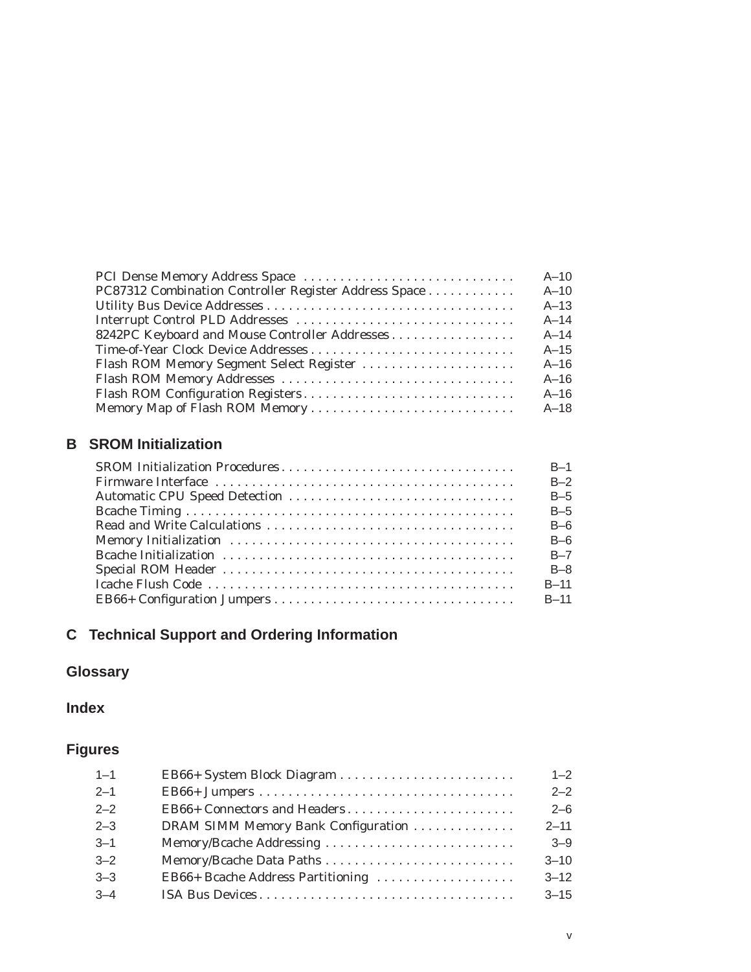|                                                       | $A-10$   |
|-------------------------------------------------------|----------|
| PC87312 Combination Controller Register Address Space | $A-10$   |
|                                                       | $A-13$   |
|                                                       | $A-14$   |
| 8242PC Keyboard and Mouse Controller Addresses        | $A-14$   |
|                                                       | $A-15$   |
| Flash ROM Memory Segment Select Register              | $A-16$   |
|                                                       | $A-16$   |
|                                                       | $A-16$   |
|                                                       | $A - 18$ |

## **B SROM Initialization**

| $B-1$    |
|----------|
| $B-2$    |
| $B-5$    |
| $B-5$    |
| $B-6$    |
| $B-6$    |
| $B - 7$  |
| $B - 8$  |
| $B-11$   |
| $B - 11$ |

## **C Technical Support and Ordering Information**

## **Glossary**

## **Index**

## **Figures**

| $1 - 1$ |                                     | $1 - 2$  |
|---------|-------------------------------------|----------|
| $2 - 1$ |                                     | $2 - 2$  |
| $2 - 2$ | EB66+ Connectors and Headers        | $2 - 6$  |
| $2 - 3$ | DRAM SIMM Memory Bank Configuration | $2 - 11$ |
| $3 - 1$ |                                     | $3 - 9$  |
| $3 - 2$ |                                     | $3 - 10$ |
| $3 - 3$ | EB66+ Bcache Address Partitioning   | $3 - 12$ |
| $3 - 4$ |                                     | $3 - 15$ |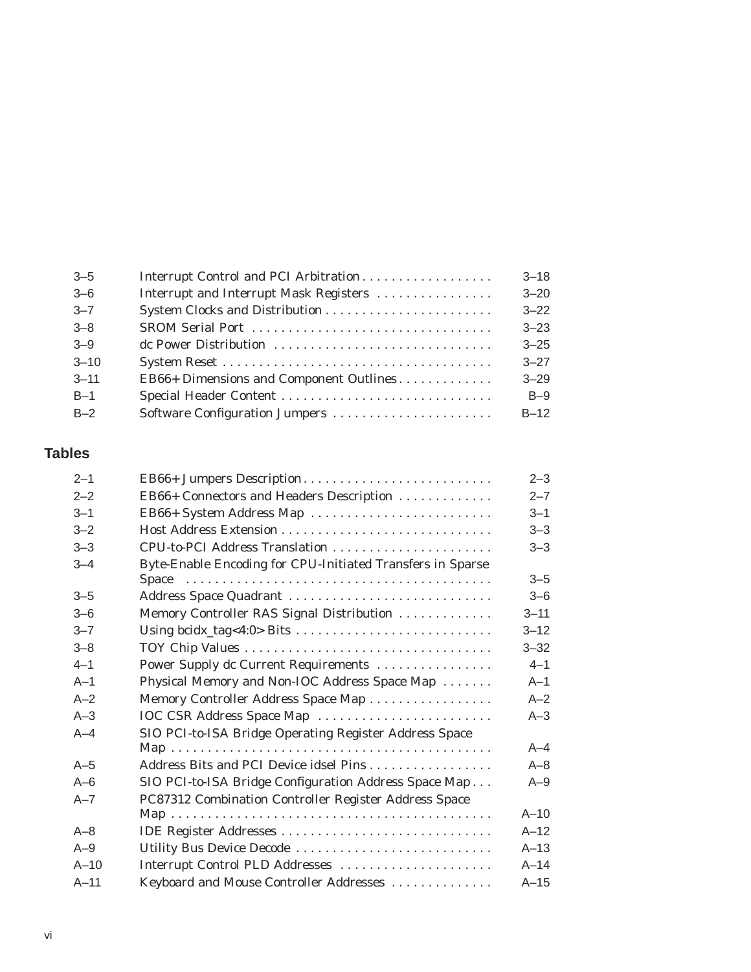| $3 - 5$  | Interrupt Control and PCI Arbitration   | $3 - 18$ |
|----------|-----------------------------------------|----------|
| $3 - 6$  | Interrupt and Interrupt Mask Registers  | $3 - 20$ |
| $3 - 7$  |                                         | $3 - 22$ |
| $3 - 8$  | SROM Serial Port                        | $3 - 23$ |
| $3 - 9$  | de Power Distribution                   | $3 - 25$ |
| $3 - 10$ |                                         | $3 - 27$ |
| $3 - 11$ | EB66+ Dimensions and Component Outlines | $3 - 29$ |
| $B-1$    |                                         | $B-9$    |
| $B-2$    | Software Configuration Jumpers          | $B-12$   |
|          |                                         |          |

## **Tables**

| $2 - 1$ | EB66+ Jumpers Description                                  | $2 - 3$  |
|---------|------------------------------------------------------------|----------|
| $2 - 2$ | EB66+ Connectors and Headers Description                   | $2 - 7$  |
| $3 - 1$ | EB66+ System Address Map                                   | $3 - 1$  |
| $3 - 2$ |                                                            | $3 - 3$  |
| $3 - 3$ | CPU-to-PCI Address Translation                             | $3 - 3$  |
| $3 - 4$ | Byte-Enable Encoding for CPU-Initiated Transfers in Sparse |          |
|         |                                                            | $3 - 5$  |
| $3 - 5$ | Address Space Quadrant                                     | $3 - 6$  |
| $3 - 6$ | Memory Controller RAS Signal Distribution                  | $3 - 11$ |
| $3 - 7$ |                                                            | $3 - 12$ |
| $3 - 8$ |                                                            | $3 - 32$ |
| $4 - 1$ | Power Supply dc Current Requirements                       | $4 - 1$  |
| $A-1$   | Physical Memory and Non-IOC Address Space Map              | $A-1$    |
| $A-2$   | Memory Controller Address Space Map                        | $A - 2$  |
| $A-3$   | IOC CSR Address Space Map                                  | $A-3$    |
| $A-4$   | SIO PCI-to-ISA Bridge Operating Register Address Space     |          |
|         |                                                            | $A - 4$  |
| $A-5$   | Address Bits and PCI Device idsel Pins                     | $A - 8$  |
| $A-6$   | SIO PCI-to-ISA Bridge Configuration Address Space Map      | $A-9$    |
| $A - 7$ | PC87312 Combination Controller Register Address Space      |          |
|         |                                                            | $A-10$   |
| $A - 8$ |                                                            | $A-12$   |
| $A-9$   | Utility Bus Device Decode                                  | $A-13$   |
| $A-10$  | Interrupt Control PLD Addresses                            | $A-14$   |
| $A-11$  | Keyboard and Mouse Controller Addresses                    | $A-15$   |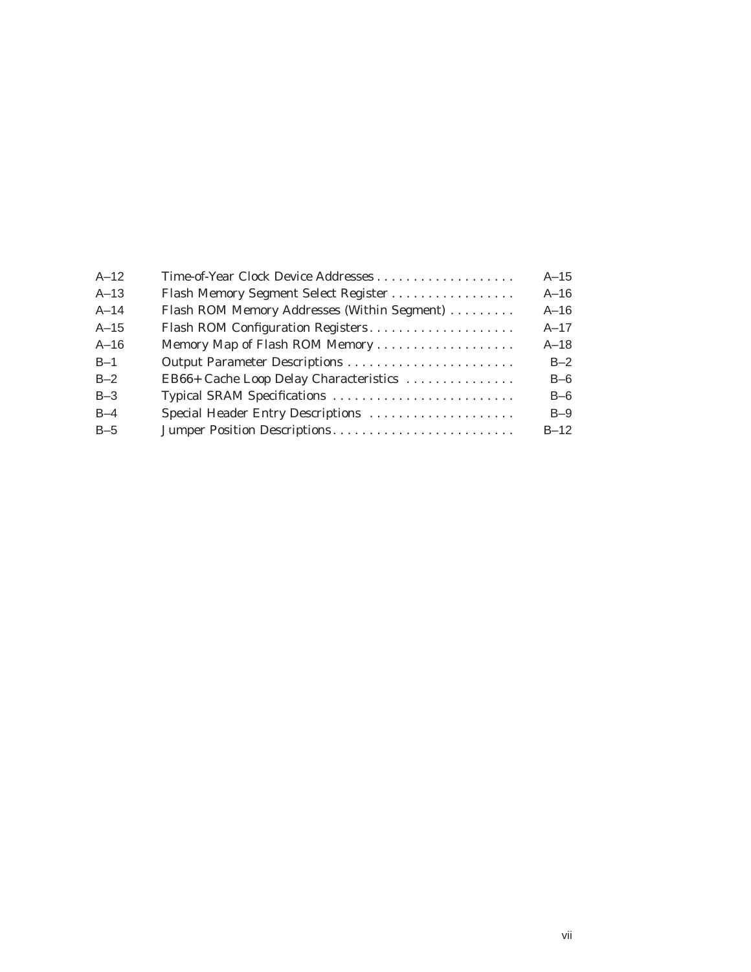| $A-12$   |                                             | $A-15$   |
|----------|---------------------------------------------|----------|
| $A-13$   | Flash Memory Segment Select Register        | $A-16$   |
| $A - 14$ | Flash ROM Memory Addresses (Within Segment) | $A-16$   |
| $A - 15$ | Flash ROM Configuration Registers           | $A - 17$ |
| $A-16$   |                                             | $A-18$   |
| $B-1$    |                                             | $B-2$    |
| $B-2$    | EB66+ Cache Loop Delay Characteristics      | $B-6$    |
| $B-3$    | Typical SRAM Specifications                 | $B-6$    |
| $B-4$    | Special Header Entry Descriptions           | $B-9$    |
| $B-5$    | Jumper Position Descriptions                | $B-12$   |
|          |                                             |          |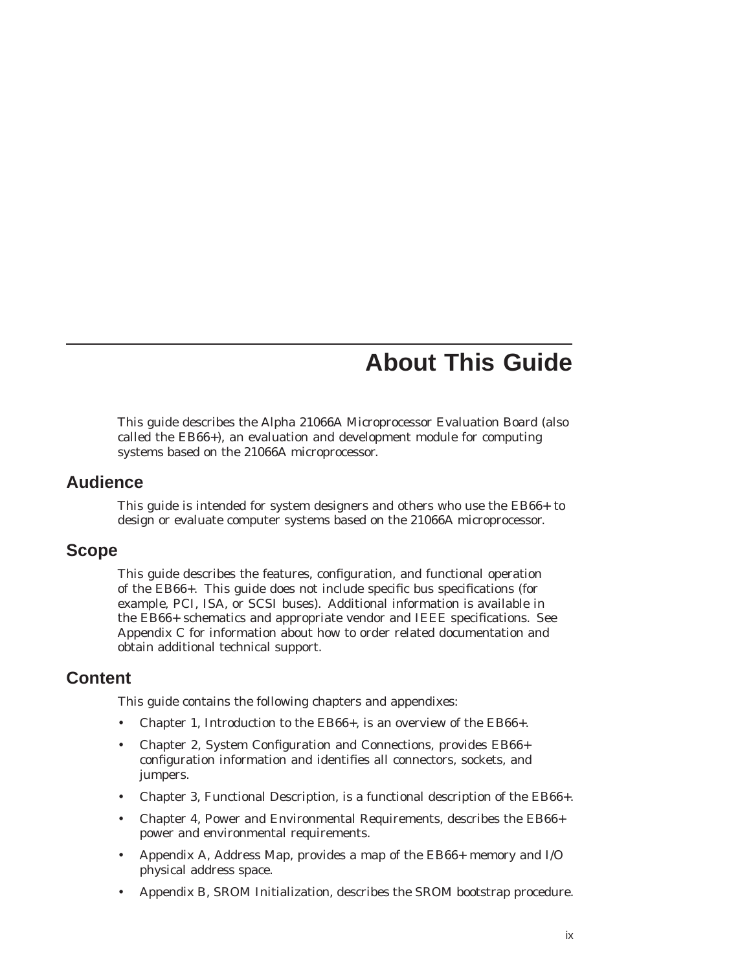## **About This Guide**

This guide describes the Alpha 21066A Microprocessor Evaluation Board (also called the EB66+), an evaluation and development module for computing systems based on the 21066A microprocessor.

#### **Audience**

This guide is intended for system designers and others who use the EB66+ to design or evaluate computer systems based on the 21066A microprocessor.

#### **Scope**

This guide describes the features, configuration, and functional operation of the EB66+. This guide does not include specific bus specifications (for example, PCI, ISA, or SCSI buses). Additional information is available in the EB66+ schematics and appropriate vendor and IEEE specifications. See Appendix C for information about how to order related documentation and obtain additional technical support.

#### **Content**

This guide contains the following chapters and appendixes:

- Chapter 1, Introduction to the EB66+, is an overview of the EB66+.
- Chapter 2, System Configuration and Connections, provides EB66+ configuration information and identifies all connectors, sockets, and jumpers.
- Chapter 3, Functional Description, is a functional description of the EB66+.
- Chapter 4, Power and Environmental Requirements, describes the EB66+ power and environmental requirements.
- Appendix A, Address Map, provides a map of the EB66+ memory and I/O physical address space.
- Appendix B, SROM Initialization, describes the SROM bootstrap procedure.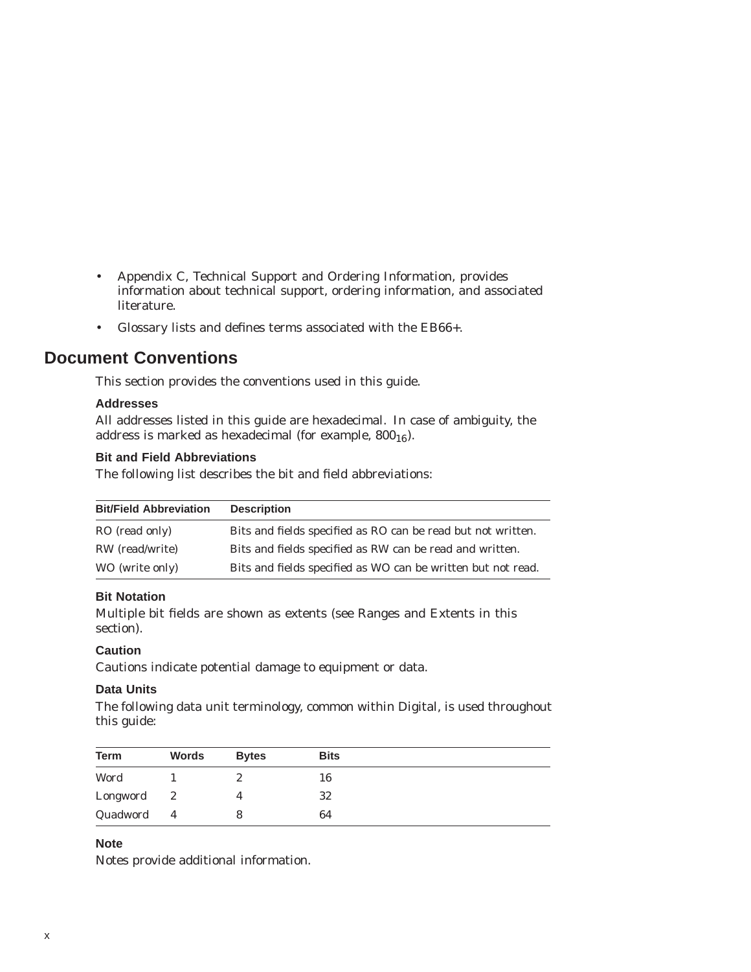- Appendix C, Technical Support and Ordering Information, provides information about technical support, ordering information, and associated literature.
- Glossary lists and defines terms associated with the EB66+.

## **Document Conventions**

This section provides the conventions used in this guide.

#### **Addresses**

All addresses listed in this guide are hexadecimal. In case of ambiguity, the address is marked as hexadecimal (for example,  $800_{16}$ ).

#### **Bit and Field Abbreviations**

The following list describes the bit and field abbreviations:

| <b>Bit/Field Abbreviation</b> | <b>Description</b>                                           |
|-------------------------------|--------------------------------------------------------------|
| RO (read only)                | Bits and fields specified as RO can be read but not written. |
| RW (read/write)               | Bits and fields specified as RW can be read and written.     |
| WO (write only)               | Bits and fields specified as WO can be written but not read. |

#### **Bit Notation**

Multiple bit fields are shown as extents (see Ranges and Extents in this section).

#### **Caution**

Cautions indicate potential damage to equipment or data.

#### **Data Units**

The following data unit terminology, common within Digital, is used throughout this guide:

| <b>Term</b> | Words          | <b>Bytes</b> | <b>Bits</b> |
|-------------|----------------|--------------|-------------|
| Word        |                | ∼            | 16          |
| Longword    | 2              |              | 32          |
| Quadword    | $\overline{4}$ |              | 64          |

#### **Note**

Notes provide additional information.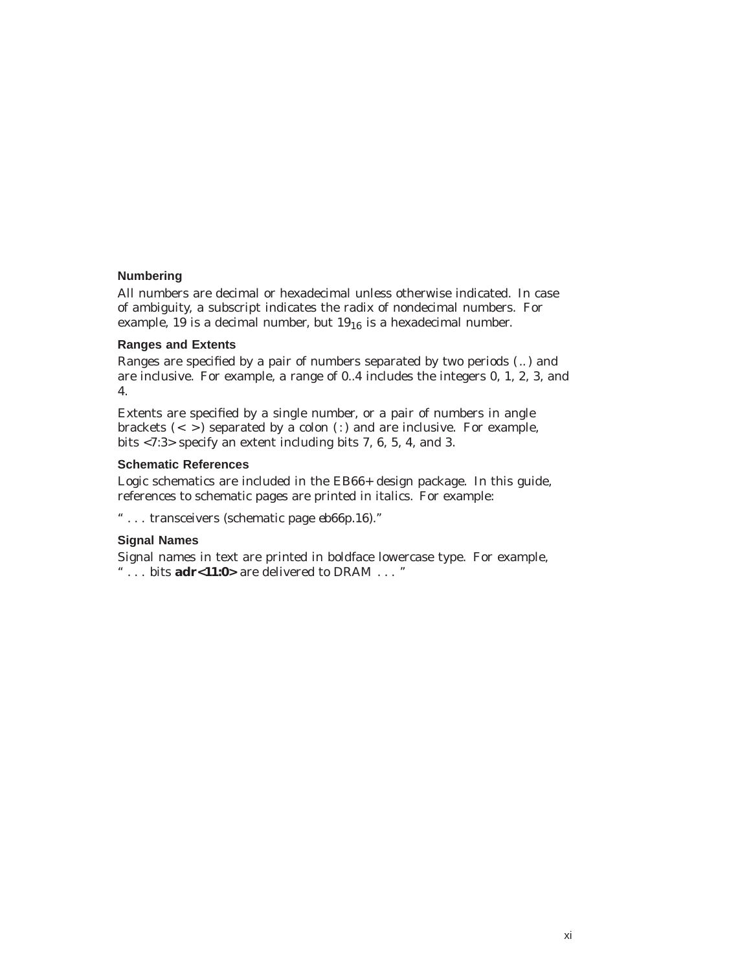#### **Numbering**

All numbers are decimal or hexadecimal unless otherwise indicated. In case of ambiguity, a subscript indicates the radix of nondecimal numbers. For example, 19 is a decimal number, but  $19_{16}$  is a hexadecimal number.

#### **Ranges and Extents**

Ranges are specified by a pair of numbers separated by two periods ( .. ) and are inclusive. For example, a range of 0..4 includes the integers 0, 1, 2, 3, and 4.

Extents are specified by a single number, or a pair of numbers in angle brackets  $(<$  >) separated by a colon (:) and are inclusive. For example, bits <7:3> specify an extent including bits 7, 6, 5, 4, and 3.

#### **Schematic References**

Logic schematics are included in the EB66+ design package. In this guide, references to schematic pages are printed in italics. For example:

'' . . . transceivers (schematic page *eb66p.16*).''

#### **Signal Names**

Signal names in text are printed in boldface lowercase type. For example, '' . . . bits **adr<11:0>** are delivered to DRAM . . . ''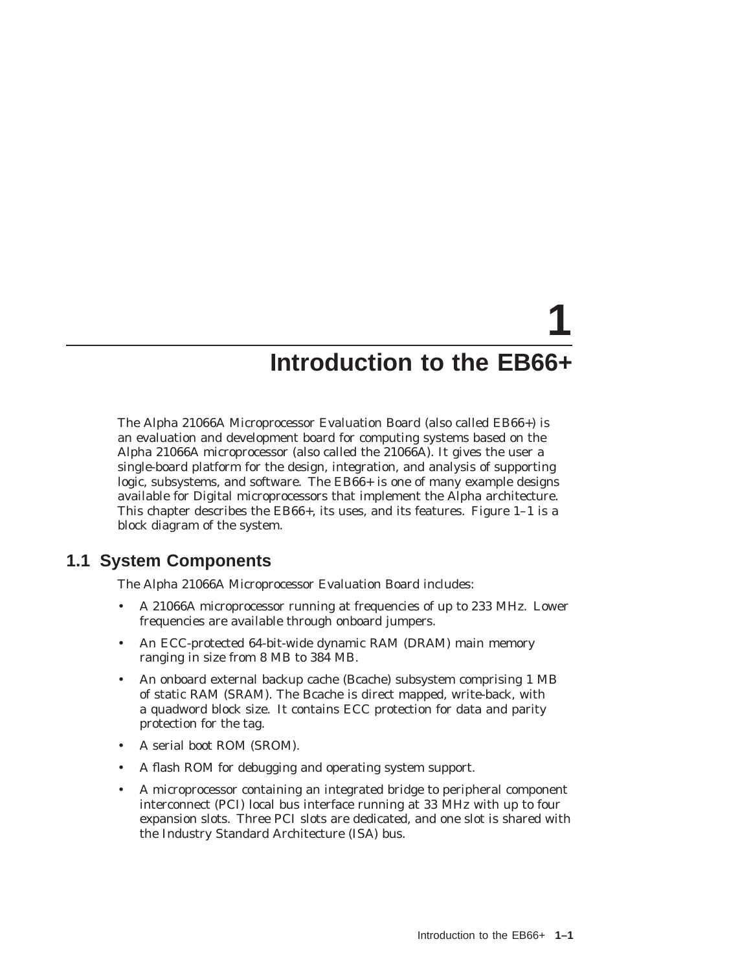# **1 Introduction to the EB66+**

The Alpha 21066A Microprocessor Evaluation Board (also called EB66+) is an evaluation and development board for computing systems based on the Alpha 21066A microprocessor (also called the 21066A). It gives the user a single-board platform for the design, integration, and analysis of supporting logic, subsystems, and software. The EB66+ is one of many example designs available for Digital microprocessors that implement the Alpha architecture. This chapter describes the EB66+, its uses, and its features. Figure 1–1 is a block diagram of the system.

## **1.1 System Components**

The Alpha 21066A Microprocessor Evaluation Board includes:

- A 21066A microprocessor running at frequencies of up to 233 MHz. Lower frequencies are available through onboard jumpers.
- An ECC-protected 64-bit-wide dynamic RAM (DRAM) main memory ranging in size from 8 MB to 384 MB.
- An onboard external backup cache (Bcache) subsystem comprising 1 MB of static RAM (SRAM). The Bcache is direct mapped, write-back, with a quadword block size. It contains ECC protection for data and parity protection for the tag.
- A serial boot ROM (SROM).
- A flash ROM for debugging and operating system support.
- A microprocessor containing an integrated bridge to peripheral component interconnect (PCI) local bus interface running at 33 MHz with up to four expansion slots. Three PCI slots are dedicated, and one slot is shared with the Industry Standard Architecture (ISA) bus.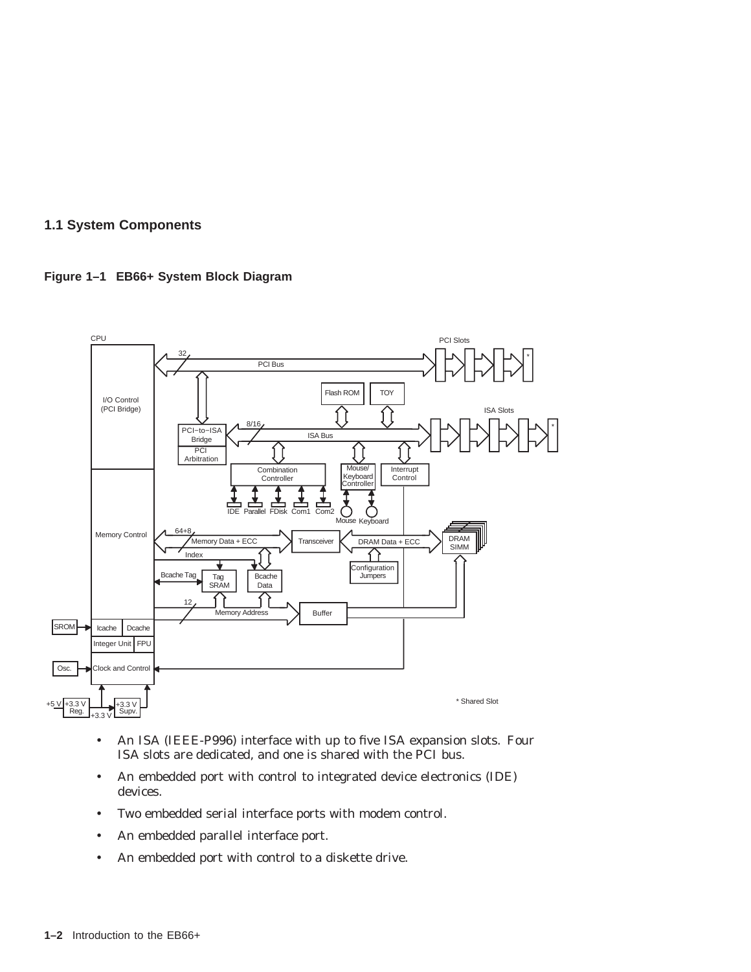#### **1.1 System Components**





- An ISA (IEEE-P996) interface with up to five ISA expansion slots. Four ISA slots are dedicated, and one is shared with the PCI bus.
- An embedded port with control to integrated device electronics (IDE) devices.
- Two embedded serial interface ports with modem control.
- An embedded parallel interface port.
- An embedded port with control to a diskette drive.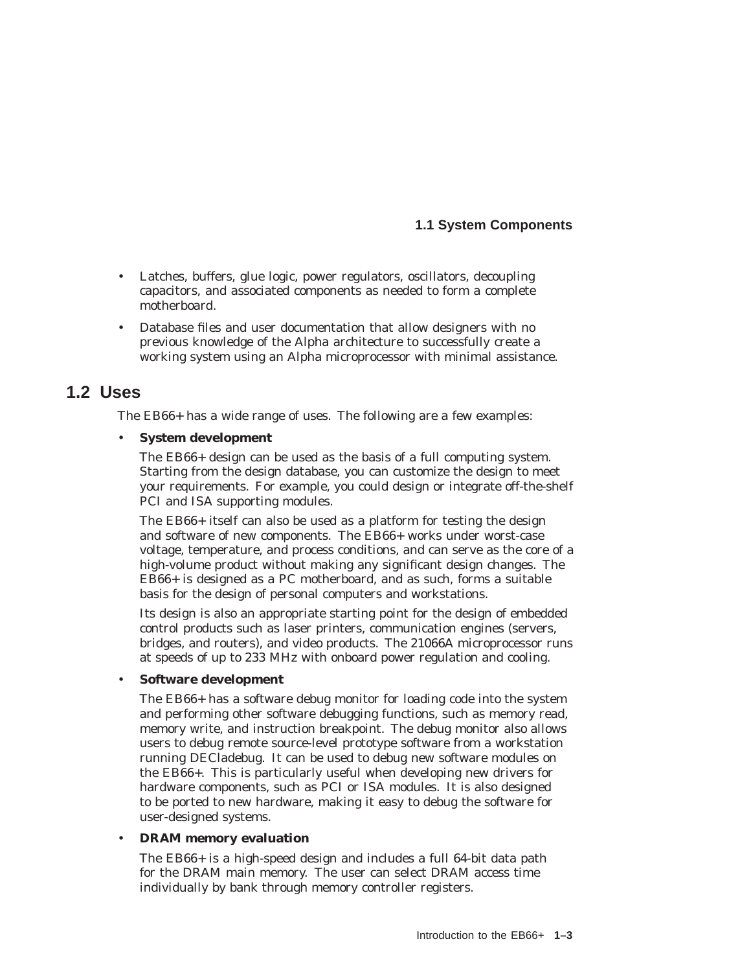#### **1.1 System Components**

- Latches, buffers, glue logic, power regulators, oscillators, decoupling capacitors, and associated components as needed to form a complete motherboard.
- Database files and user documentation that allow designers with no previous knowledge of the Alpha architecture to successfully create a working system using an Alpha microprocessor with minimal assistance.

#### **1.2 Uses**

The EB66+ has a wide range of uses. The following are a few examples:

#### • **System development**

The EB66+ design can be used as the basis of a full computing system. Starting from the design database, you can customize the design to meet your requirements. For example, you could design or integrate off-the-shelf PCI and ISA supporting modules.

The EB66+ itself can also be used as a platform for testing the design and software of new components. The EB66+ works under worst-case voltage, temperature, and process conditions, and can serve as the core of a high-volume product without making any significant design changes. The EB66+ is designed as a PC motherboard, and as such, forms a suitable basis for the design of personal computers and workstations.

Its design is also an appropriate starting point for the design of embedded control products such as laser printers, communication engines (servers, bridges, and routers), and video products. The 21066A microprocessor runs at speeds of up to 233 MHz with onboard power regulation and cooling.

#### • **Software development**

The EB66+ has a software debug monitor for loading code into the system and performing other software debugging functions, such as memory read, memory write, and instruction breakpoint. The debug monitor also allows users to debug remote source-level prototype software from a workstation running DECladebug. It can be used to debug new software modules on the EB66+. This is particularly useful when developing new drivers for hardware components, such as PCI or ISA modules. It is also designed to be ported to new hardware, making it easy to debug the software for user-designed systems.

#### • **DRAM memory evaluation**

The EB66+ is a high-speed design and includes a full 64-bit data path for the DRAM main memory. The user can select DRAM access time individually by bank through memory controller registers.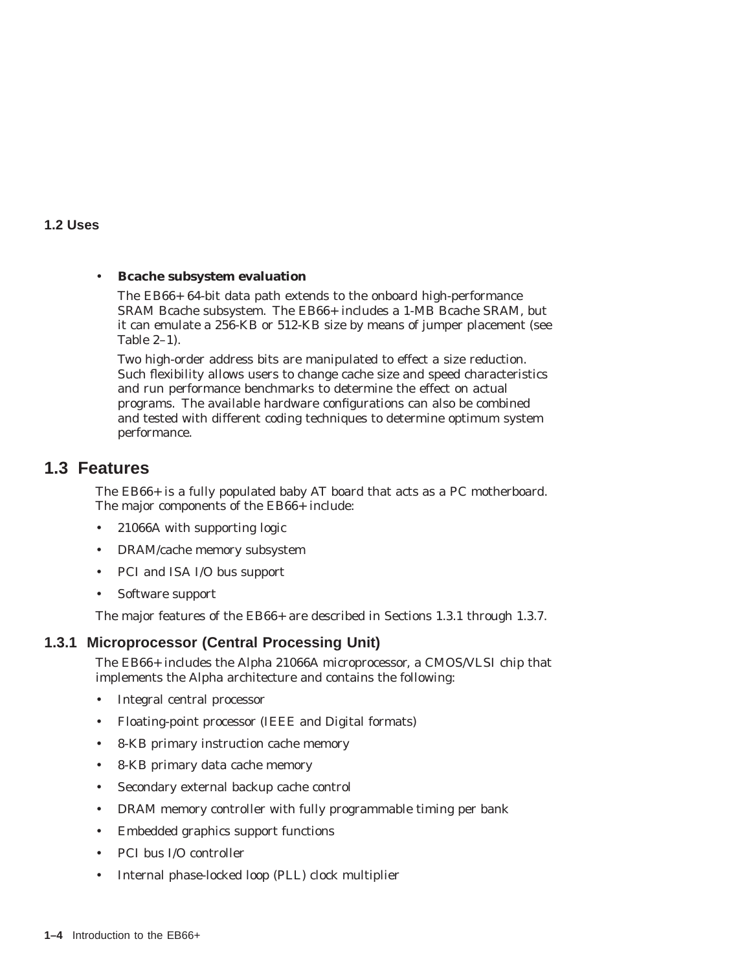#### **1.2 Uses**

#### • **Bcache subsystem evaluation**

The EB66+ 64-bit data path extends to the onboard high-performance SRAM Bcache subsystem. The EB66+ includes a 1-MB Bcache SRAM, but it can emulate a 256-KB or 512-KB size by means of jumper placement (see Table 2–1).

Two high-order address bits are manipulated to effect a size reduction. Such flexibility allows users to change cache size and speed characteristics and run performance benchmarks to determine the effect on actual programs. The available hardware configurations can also be combined and tested with different coding techniques to determine optimum system performance.

#### **1.3 Features**

The EB66+ is a fully populated baby AT board that acts as a PC motherboard. The major components of the EB66+ include:

- 21066A with supporting logic
- DRAM/cache memory subsystem
- PCI and ISA I/O bus support
- Software support

The major features of the EB66+ are described in Sections 1.3.1 through 1.3.7.

#### **1.3.1 Microprocessor (Central Processing Unit)**

The EB66+ includes the Alpha 21066A microprocessor, a CMOS/VLSI chip that implements the Alpha architecture and contains the following:

- Integral central processor
- Floating-point processor (IEEE and Digital formats)
- 8-KB primary instruction cache memory
- 8-KB primary data cache memory
- Secondary external backup cache control
- DRAM memory controller with fully programmable timing per bank
- Embedded graphics support functions
- PCI bus I/O controller
- Internal phase-locked loop (PLL) clock multiplier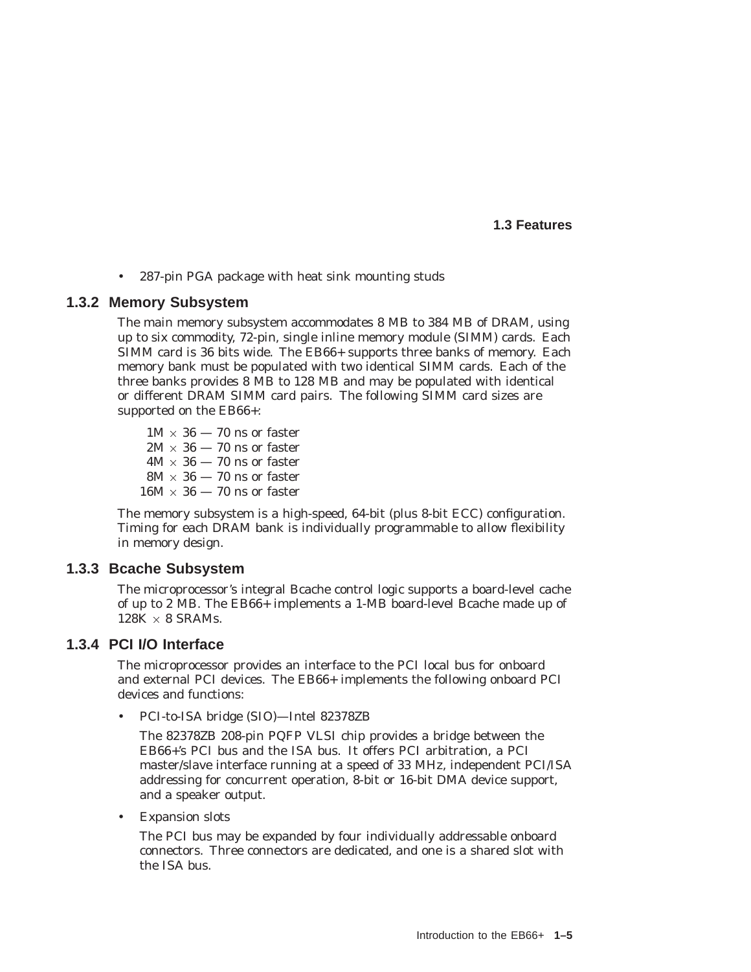**1.3 Features**

• 287-pin PGA package with heat sink mounting studs

#### **1.3.2 Memory Subsystem**

The main memory subsystem accommodates 8 MB to 384 MB of DRAM, using up to six commodity, 72-pin, single inline memory module (SIMM) cards. Each SIMM card is 36 bits wide. The EB66+ supports three banks of memory. Each memory bank must be populated with two identical SIMM cards. Each of the three banks provides 8 MB to 128 MB and may be populated with identical or different DRAM SIMM card pairs. The following SIMM card sizes are supported on the EB66+:

 $1M \times 36 - 70$  ns or faster  $2M \times 36$  — 70 ns or faster  $4M \times 36$  — 70 ns or faster  $8\text{M}\times36-70\text{ ns}$  or faster  $16M \times 36 - 70$  ns or faster

The memory subsystem is a high-speed, 64-bit (plus 8-bit ECC) configuration. Timing for each DRAM bank is individually programmable to allow flexibility in memory design.

#### **1.3.3 Bcache Subsystem**

The microprocessor's integral Bcache control logic supports a board-level cache of up to 2 MB. The EB66+ implements a 1-MB board-level Bcache made up of  $128K \times 8$  SRAMs.

#### **1.3.4 PCI I/O Interface**

The microprocessor provides an interface to the PCI local bus for onboard and external PCI devices. The EB66+ implements the following onboard PCI devices and functions:

• PCI-to-ISA bridge (SIO)—Intel 82378ZB

The 82378ZB 208-pin PQFP VLSI chip provides a bridge between the EB66+'s PCI bus and the ISA bus. It offers PCI arbitration, a PCI master/slave interface running at a speed of 33 MHz, independent PCI/ISA addressing for concurrent operation, 8-bit or 16-bit DMA device support, and a speaker output.

• Expansion slots

The PCI bus may be expanded by four individually addressable onboard connectors. Three connectors are dedicated, and one is a shared slot with the ISA bus.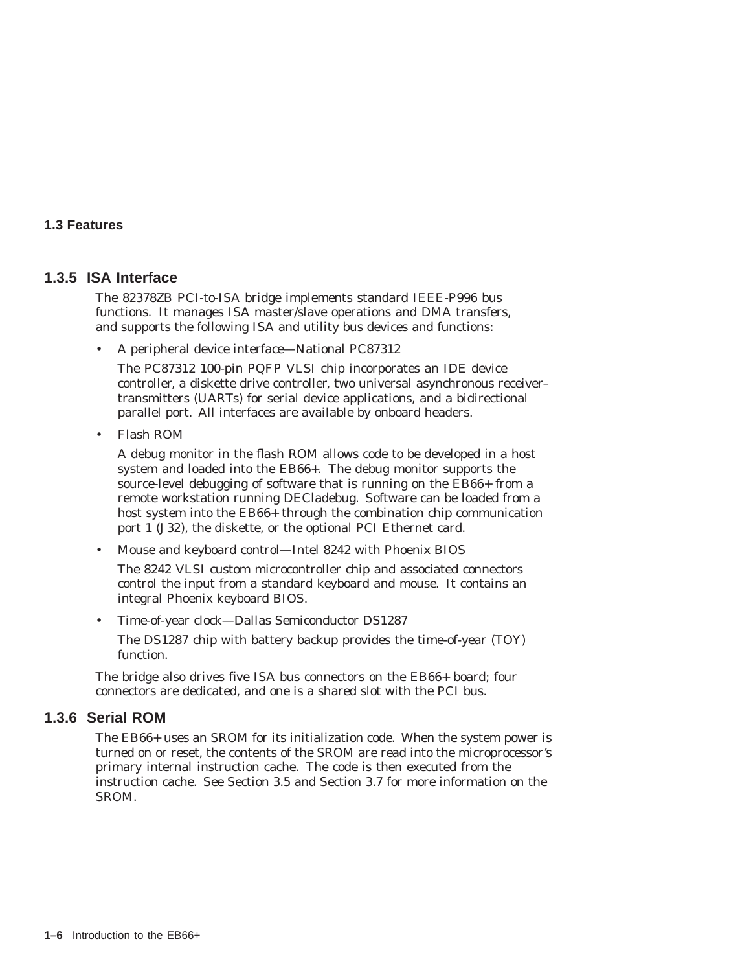#### **1.3 Features**

#### **1.3.5 ISA Interface**

The 82378ZB PCI-to-ISA bridge implements standard IEEE-P996 bus functions. It manages ISA master/slave operations and DMA transfers, and supports the following ISA and utility bus devices and functions:

• A peripheral device interface—National PC87312

The PC87312 100-pin PQFP VLSI chip incorporates an IDE device controller, a diskette drive controller, two universal asynchronous receiver– transmitters (UARTs) for serial device applications, and a bidirectional parallel port. All interfaces are available by onboard headers.

• Flash ROM

A debug monitor in the flash ROM allows code to be developed in a host system and loaded into the EB66+. The debug monitor supports the source-level debugging of software that is running on the EB66+ from a remote workstation running DECladebug. Software can be loaded from a host system into the EB66+ through the combination chip communication port 1 (J32), the diskette, or the optional PCI Ethernet card.

• Mouse and keyboard control—Intel 8242 with Phoenix BIOS

The 8242 VLSI custom microcontroller chip and associated connectors control the input from a standard keyboard and mouse. It contains an integral Phoenix keyboard BIOS.

• Time-of-year clock—Dallas Semiconductor DS1287 The DS1287 chip with battery backup provides the time-of-year (TOY) function.

The bridge also drives five ISA bus connectors on the EB66+ board; four connectors are dedicated, and one is a shared slot with the PCI bus.

#### **1.3.6 Serial ROM**

The EB66+ uses an SROM for its initialization code. When the system power is turned on or reset, the contents of the SROM are read into the microprocessor's primary internal instruction cache. The code is then executed from the instruction cache. See Section 3.5 and Section 3.7 for more information on the SROM.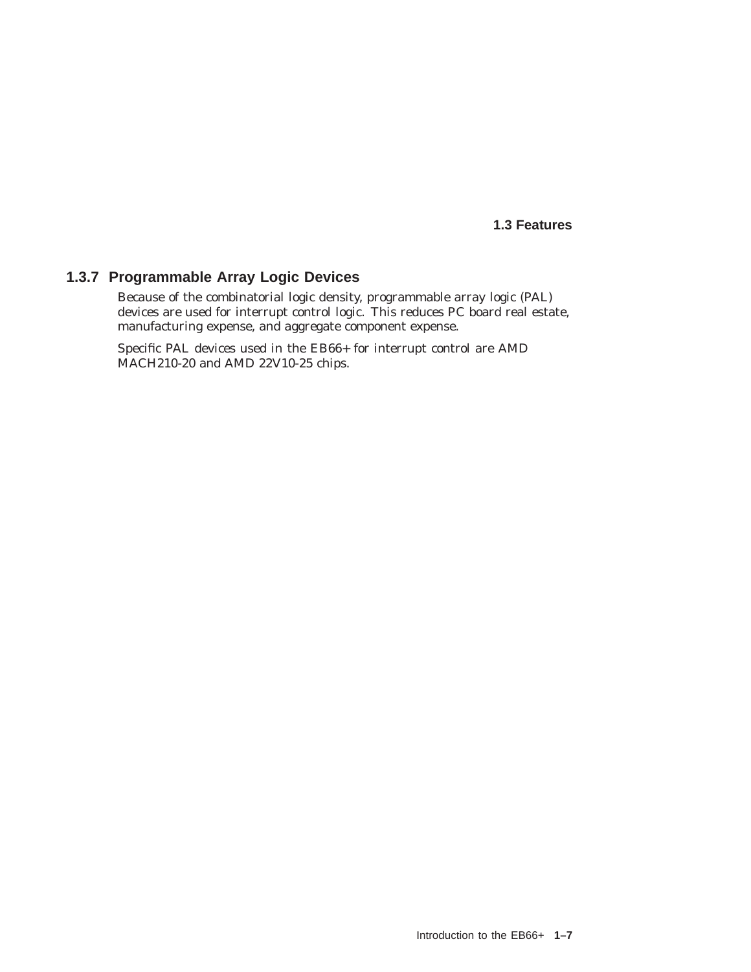**1.3 Features**

#### **1.3.7 Programmable Array Logic Devices**

Because of the combinatorial logic density, programmable array logic (PAL) devices are used for interrupt control logic. This reduces PC board real estate, manufacturing expense, and aggregate component expense.

Specific PAL devices used in the EB66+ for interrupt control are AMD MACH210-20 and AMD 22V10-25 chips.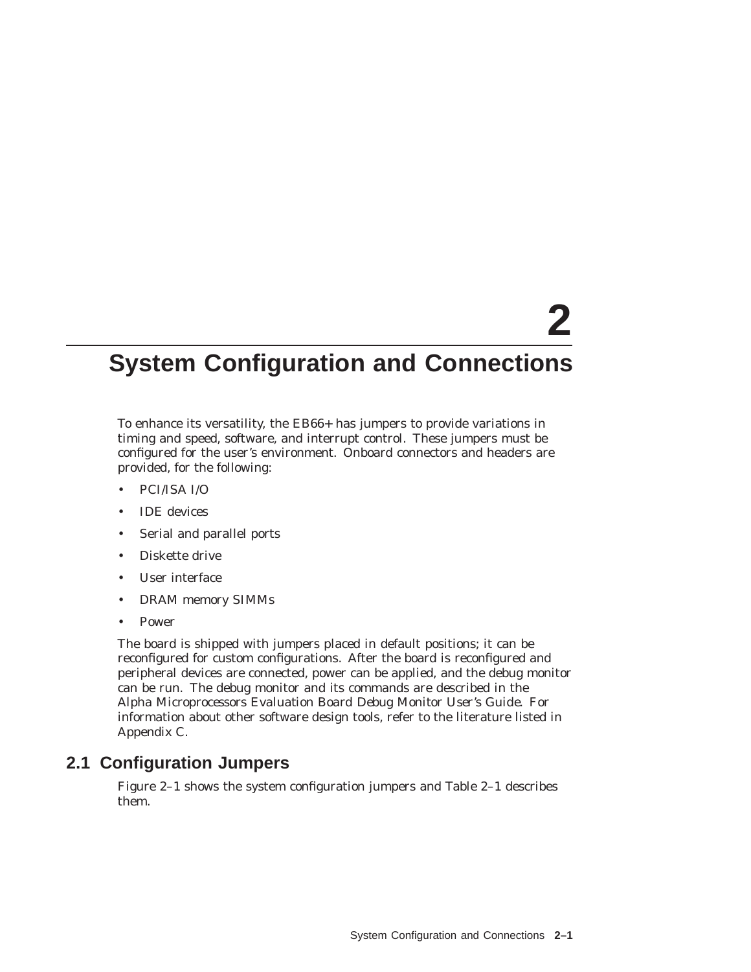# **2**

# **System Configuration and Connections**

To enhance its versatility, the EB66+ has jumpers to provide variations in timing and speed, software, and interrupt control. These jumpers must be configured for the user's environment. Onboard connectors and headers are provided, for the following:

- PCI/ISA I/O
- IDE devices
- Serial and parallel ports
- Diskette drive
- User interface
- DRAM memory SIMMs
- Power

The board is shipped with jumpers placed in default positions; it can be reconfigured for custom configurations. After the board is reconfigured and peripheral devices are connected, power can be applied, and the debug monitor can be run. The debug monitor and its commands are described in the *Alpha Microprocessors Evaluation Board Debug Monitor User's Guide*. For information about other software design tools, refer to the literature listed in Appendix C.

## **2.1 Configuration Jumpers**

Figure 2–1 shows the system configuration jumpers and Table 2–1 describes them.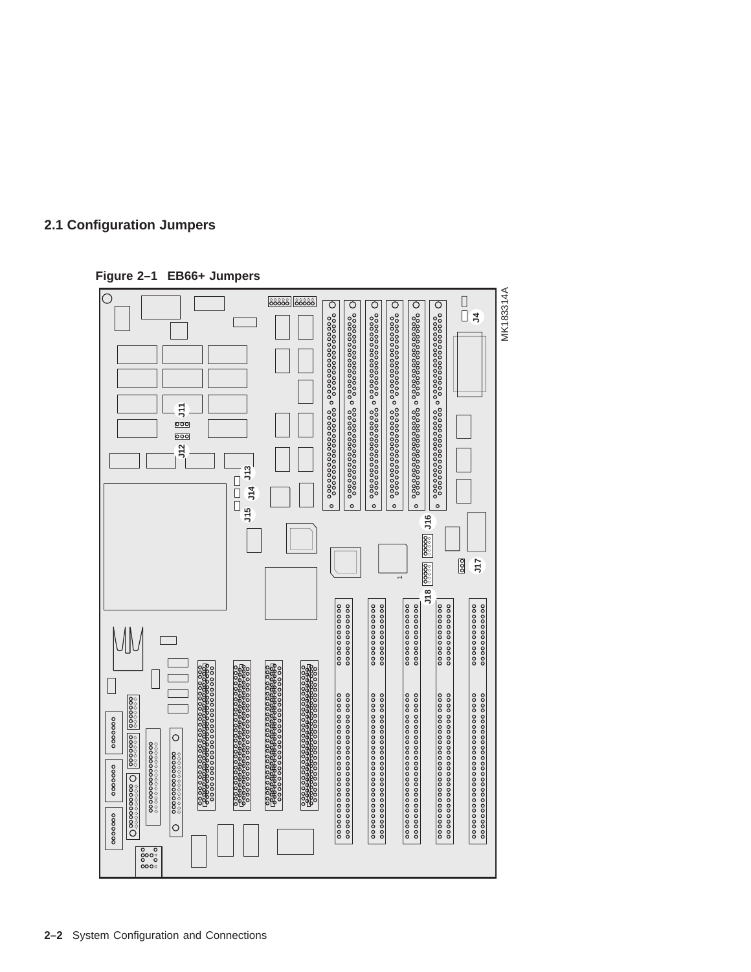

**Figure 2–1 EB66+ Jumpers**

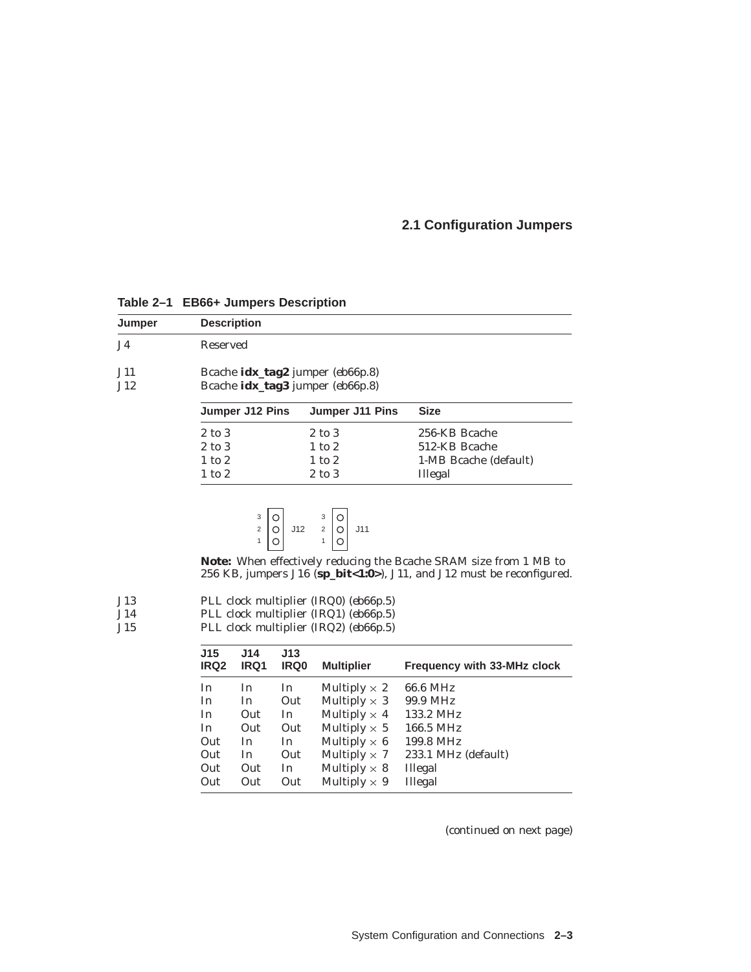#### **2.1 Configuration Jumpers**

| Jumper | <b>Description</b>                    |                 |                       |
|--------|---------------------------------------|-----------------|-----------------------|
| J4     | Reserved                              |                 |                       |
| J11    | Bcache $idx\_tag2$ jumper $(eb66p.8)$ |                 |                       |
| J12    | Bcache idx_tag3 jumper (eb66p.8)      |                 |                       |
|        | Jumper J12 Pins                       | Jumper J11 Pins | <b>Size</b>           |
|        |                                       |                 |                       |
|        | 2 to 3                                | 2 to 3          | 256-KB Bcache         |
|        | 2 to 3                                | $1$ to $2$      | 512-KB Bcache         |
|        | $1$ to $2$                            | $1$ to $2$      | 1-MB Bcache (default) |

**Table 2–1 EB66+ Jumpers Description**

$$
\begin{array}{c|c}\n3 & 0 \\
2 & 0 \\
1 & 0\n\end{array}\n\quad\n\begin{array}{c}\n3 & 0 \\
112 & 2 \\
1 & 0\n\end{array}\n\quad\n\begin{array}{c}\n311 \\
111\n\end{array}
$$

**Note:** When effectively reducing the Bcache SRAM size from 1 MB to 256 KB, jumpers J16 (**sp\_bit<1:0>**), J11, and J12 must be reconfigured.

| J13 | PLL clock multiplier (IRQ0) (eb66p.5) |  |  |
|-----|---------------------------------------|--|--|
|-----|---------------------------------------|--|--|

J14 PLL clock multiplier (IRQ1) (*eb66p.5*)<br>J15 PLL clock multiplier (IRQ2) (*eb66p.5*)

PLL clock multiplier (IRQ2) ( $eb66p.5$ )

| <b>Frequency with 33-MHz clock</b> |
|------------------------------------|
|                                    |
|                                    |
|                                    |
|                                    |
|                                    |
| 233.1 MHz (default)                |
|                                    |
|                                    |
|                                    |

(continued on next page)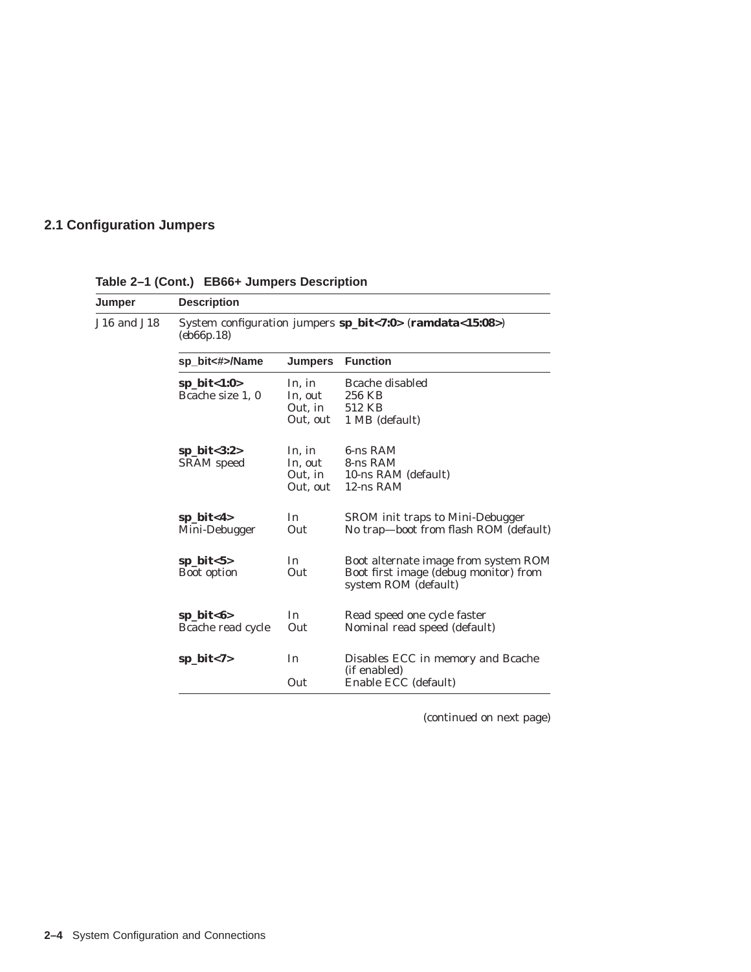## **2.1 Configuration Jumpers**

| Jumper      | <b>Description</b>                                                      |                                          |                                                                                                       |  |  |  |
|-------------|-------------------------------------------------------------------------|------------------------------------------|-------------------------------------------------------------------------------------------------------|--|--|--|
| J16 and J18 | System configuration jumpers sp_bit<7:0> (ramdata<15:08>)<br>(eb66p.18) |                                          |                                                                                                       |  |  |  |
|             | sp_bit<#>/Name                                                          | <b>Jumpers</b>                           | <b>Function</b>                                                                                       |  |  |  |
|             | sp_bit<1:0><br>Bcache size 1, 0                                         | In, in<br>In, out<br>Out, in<br>Out, out | Bcache disabled<br>256 KB<br>512 KB<br>1 MB (default)                                                 |  |  |  |
|             | sp_bit $<3:2>$<br><b>SRAM</b> speed                                     | In, in<br>In, out<br>Out, in<br>Out, out | 6-ns RAM<br>8-ns RAM<br>10-ns RAM (default)<br>12-ns RAM                                              |  |  |  |
|             | sp_bit<4><br>Mini-Debugger                                              | In<br>Out                                | SROM init traps to Mini-Debugger<br>No trap-boot from flash ROM (default)                             |  |  |  |
|             | $sp\_bit < 5$<br>Boot option                                            | In<br>Out                                | Boot alternate image from system ROM<br>Boot first image (debug monitor) from<br>system ROM (default) |  |  |  |
|             | $sp\_bit<6>$<br>Bcache read cycle                                       | In<br>Out                                | Read speed one cycle faster<br>Nominal read speed (default)                                           |  |  |  |
|             | $sp\_bit < 7>$                                                          | In<br>Out                                | Disables ECC in memory and Bcache<br>(if enabled)<br>Enable ECC (default)                             |  |  |  |

**Table 2–1 (Cont.) EB66+ Jumpers Description**

(continued on next page)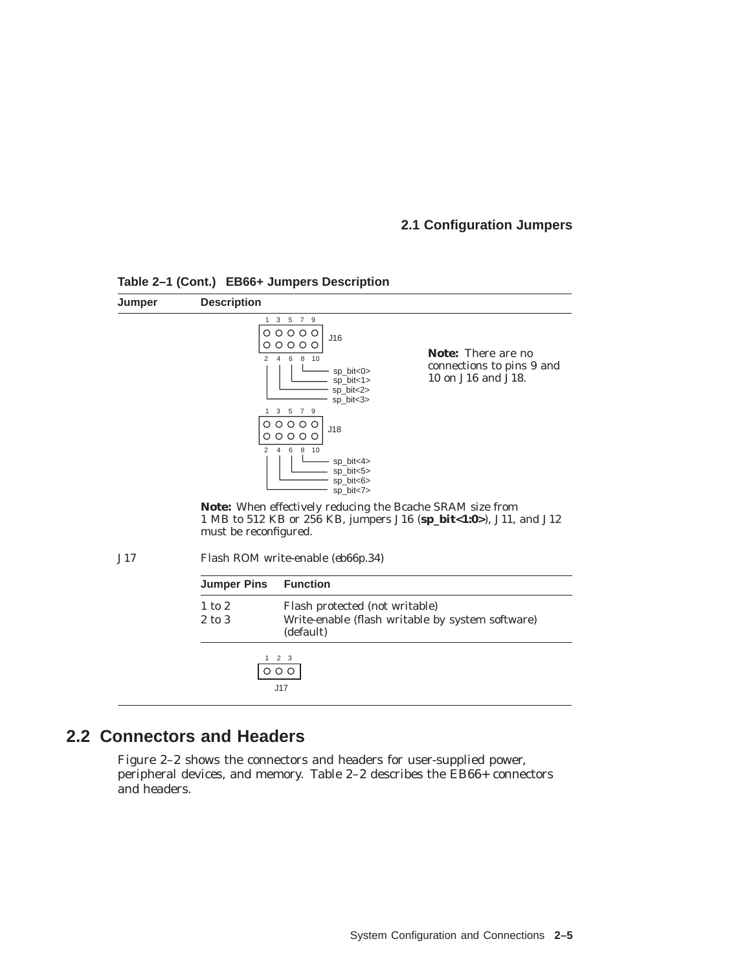#### **2.1 Configuration Jumpers**



**Table 2–1 (Cont.) EB66+ Jumpers Description**

1 MB to 512 KB or 256 KB, jumpers J16 (**sp\_bit<1:0>**), J11, and J12 must be reconfigured.

J17 Flash ROM write-enable (*eb66p.34*)

## **2.2 Connectors and Headers**

Figure 2–2 shows the connectors and headers for user-supplied power, peripheral devices, and memory. Table 2–2 describes the EB66+ connectors and headers.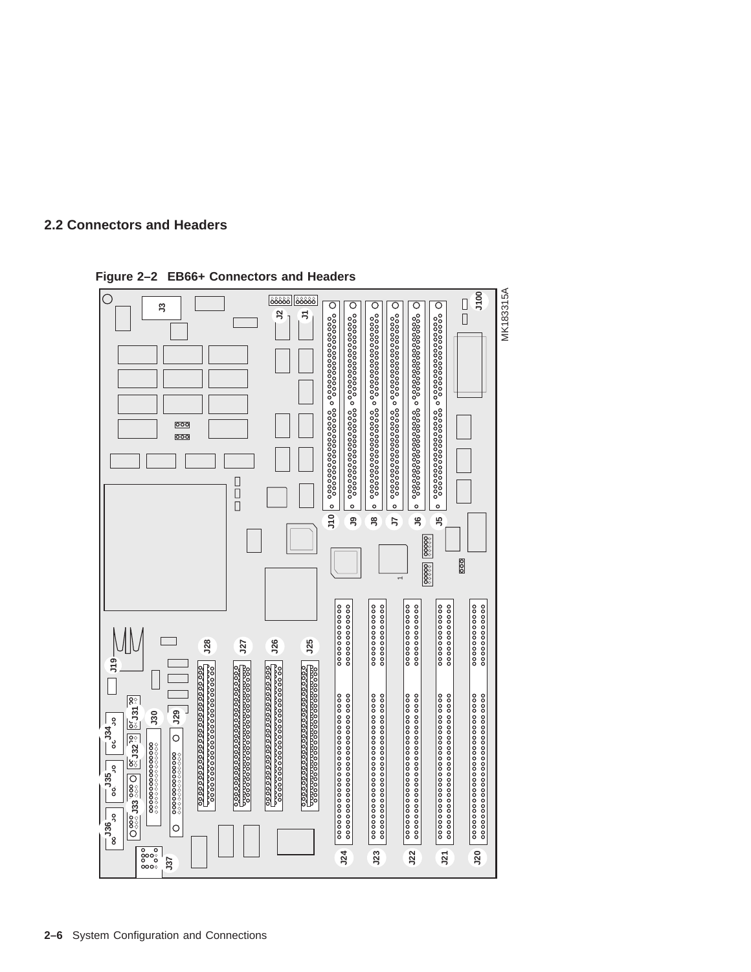



**Figure 2–2 EB66+ Connectors and Headers**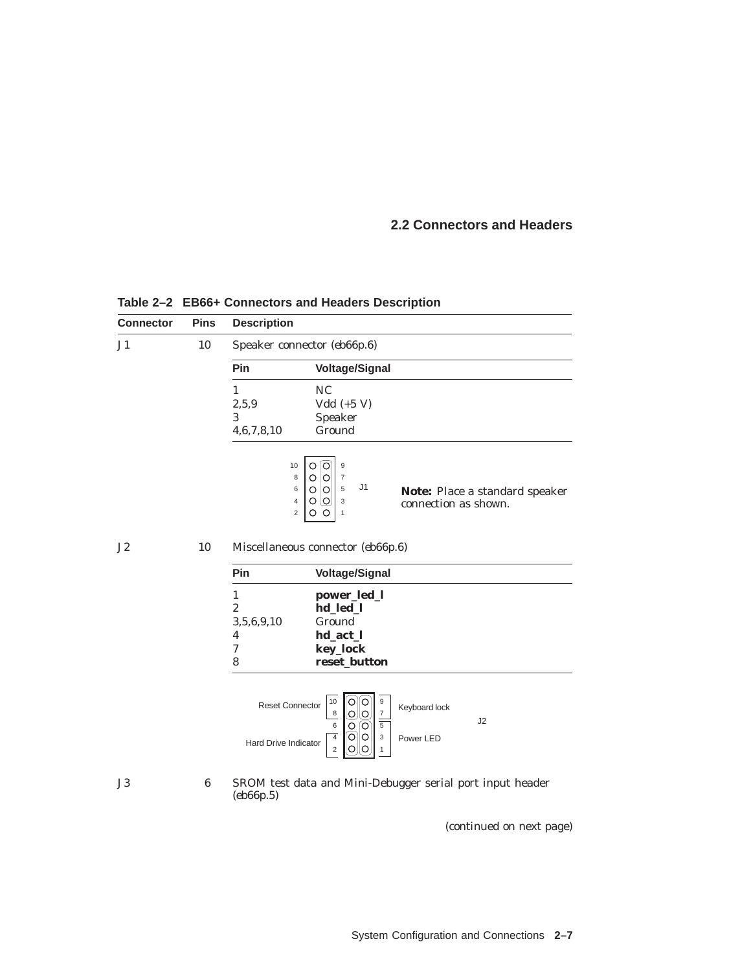| <b>Connector</b> | <b>Pins</b>      | <b>Description</b>                             |                                                                                                                                                             |                                                           |
|------------------|------------------|------------------------------------------------|-------------------------------------------------------------------------------------------------------------------------------------------------------------|-----------------------------------------------------------|
| J <sub>1</sub>   | 10               |                                                | Speaker connector (eb66p.6)                                                                                                                                 |                                                           |
|                  |                  | Pin                                            | <b>Voltage/Signal</b>                                                                                                                                       |                                                           |
|                  |                  | $\mathbf{1}$                                   | NC                                                                                                                                                          |                                                           |
|                  |                  | 2, 5, 9                                        | $Vdd (+5 V)$                                                                                                                                                |                                                           |
|                  |                  | 3                                              | Speaker                                                                                                                                                     |                                                           |
|                  |                  | 4,6,7,8,10                                     | Ground                                                                                                                                                      |                                                           |
|                  |                  | 10                                             | O[O]<br>$\mathsf g$<br>$\overline{7}$<br>8<br> O<br>O<br>J1<br>5<br>$\circ$ $\circ$<br>6<br>$\circ \circ$<br>$\sqrt{4}$<br>3<br>$\overline{c}$<br>o o<br>1  | Note: Place a standard speaker<br>connection as shown.    |
| J2               | 10               |                                                | Miscellaneous connector (eb66p.6)                                                                                                                           |                                                           |
|                  |                  | Pin                                            | <b>Voltage/Signal</b>                                                                                                                                       |                                                           |
|                  |                  | $\mathbf{1}$                                   | power_led_l                                                                                                                                                 |                                                           |
|                  |                  | $\overline{2}$                                 | hd_led_l                                                                                                                                                    |                                                           |
|                  |                  | 3, 5, 6, 9, 10<br>4                            | Ground<br>hd_act_l                                                                                                                                          |                                                           |
|                  |                  | $\boldsymbol{7}$                               | key_lock                                                                                                                                                    |                                                           |
|                  |                  | 8                                              | reset_button                                                                                                                                                |                                                           |
|                  |                  | <b>Reset Connector</b><br>Hard Drive Indicator | $10$<br>$\circ$   O<br>9<br>8<br>O<br>$\frac{7}{5}$<br>ΙO<br>6<br>⊺⊙<br>$\circ$<br>$\overline{4}$<br>ဂြုဝ<br>3<br>Ι0<br>$\overline{c}$<br>O<br>$\mathbf{1}$ | Keyboard lock<br>J2<br>Power LED                          |
| J3               | $\boldsymbol{6}$ | (eb66p.5)                                      |                                                                                                                                                             | SROM test data and Mini-Debugger serial port input header |
|                  |                  |                                                |                                                                                                                                                             | (continued on next page)                                  |

**Table 2–2 EB66+ Connectors and Headers Description**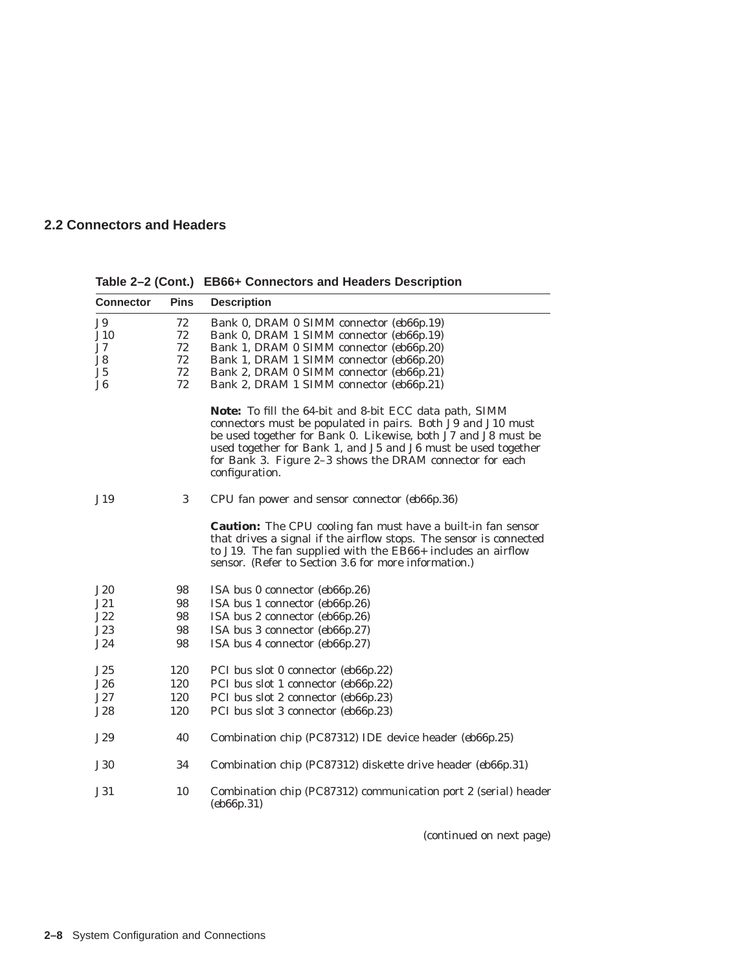| <b>Connector</b> | <b>Pins</b> | <b>Description</b>                                                                                                                                                                                                                                                                                                                    |
|------------------|-------------|---------------------------------------------------------------------------------------------------------------------------------------------------------------------------------------------------------------------------------------------------------------------------------------------------------------------------------------|
| <b>J9</b>        | 72          | Bank 0, DRAM 0 SIMM connector (eb66p.19)                                                                                                                                                                                                                                                                                              |
| J10              | 72          | Bank 0, DRAM 1 SIMM connector (eb66p.19)                                                                                                                                                                                                                                                                                              |
| J7               | 72          | Bank 1, DRAM 0 SIMM connector (eb66p.20)                                                                                                                                                                                                                                                                                              |
| J8               | 72          | Bank 1, DRAM 1 SIMM connector (eb66p.20)                                                                                                                                                                                                                                                                                              |
| J5               | 72          | Bank 2, DRAM 0 SIMM connector (eb66p.21)                                                                                                                                                                                                                                                                                              |
| J <sub>6</sub>   | 72          | Bank 2, DRAM 1 SIMM connector (eb66p.21)                                                                                                                                                                                                                                                                                              |
|                  |             | Note: To fill the 64-bit and 8-bit ECC data path, SIMM<br>connectors must be populated in pairs. Both J9 and J10 must<br>be used together for Bank 0. Likewise, both J7 and J8 must be<br>used together for Bank 1, and J5 and J6 must be used together<br>for Bank 3. Figure 2-3 shows the DRAM connector for each<br>configuration. |
| J19              | 3           | CPU fan power and sensor connector (eb66p.36)                                                                                                                                                                                                                                                                                         |
|                  |             | <b>Caution:</b> The CPU cooling fan <i>must</i> have a built-in fan sensor<br>that drives a signal if the airflow stops. The sensor is connected<br>to J19. The fan supplied with the EB66+ includes an airflow<br>sensor. (Refer to Section 3.6 for more information.)                                                               |
| J20              | 98          | ISA bus 0 connector (eb66p.26)                                                                                                                                                                                                                                                                                                        |
| J21              | 98          | ISA bus 1 connector (eb66p.26)                                                                                                                                                                                                                                                                                                        |
| J22              | 98          | ISA bus 2 connector (eb66p.26)                                                                                                                                                                                                                                                                                                        |
| J23              | 98          | ISA bus 3 connector (eb66p.27)                                                                                                                                                                                                                                                                                                        |
| J24              | 98          | ISA bus 4 connector (eb66p.27)                                                                                                                                                                                                                                                                                                        |
| J25              | 120         | PCI bus slot 0 connector (eb66p.22)                                                                                                                                                                                                                                                                                                   |
| J26              | 120         | PCI bus slot 1 connector (eb66p.22)                                                                                                                                                                                                                                                                                                   |
| J27              | 120         | PCI bus slot 2 connector (eb66p.23)                                                                                                                                                                                                                                                                                                   |
| J28              | 120         | PCI bus slot 3 connector (eb66p.23)                                                                                                                                                                                                                                                                                                   |
| J29              | 40          | Combination chip (PC87312) IDE device header (eb66p.25)                                                                                                                                                                                                                                                                               |
| <b>J30</b>       | 34          | Combination chip (PC87312) diskette drive header (eb66p.31)                                                                                                                                                                                                                                                                           |
| J31              | 10          | Combination chip (PC87312) communication port 2 (serial) header<br>(eb66p.31)                                                                                                                                                                                                                                                         |

**Table 2–2 (Cont.) EB66+ Connectors and Headers Description**

(continued on next page)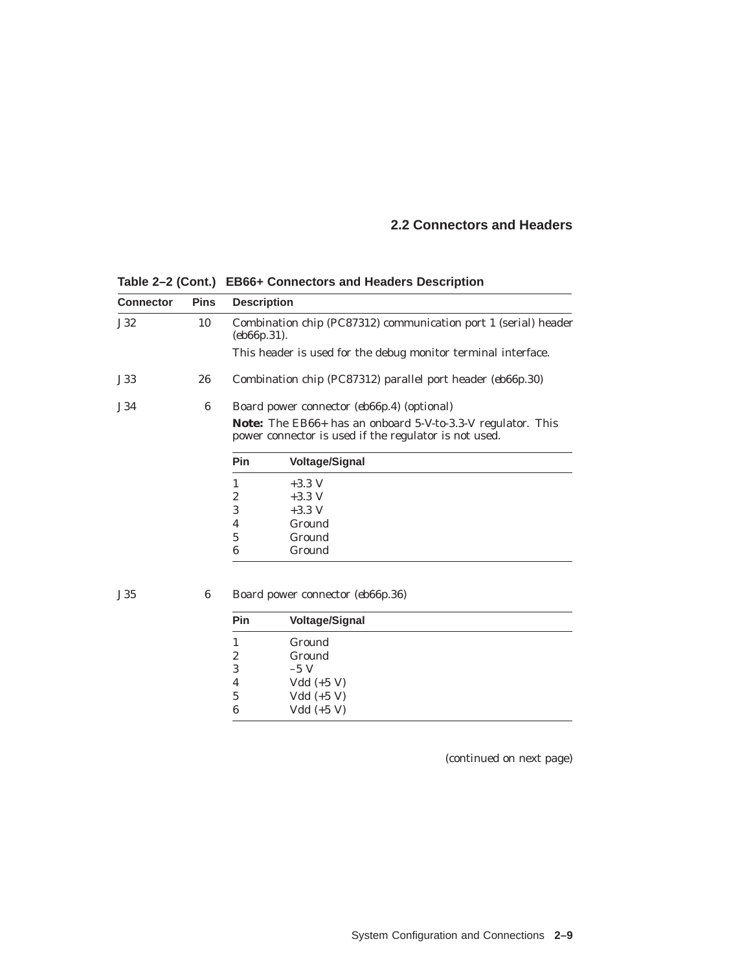**Connector Pins Description** J32 10 Combination chip (PC87312) communication port 1 (serial) header (*eb66p.31*). This header is used for the debug monitor terminal interface. J33 26 Combination chip (PC87312) parallel port header (*eb66p.30*) J34 6 Board power connector (*eb66p.4*) (optional) **Note:** The EB66+ has an onboard 5-V-to-3.3-V regulator. This power connector is used if the regulator is not used. **Pin Voltage/Signal**  $\begin{array}{cc} 1 & +3.3 \text{ V} \\ 2 & +3.3 \text{ V} \end{array}$  $+3.3$  V 3  $+3.3 \text{ V}$ 4 Ground 5 Ground 6 Ground J35 6 Board power connector (*eb66p.36*)

**Table 2–2 (Cont.) EB66+ Connectors and Headers Description**

| <b>Pin</b> | <b>Voltage/Signal</b> |  |
|------------|-----------------------|--|
|            | Ground                |  |
| 2          | Ground                |  |
| 3          | $-5V$                 |  |
| 4          | Vdd $(+5 V)$          |  |
| 5          | Vdd $(+5 V)$          |  |
| 6          | $Vdd (+5 V)$          |  |

(continued on next page)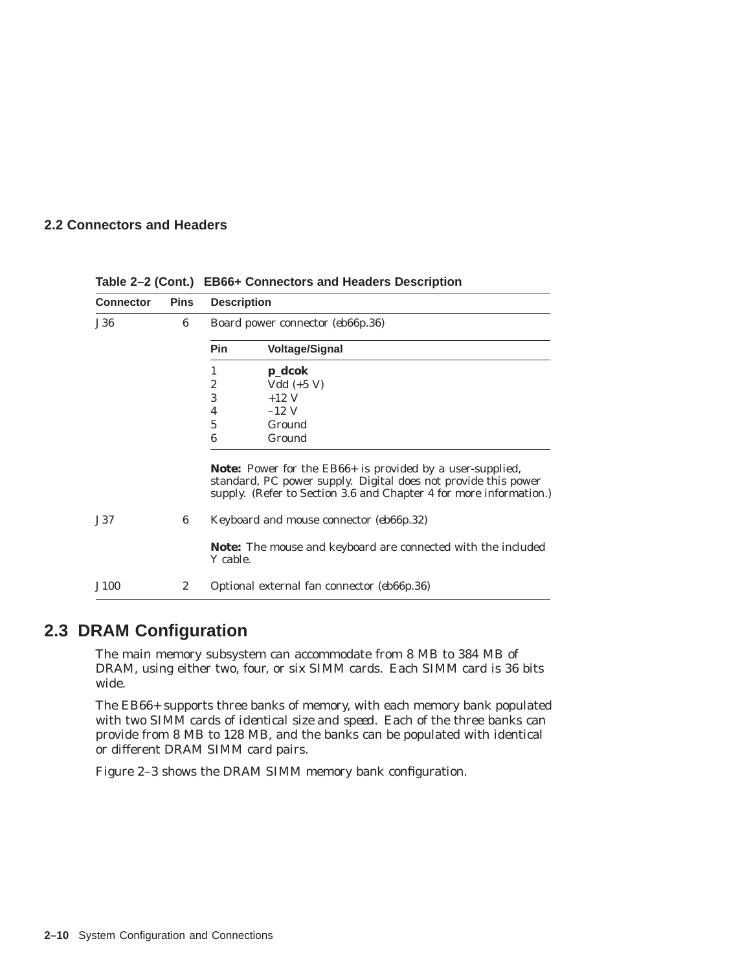| <b>Connector</b> | <b>Pins</b> | <b>Description</b> |                                                                                                                                                                                                          |
|------------------|-------------|--------------------|----------------------------------------------------------------------------------------------------------------------------------------------------------------------------------------------------------|
| <b>J36</b>       | 6           |                    | Board power connector (eb66p.36)                                                                                                                                                                         |
|                  |             | Pin                | <b>Voltage/Signal</b>                                                                                                                                                                                    |
|                  |             | 1                  | p_dcok                                                                                                                                                                                                   |
|                  |             | $\overline{c}$     | Vdd $(+5 V)$                                                                                                                                                                                             |
|                  |             | 3                  | $+12$ V                                                                                                                                                                                                  |
|                  |             | 4                  | $-12$ V                                                                                                                                                                                                  |
|                  |             | 5                  | Ground                                                                                                                                                                                                   |
|                  |             | 6                  | Ground                                                                                                                                                                                                   |
|                  |             |                    | <b>Note:</b> Power for the EB66+ is provided by a user-supplied,<br>standard, PC power supply. Digital does not provide this power<br>supply. (Refer to Section 3.6 and Chapter 4 for more information.) |
| <b>J37</b>       | 6           |                    | Keyboard and mouse connector (eb66p.32)                                                                                                                                                                  |
|                  |             | Y cable.           | <b>Note:</b> The mouse and keyboard are connected with the included                                                                                                                                      |
| J100             | 2           |                    | Optional external fan connector (eb66p.36)                                                                                                                                                               |

**Table 2–2 (Cont.) EB66+ Connectors and Headers Description**

## **2.3 DRAM Configuration**

The main memory subsystem can accommodate from 8 MB to 384 MB of DRAM, using either two, four, or six SIMM cards. Each SIMM card is 36 bits wide.

The EB66+ supports three banks of memory, with each memory bank populated with two SIMM cards of *identical size and speed*. Each of the three banks can provide from 8 MB to 128 MB, and the banks can be populated with identical or different DRAM SIMM card pairs.

Figure 2–3 shows the DRAM SIMM memory bank configuration.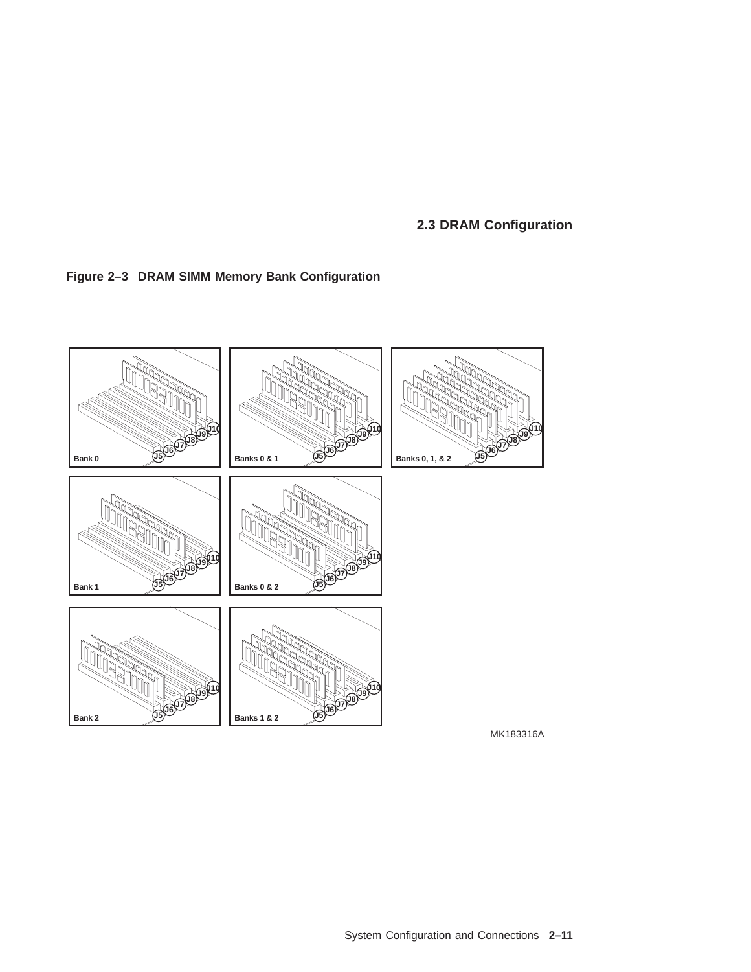**2.3 DRAM Configuration**





System Configuration and Connections **2–11**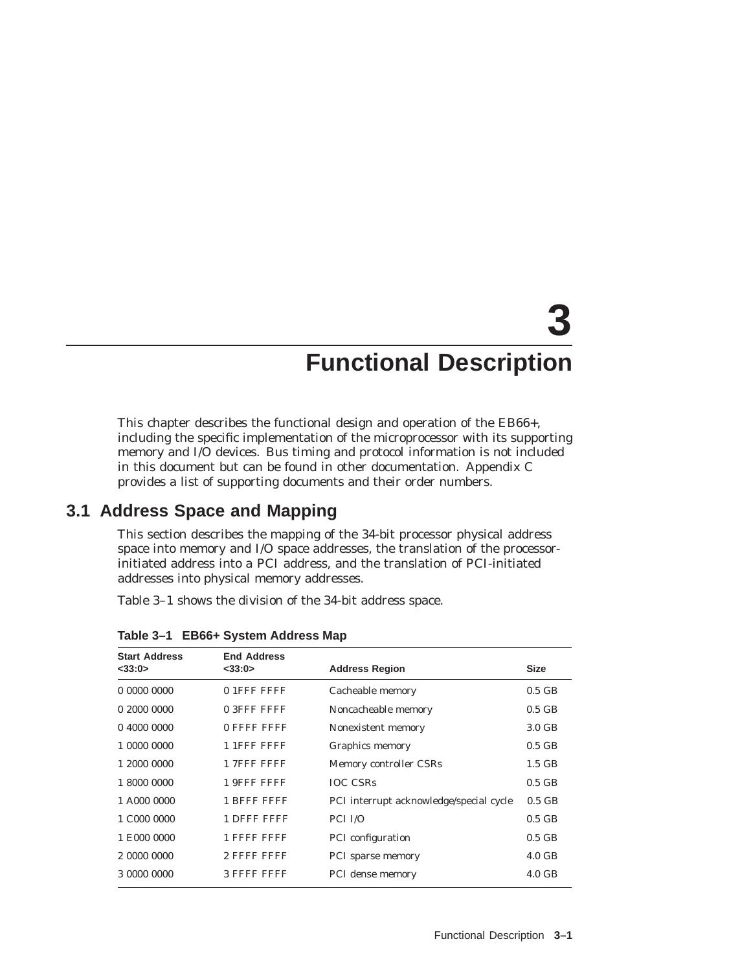# **3 Functional Description**

This chapter describes the functional design and operation of the EB66+, including the specific implementation of the microprocessor with its supporting memory and I/O devices. Bus timing and protocol information is not included in this document but can be found in other documentation. Appendix C provides a list of supporting documents and their order numbers.

## **3.1 Address Space and Mapping**

This section describes the mapping of the 34-bit processor physical address space into memory and I/O space addresses, the translation of the processorinitiated address into a PCI address, and the translation of PCI-initiated addresses into physical memory addresses.

Table 3–1 shows the division of the 34-bit address space.

| <b>Start Address</b> | <b>End Address</b> |                                         |                  |
|----------------------|--------------------|-----------------------------------------|------------------|
| $<$ 33:0 $>$         | $<$ 33:0 $>$       | <b>Address Region</b>                   | <b>Size</b>      |
| 00000000             | 01FFFFFFF          | Cacheable memory                        | $0.5$ GB         |
| 020000000            | 0 3FFF FFFF        | Noncacheable memory                     | $0.5$ GB         |
| 0,4000,0000          | 0 FFFF FFFF        | Nonexistent memory                      | $3.0 \text{ GB}$ |
| 1 0000 0000          | 1 1FFF FFFF        | Graphics memory                         | $0.5$ GB         |
| 1 2000 0000          | 17FFFFFFF          | Memory controller CSRs                  | $1.5$ GB         |
| 1 8000 0000          | 1 9FFF FFFF        | <b>IOC CSRs</b>                         | $0.5$ GB         |
| 1 A000 0000          | 1 BFFF FFFF        | PCI interrupt acknowledge/special cycle | $0.5$ GB         |
| 1 C000 0000          | 1 DFFF FFFF        | PCI I/O                                 | $0.5$ GB         |
| 1 E000 0000          | 1 FFFF FFFF        | PCI configuration                       | $0.5$ GB         |
| 2 0000 0000          | 2 FFFF FFFF        | PCI sparse memory                       | $4.0\text{ GB}$  |
| 3 0000 0000          | 3 FFFF FFFF        | PCI dense memory                        | $4.0 \text{ GB}$ |

**Table 3–1 EB66+ System Address Map**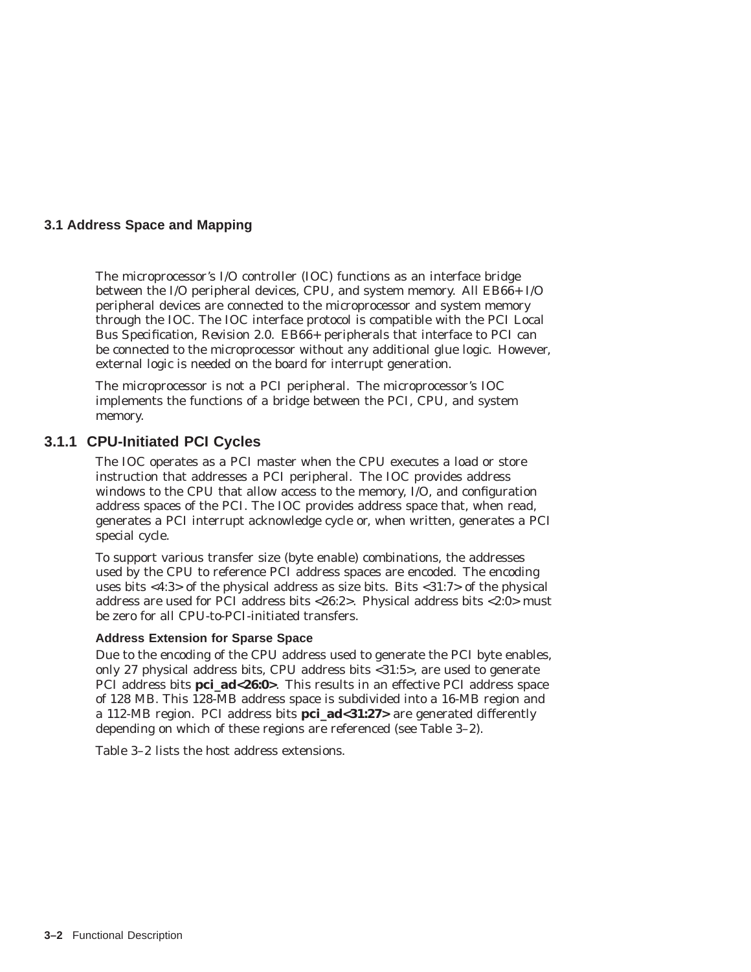#### **3.1 Address Space and Mapping**

The microprocessor's I/O controller (IOC) functions as an interface bridge between the I/O peripheral devices, CPU, and system memory. All EB66+ I/O peripheral devices are connected to the microprocessor and system memory through the IOC. The IOC interface protocol is compatible with the *PCI Local Bus Specification, Revision 2.0*. EB66+ peripherals that interface to PCI can be connected to the microprocessor without any additional glue logic. However, external logic is needed on the board for interrupt generation.

The microprocessor is not a PCI peripheral. The microprocessor's IOC implements the functions of a bridge between the PCI, CPU, and system memory.

#### **3.1.1 CPU-Initiated PCI Cycles**

The IOC operates as a PCI master when the CPU executes a load or store instruction that addresses a PCI peripheral. The IOC provides address windows to the CPU that allow access to the memory, I/O, and configuration address spaces of the PCI. The IOC provides address space that, when read, generates a PCI interrupt acknowledge cycle or, when written, generates a PCI special cycle.

To support various transfer size (byte enable) combinations, the addresses used by the CPU to reference PCI address spaces are encoded. The encoding uses bits <4:3> of the physical address as size bits. Bits <31:7> of the physical address are used for PCI address bits <26:2>. Physical address bits <2:0> must be zero for all CPU-to-PCI-initiated transfers.

#### **Address Extension for Sparse Space**

Due to the encoding of the CPU address used to generate the PCI byte enables, only 27 physical address bits, CPU address bits <31:5>, are used to generate PCI address bits **pci\_ad<26:0>**. This results in an effective PCI address space of 128 MB. This 128-MB address space is subdivided into a 16-MB region and a 112-MB region. PCI address bits **pci\_ad<31:27>** are generated differently depending on which of these regions are referenced (see Table 3–2).

Table 3–2 lists the host address extensions.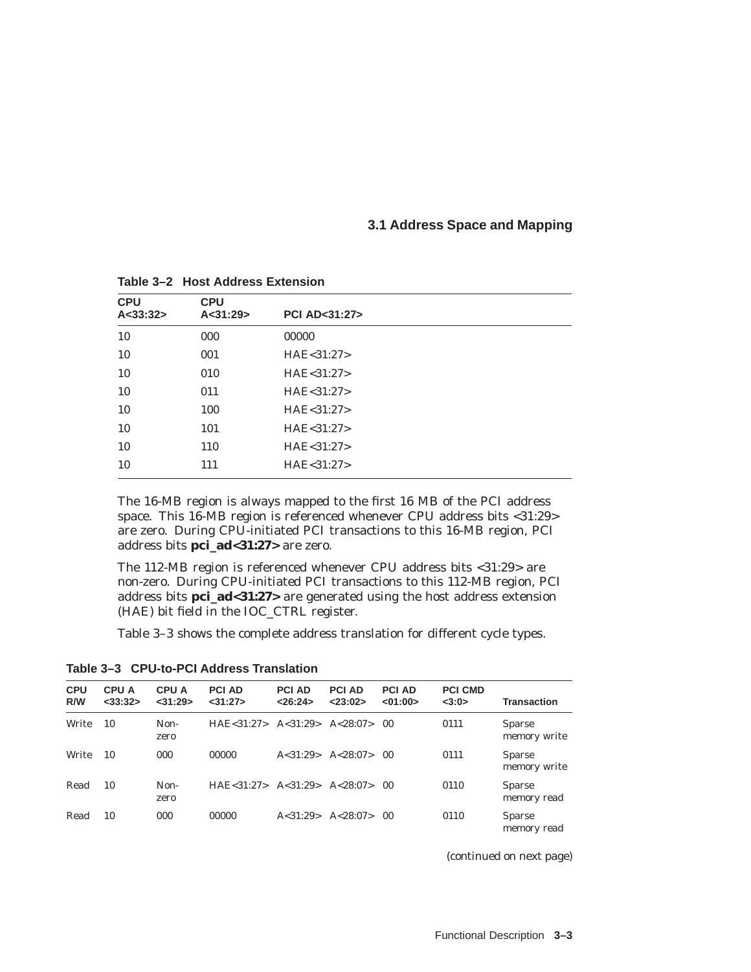#### **3.1 Address Space and Mapping**

| <b>CPU</b><br>A < 33:32> | <b>CPU</b><br>A < 31:29 | <b>PCI AD&lt;31:27&gt;</b> |
|--------------------------|-------------------------|----------------------------|
| 10                       | 000                     | 00000                      |
| 10                       | 001                     | HAE < 31:27                |
| 10                       | 010                     | HAE < 31:27                |
| 10                       | 011                     | HAE < 31:27                |
| 10                       | 100                     | HAE < 31:27                |
| 10                       | 101                     | HAE < 31:27                |
| 10                       | 110                     | HAE<31:27>                 |
| 10                       | 111                     | HAE<31:27>                 |

**Table 3–2 Host Address Extension**

The 16-MB region is always mapped to the first 16 MB of the PCI address space. This 16-MB region is referenced whenever CPU address bits <31:29> are zero. During CPU-initiated PCI transactions to this 16-MB region, PCI address bits **pci\_ad<31:27>** are zero.

The 112-MB region is referenced whenever CPU address bits <31:29> are non-zero. During CPU-initiated PCI transactions to this 112-MB region, PCI address bits **pci\_ad<31:27>** are generated using the host address extension (HAE) bit field in the IOC\_CTRL register.

Table 3–3 shows the complete address translation for different cycle types.

**CPU R/W CPU A <33:32> CPU A <31:29> PCI AD <31:27> PCI AD <26:24> PCI AD <23:02> PCI AD <01:00> PCI CMD <3:0> Transaction** Write 10 Nonzero HAE<31:27> A<31:29> A<28:07> 00 0111 Sparse memory write Write 10 000 00000 A<31:29> A<28:07> 00 0111 Sparse memory write Read 10 Nonzero HAE<31:27> A<31:29> A<28:07> 00 0110 Sparse memory read Read 10 000 00000 A<31:29> A<28:07> 00 0110 Sparse memory read

**Table 3–3 CPU-to-PCI Address Translation**

(continued on next page)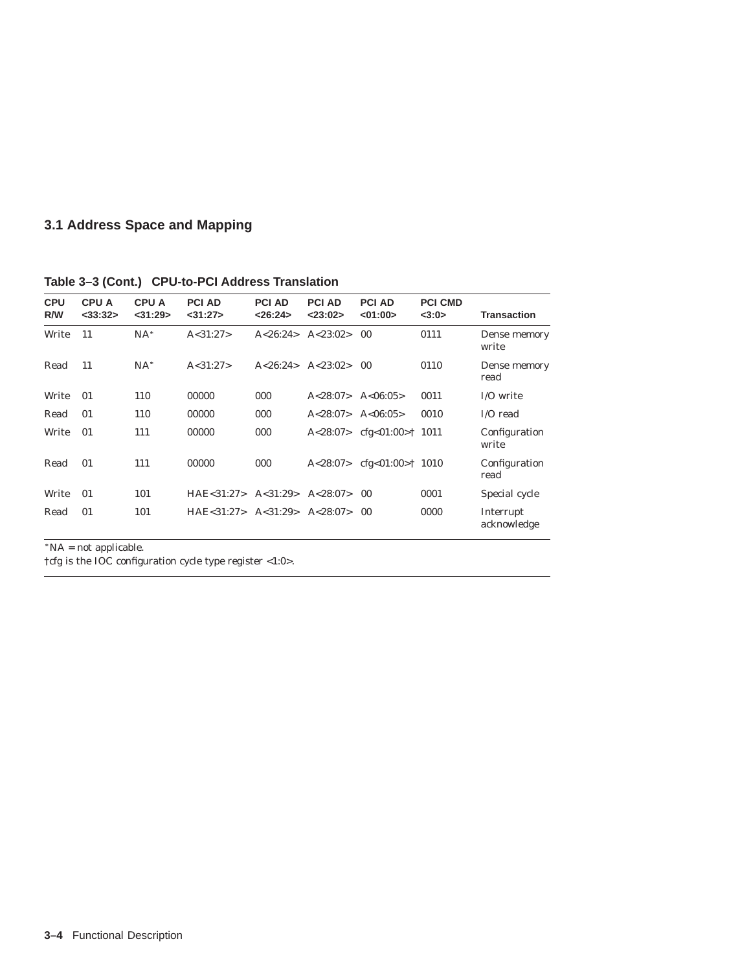## **3.1 Address Space and Mapping**

| <b>CPU</b><br>R/W | <b>CPU A</b><br>$<$ 33:32 $>$ | <b>CPU A</b><br>$<$ 31:29 $>$ | <b>PCI AD</b><br>$<$ 31:27> | <b>PCI AD</b><br>< 26:24> | <b>PCI AD</b><br>< 23:02> | <b>PCI AD</b><br><01:00>                    | <b>PCI CMD</b><br><3:0> | <b>Transaction</b>       |
|-------------------|-------------------------------|-------------------------------|-----------------------------|---------------------------|---------------------------|---------------------------------------------|-------------------------|--------------------------|
| Write             | 11                            | $NA^*$                        | A < 31:27                   | A < 26:24>                | A < 23:02>                | 0 <sub>0</sub>                              | 0111                    | Dense memory<br>write    |
| Read              | 11                            | $NA*$                         | A < 31:27                   | A < 26:24                 | A < 23:02>                | 0 <sub>0</sub>                              | 0110                    | Dense memory<br>read     |
| Write             | 01                            | 110                           | 00000                       | 000                       | A < 28:07                 | A < 06:05                                   | 0011                    | I/O write                |
| Read              | 01                            | 110                           | 00000                       | 000                       | A < 28:07                 | A < 06:05                                   | 0010                    | I/O read                 |
| Write             | 01                            | 111                           | 00000                       | 000                       |                           | $A < 28:07 >$ cfg $< 01:00 > \uparrow 1011$ |                         | Configuration<br>write   |
| Read              | 01                            | 111                           | 00000                       | 000                       |                           | $A < 28:07 >$ cfg $< 01:00 > \dagger$ 1010  |                         | Configuration<br>read    |
| Write             | 01                            | 101                           | HAE < 31:27                 | A < 31:29                 | A < 28:07                 | 00                                          | 0001                    | Special cycle            |
| Read              | 01                            | 101                           | HAE < 31:27 > A < 31:29>    |                           | A < 28:07                 | 00                                          | 0000                    | Interrupt<br>acknowledge |

**Table 3–3 (Cont.) CPU-to-PCI Address Translation**

 $*NA = not applicable.$ 

†cfg is the IOC configuration cycle type register <1:0>.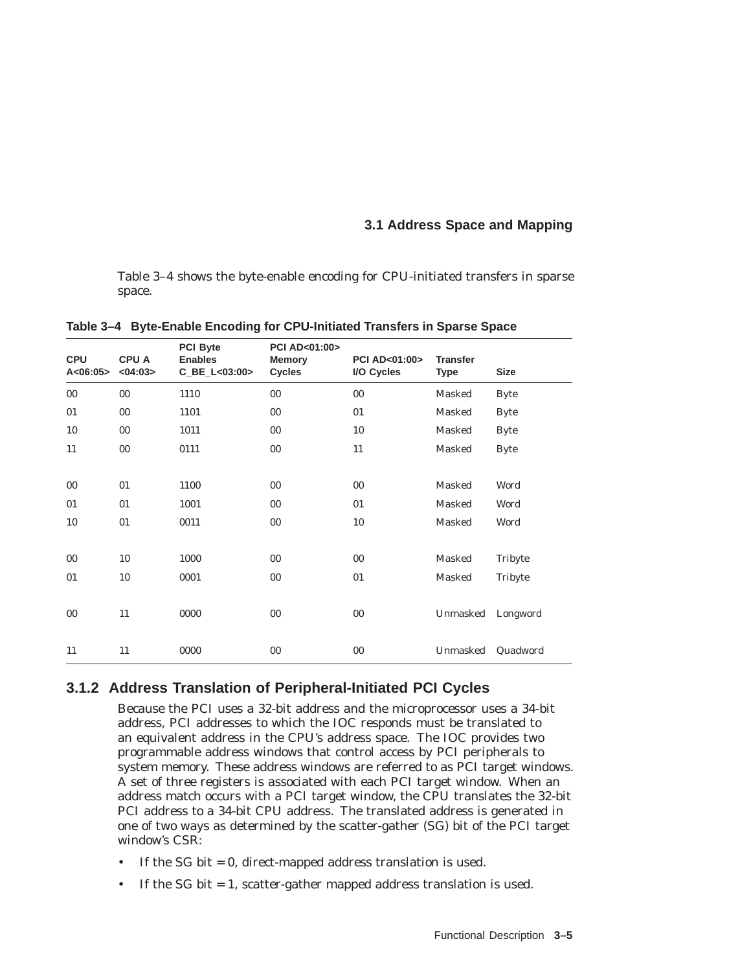## **3.1 Address Space and Mapping**

Table 3–4 shows the byte-enable encoding for CPU-initiated transfers in sparse space.

| <b>CPU</b><br>A < 06:05 | <b>CPUA</b><br><04:03> | <b>PCI Byte</b><br><b>Enables</b><br>C_BE_L<03:00> | <b>PCI AD&lt;01:00&gt;</b><br><b>Memory</b><br><b>Cycles</b> | PCI AD<01:00><br>I/O Cycles | <b>Transfer</b><br><b>Type</b> | <b>Size</b> |
|-------------------------|------------------------|----------------------------------------------------|--------------------------------------------------------------|-----------------------------|--------------------------------|-------------|
| $00\,$                  | $00\,$                 | 1110                                               | 00                                                           | $00\,$                      | Masked                         | <b>Byte</b> |
| 01                      | $00\,$                 | 1101                                               | $00\,$                                                       | 01                          | Masked                         | <b>Byte</b> |
| 10                      | $00\,$                 | 1011                                               | 00                                                           | 10                          | Masked                         | <b>Byte</b> |
| 11                      | $00\,$                 | 0111                                               | 00                                                           | 11                          | Masked                         | <b>Byte</b> |
|                         |                        |                                                    |                                                              |                             |                                |             |
| $00\,$                  | 01                     | 1100                                               | $00\,$                                                       | $00\,$                      | Masked                         | Word        |
| 01                      | 01                     | 1001                                               | $00\,$                                                       | 01                          | Masked                         | Word        |
| 10                      | 01                     | 0011                                               | 00                                                           | 10                          | Masked                         | Word        |
|                         |                        |                                                    |                                                              |                             |                                |             |
| $00\,$                  | 10                     | 1000                                               | 00                                                           | $00\,$                      | Masked                         | Tribyte     |
| 01                      | 10                     | 0001                                               | $00\,$                                                       | 01                          | Masked                         | Tribyte     |
|                         |                        |                                                    |                                                              |                             |                                |             |
| 00                      | 11                     | 0000                                               | $00\,$                                                       | $00\,$                      | Unmasked                       | Longword    |
|                         |                        |                                                    |                                                              |                             |                                |             |
| 11                      | 11                     | 0000                                               | $00\,$                                                       | $00\,$                      | Unmasked                       | Quadword    |

**Table 3–4 Byte-Enable Encoding for CPU-Initiated Transfers in Sparse Space**

## **3.1.2 Address Translation of Peripheral-Initiated PCI Cycles**

Because the PCI uses a 32-bit address and the microprocessor uses a 34-bit address, PCI addresses to which the IOC responds must be translated to an equivalent address in the CPU's address space. The IOC provides two programmable address windows that control access by PCI peripherals to system memory. These address windows are referred to as PCI target windows. A set of three registers is associated with each PCI target window. When an address match occurs with a PCI target window, the CPU translates the 32-bit PCI address to a 34-bit CPU address. The translated address is generated in one of two ways as determined by the scatter-gather (SG) bit of the PCI target window's CSR:

- If the SG bit  $= 0$ , direct-mapped address translation is used.
- If the SG bit  $= 1$ , scatter-gather mapped address translation is used.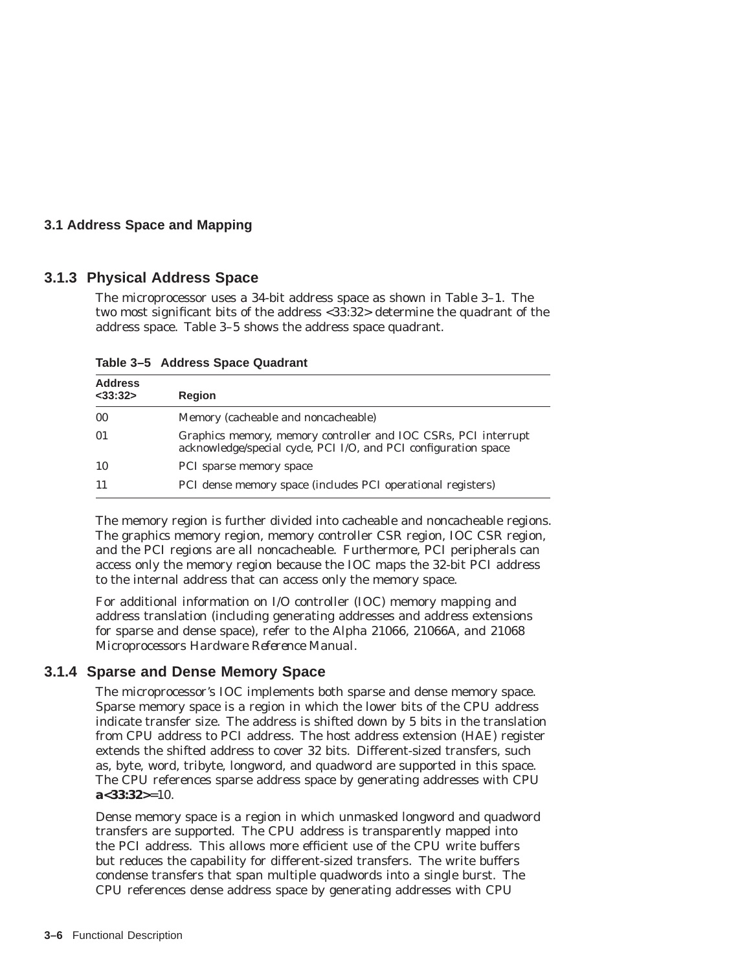## **3.1 Address Space and Mapping**

## **3.1.3 Physical Address Space**

The microprocessor uses a 34-bit address space as shown in Table 3–1. The two most significant bits of the address <33:32> determine the quadrant of the address space. Table 3–5 shows the address space quadrant.

| <b>Address</b><br>$<$ 33:32 $>$ | <b>Region</b>                                                                                                                     |
|---------------------------------|-----------------------------------------------------------------------------------------------------------------------------------|
| 00                              | Memory (cacheable and noncacheable)                                                                                               |
| 01                              | Graphics memory, memory controller and IOC CSRs, PCI interrupt<br>acknowledge/special cycle, PCI I/O, and PCI configuration space |
| 10                              | PCI sparse memory space                                                                                                           |
| 11                              | PCI dense memory space (includes PCI operational registers)                                                                       |

**Table 3–5 Address Space Quadrant**

The memory region is further divided into cacheable and noncacheable regions. The graphics memory region, memory controller CSR region, IOC CSR region, and the PCI regions are all noncacheable. Furthermore, PCI peripherals can access only the memory region because the IOC maps the 32-bit PCI address to the internal address that can access only the memory space.

For additional information on I/O controller (IOC) memory mapping and address translation (including generating addresses and address extensions for sparse and dense space), refer to the *Alpha 21066, 21066A, and 21068 Microprocessors Hardware Reference Manual*.

## **3.1.4 Sparse and Dense Memory Space**

The microprocessor's IOC implements both sparse and dense memory space. Sparse memory space is a region in which the lower bits of the CPU address indicate transfer size. The address is shifted down by 5 bits in the translation from CPU address to PCI address. The host address extension (HAE) register extends the shifted address to cover 32 bits. Different-sized transfers, such as, byte, word, tribyte, longword, and quadword are supported in this space. The CPU references sparse address space by generating addresses with CPU **a<33:32>**=10.

Dense memory space is a region in which unmasked longword and quadword transfers are supported. The CPU address is transparently mapped into the PCI address. This allows more efficient use of the CPU write buffers but reduces the capability for different-sized transfers. The write buffers condense transfers that span multiple quadwords into a single burst. The CPU references dense address space by generating addresses with CPU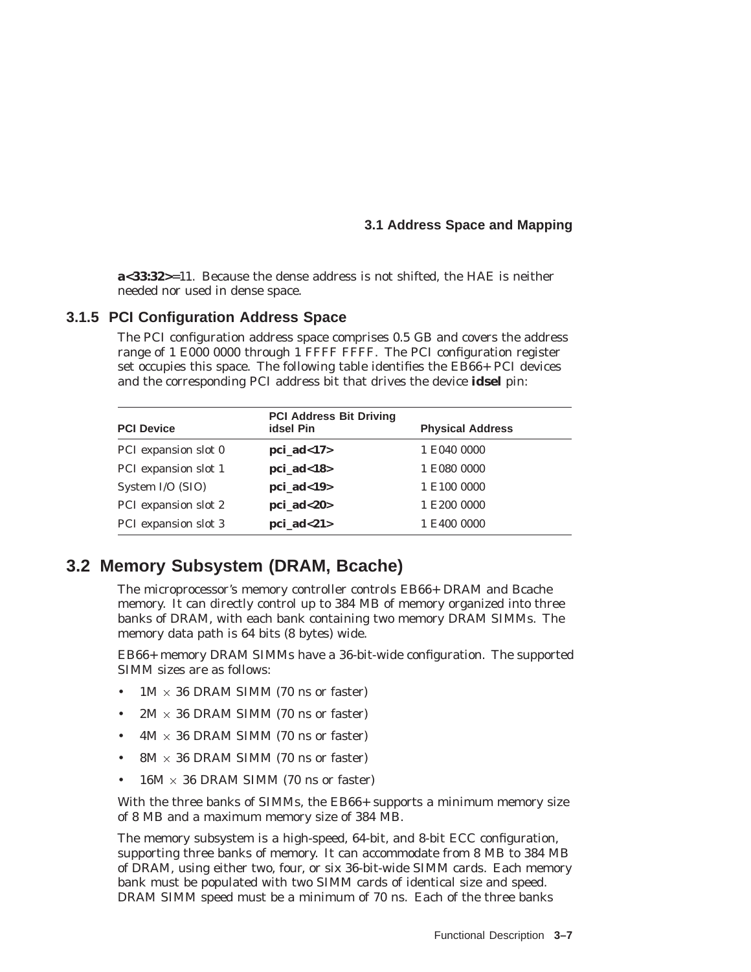## **3.1 Address Space and Mapping**

**a<33:32>**=11. Because the dense address is not shifted, the HAE is neither needed nor used in dense space.

## **3.1.5 PCI Configuration Address Space**

The PCI configuration address space comprises 0.5 GB and covers the address range of 1 E000 0000 through 1 FFFF FFFF. The PCI configuration register set occupies this space. The following table identifies the EB66+ PCI devices and the corresponding PCI address bit that drives the device **idsel** pin:

| <b>PCI Device</b>    | <b>PCI Address Bit Driving</b><br>idsel Pin | <b>Physical Address</b> |
|----------------------|---------------------------------------------|-------------------------|
| PCI expansion slot 0 | $pci\_ad<17>$                               | 1 E040 0000             |
| PCI expansion slot 1 | $pci\_ad<18$                                | 1 E080 0000             |
| System I/O (SIO)     | pci $ad<19>$                                | 1 E100 0000             |
| PCI expansion slot 2 | $pci\_ad < 20$                              | 1 E200 0000             |
| PCI expansion slot 3 | $pci\_ad<21$                                | 1 E400 0000             |

## **3.2 Memory Subsystem (DRAM, Bcache)**

The microprocessor's memory controller controls EB66+ DRAM and Bcache memory. It can directly control up to 384 MB of memory organized into three banks of DRAM, with each bank containing two memory DRAM SIMMs. The memory data path is 64 bits (8 bytes) wide.

EB66+ memory DRAM SIMMs have a 36-bit-wide configuration. The supported SIMM sizes are as follows:

- $1M \times 36$  DRAM SIMM (70 ns or faster)
- $2M \times 36$  DRAM SIMM (70 ns or faster)
- $4M \times 36$  DRAM SIMM (70 ns or faster)
- 8M  $\times$  36 DRAM SIMM (70 ns or faster)
- $16M \times 36$  DRAM SIMM (70 ns or faster)

With the three banks of SIMMs, the EB66+ supports a minimum memory size of 8 MB and a maximum memory size of 384 MB.

The memory subsystem is a high-speed, 64-bit, and 8-bit ECC configuration, supporting three banks of memory. It can accommodate from 8 MB to 384 MB of DRAM, using either two, four, or six 36-bit-wide SIMM cards. Each memory bank must be populated with two SIMM cards of identical size and speed. DRAM SIMM speed must be a minimum of 70 ns. Each of the three banks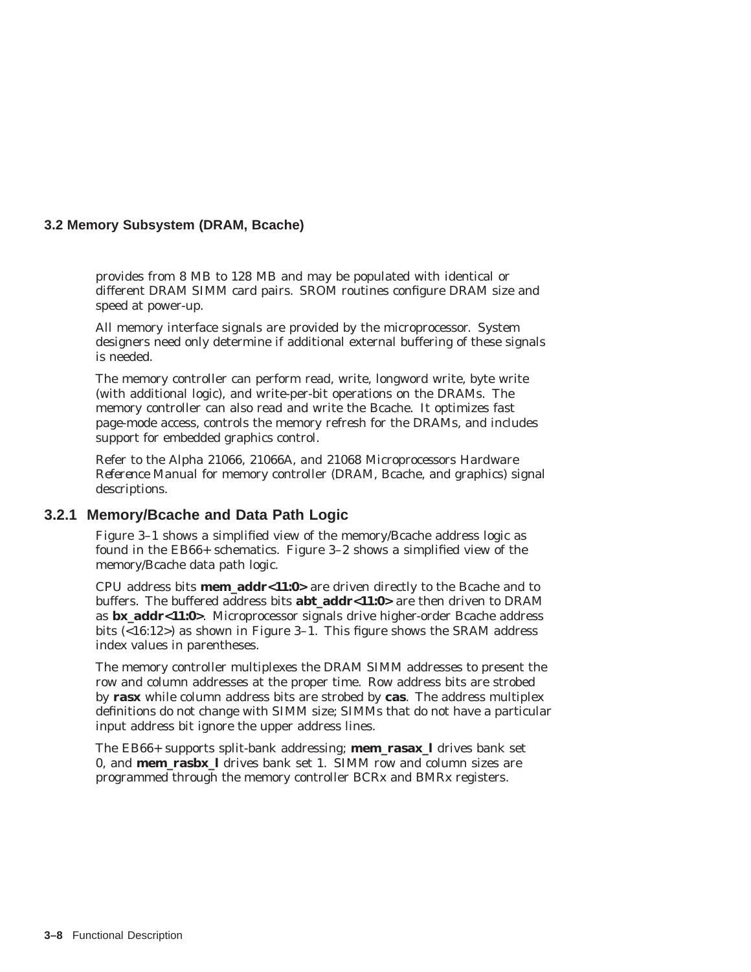provides from 8 MB to 128 MB and may be populated with identical or different DRAM SIMM card pairs. SROM routines configure DRAM size and speed at power-up.

All memory interface signals are provided by the microprocessor. System designers need only determine if additional external buffering of these signals is needed.

The memory controller can perform read, write, longword write, byte write (with additional logic), and write-per-bit operations on the DRAMs. The memory controller can also read and write the Bcache. It optimizes fast page-mode access, controls the memory refresh for the DRAMs, and includes support for embedded graphics control.

Refer to the *Alpha 21066, 21066A, and 21068 Microprocessors Hardware Reference Manual* for memory controller (DRAM, Bcache, and graphics) signal descriptions.

## **3.2.1 Memory/Bcache and Data Path Logic**

Figure 3–1 shows a simplified view of the memory/Bcache address logic as found in the EB66+ schematics. Figure 3–2 shows a simplified view of the memory/Bcache data path logic.

CPU address bits **mem\_addr<11:0>** are driven directly to the Bcache and to buffers. The buffered address bits **abt\_addr<11:0>** are then driven to DRAM as **bx\_addr<11:0>**. Microprocessor signals drive higher-order Bcache address bits (<16:12>) as shown in Figure 3–1. This figure shows the SRAM address index values in parentheses.

The memory controller multiplexes the DRAM SIMM addresses to present the row and column addresses at the proper time. Row address bits are strobed by **rasx** while column address bits are strobed by **cas**. The address multiplex definitions do not change with SIMM size; SIMMs that do not have a particular input address bit ignore the upper address lines.

The EB66+ supports split-bank addressing; **mem\_rasax\_l** drives bank set 0, and **mem\_rasbx\_l** drives bank set 1. SIMM row and column sizes are programmed through the memory controller BCRx and BMRx registers.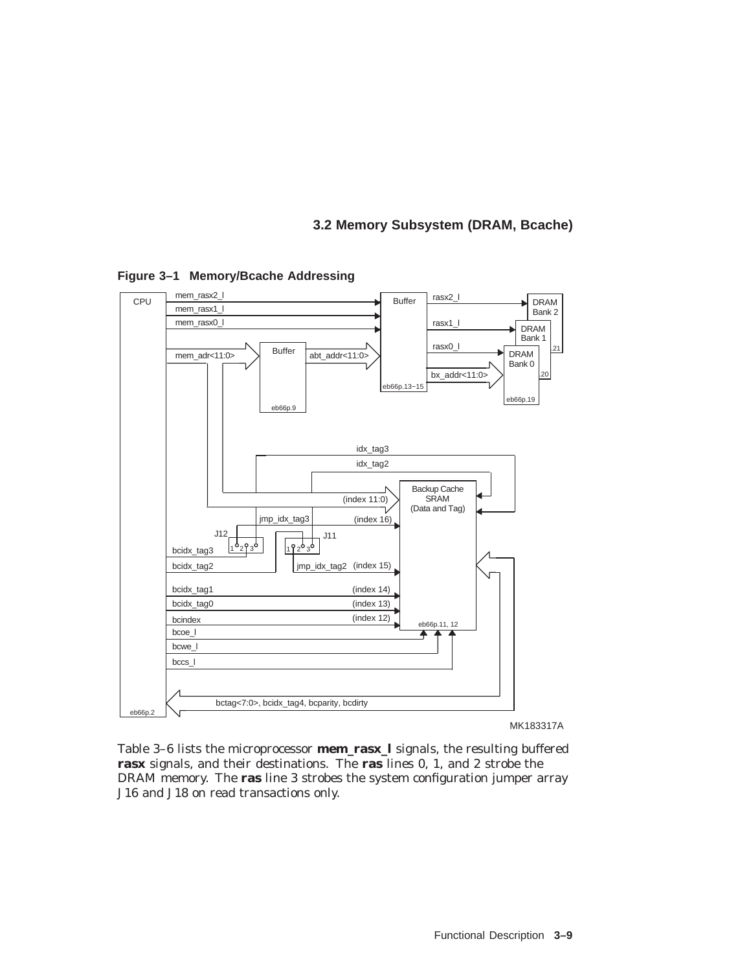

#### **Figure 3–1 Memory/Bcache Addressing**

MK183317A

Table 3–6 lists the microprocessor **mem\_rasx\_l** signals, the resulting buffered **rasx** signals, and their destinations. The **ras** lines 0, 1, and 2 strobe the DRAM memory. The **ras** line 3 strobes the system configuration jumper array J16 and J18 on read transactions only.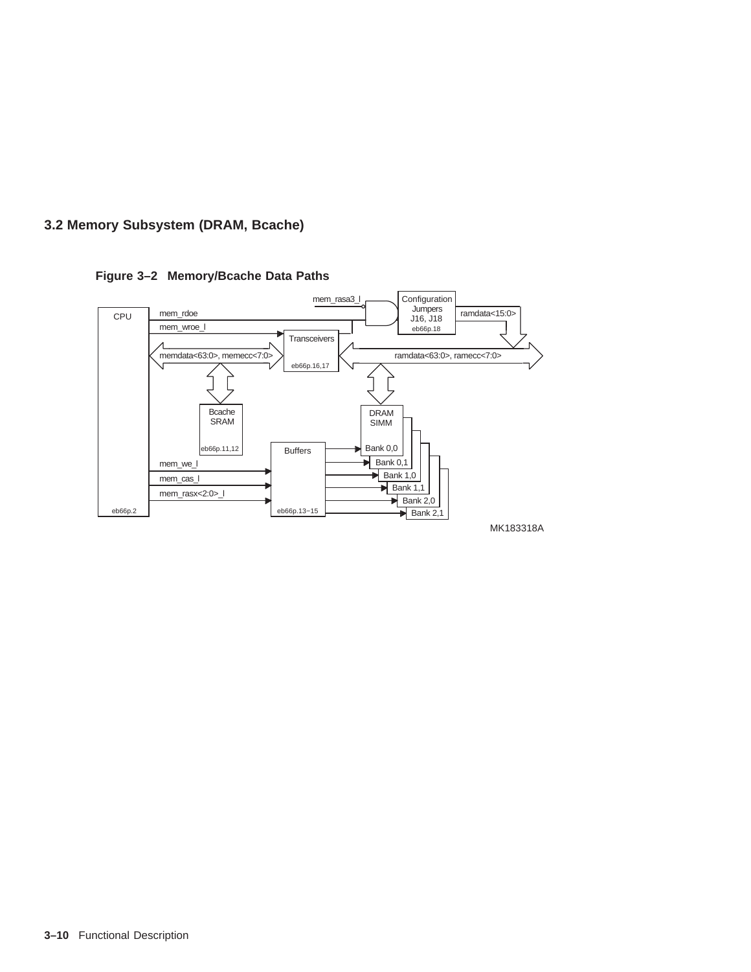**Figure 3–2 Memory/Bcache Data Paths**



**3–10** Functional Description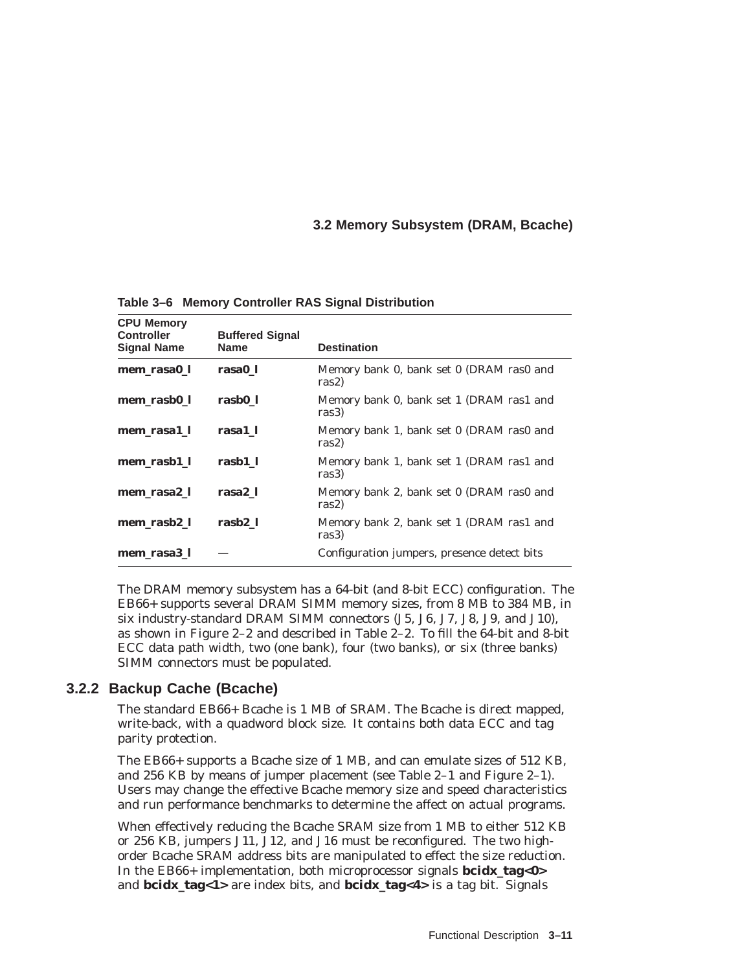**CPU Memory Controller Signal Name Buffered Signal Destination mem\_rasa0\_l rasa0\_l** Memory bank 0, bank set 0 (DRAM ras0 and ras2) **mem\_rasb0\_l rasb0\_l** Memory bank 0, bank set 1 (DRAM ras1 and ras3) **mem\_rasa1\_l rasa1\_l** Memory bank 1, bank set 0 (DRAM ras0 and ras2) **mem\_rasb1\_l rasb1\_l** Memory bank 1, bank set 1 (DRAM ras1 and ras3) **mem\_rasa2\_l rasa2\_l** Memory bank 2, bank set 0 (DRAM ras0 and ras2) **mem\_rasb2\_l rasb2\_l** Memory bank 2, bank set 1 (DRAM ras1 and ras3) **mem\_rasa3\_l** — Configuration jumpers, presence detect bits

**Table 3–6 Memory Controller RAS Signal Distribution**

The DRAM memory subsystem has a 64-bit (and 8-bit ECC) configuration. The EB66+ supports several DRAM SIMM memory sizes, from 8 MB to 384 MB, in six industry-standard DRAM SIMM connectors (J5, J6, J7, J8, J9, and J10), as shown in Figure 2–2 and described in Table 2–2. To fill the 64-bit and 8-bit ECC data path width, two (one bank), four (two banks), or six (three banks) SIMM connectors must be populated.

## **3.2.2 Backup Cache (Bcache)**

The standard EB66+ Bcache is 1 MB of SRAM. The Bcache is direct mapped, write-back, with a quadword block size. It contains both data ECC and tag parity protection.

The EB66+ supports a Bcache size of 1 MB, and can emulate sizes of 512 KB, and 256 KB by means of jumper placement (see Table 2–1 and Figure 2–1). Users may change the effective Bcache memory size and speed characteristics and run performance benchmarks to determine the affect on actual programs.

When effectively reducing the Bcache SRAM size from 1 MB to either 512 KB or 256 KB, jumpers J11, J12, and J16 must be reconfigured. The two highorder Bcache SRAM address bits are manipulated to effect the size reduction. In the EB66+ implementation, both microprocessor signals **bcidx\_tag<0>** and **bcidx\_tag<1>** are index bits, and **bcidx\_tag<4>** is a tag bit. Signals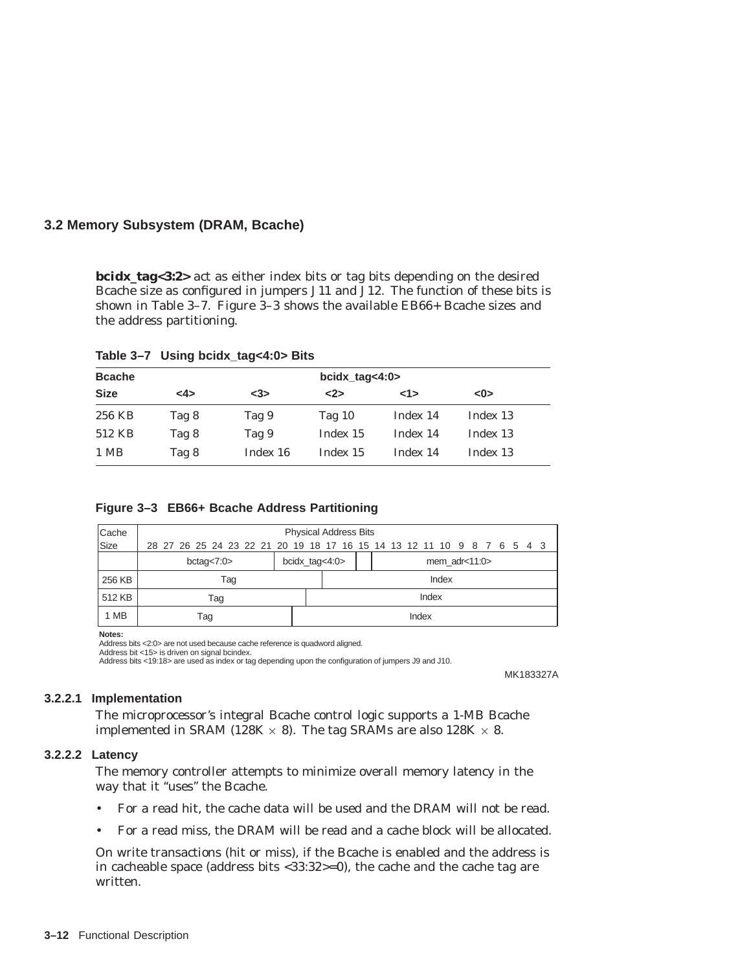**bcidx\_tag<3:2>** act as either index bits or tag bits depending on the desired Bcache size as configured in jumpers J11 and J12. The function of these bits is shown in Table 3–7. Figure 3–3 shows the available EB66+ Bcache sizes and the address partitioning.

| Table 3-7 Using bcidx_tag<4:0> Bits |  |  |  |  |  |
|-------------------------------------|--|--|--|--|--|
|-------------------------------------|--|--|--|--|--|

| <b>Bcache</b> |       |          | $bcidx\_tag<4:0>$ |          |          |  |
|---------------|-------|----------|-------------------|----------|----------|--|
| <b>Size</b>   | <4>   | $3$      | $2>$              | 1>       | <0>      |  |
| 256 KB        | Tag 8 | Tag 9    | Tag $10$          | Index 14 | Index 13 |  |
| 512 KB        | Tag 8 | Tag 9    | Index 15          | Index 14 | Index 13 |  |
| 1 MB          | Tag 8 | Index 16 | Index 15          | Index 14 | Index 13 |  |

#### **Figure 3–3 EB66+ Bcache Address Partitioning**

| Cache       |                                                                        | <b>Physical Address Bits</b> |  |  |  |  |       |                    |  |  |  |  |
|-------------|------------------------------------------------------------------------|------------------------------|--|--|--|--|-------|--------------------|--|--|--|--|
| <b>Size</b> | 28 27 26 25 24 23 22 21 20 19 18 17 16 15 14 13 12 11 10 9 8 7 6 5 4 3 |                              |  |  |  |  |       |                    |  |  |  |  |
|             | bcidx_tag<4:0><br>bctag $<$ 7:0 $>$                                    |                              |  |  |  |  |       | mem $\arccos 11:0$ |  |  |  |  |
| 256 KB      | Tag                                                                    |                              |  |  |  |  |       | Index              |  |  |  |  |
| 512 KB      | Tag                                                                    |                              |  |  |  |  | Index |                    |  |  |  |  |
| 1 MB        | Tag                                                                    |                              |  |  |  |  | Index |                    |  |  |  |  |

**Notes:**

Address bits <2:0> are not used because cache reference is quadword aligned. Address bit <15> is driven on signal bcindex.

Address bits <19:18> are used as index or tag depending upon the configuration of jumpers J9 and J10.

MK183327A

#### **3.2.2.1 Implementation**

The microprocessor's integral Bcache control logic supports a 1-MB Bcache implemented in SRAM (128K  $\times$  8). The tag SRAMs are also 128K  $\times$  8.

#### **3.2.2.2 Latency**

The memory controller attempts to minimize overall memory latency in the way that it "uses" the Bcache.

- For a read hit, the cache data will be used and the DRAM will not be read.
- For a read miss, the DRAM will be read and a cache block will be allocated.

On write transactions (hit or miss), if the Bcache is enabled and the address is in cacheable space (address bits <33:32>=0), the cache and the cache tag are written.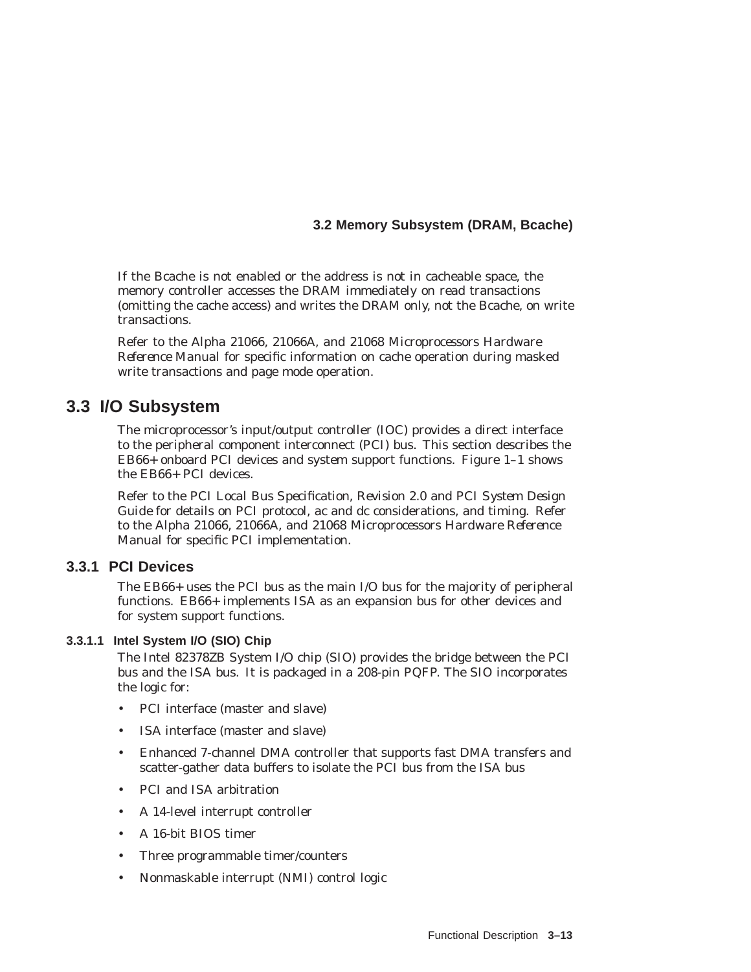If the Bcache is not enabled or the address is not in cacheable space, the memory controller accesses the DRAM immediately on read transactions (omitting the cache access) and writes the DRAM only, not the Bcache, on write transactions.

Refer to the *Alpha 21066, 21066A, and 21068 Microprocessors Hardware Reference Manual* for specific information on cache operation during masked write transactions and page mode operation.

## **3.3 I/O Subsystem**

The microprocessor's input/output controller (IOC) provides a direct interface to the peripheral component interconnect (PCI) bus. This section describes the EB66+ onboard PCI devices and system support functions. Figure 1–1 shows the EB66+ PCI devices.

Refer to the *PCI Local Bus Specification, Revision 2.0* and *PCI System Design Guide* for details on PCI protocol, ac and dc considerations, and timing. Refer to the *Alpha 21066, 21066A, and 21068 Microprocessors Hardware Reference Manual* for specific PCI implementation.

## **3.3.1 PCI Devices**

The EB66+ uses the PCI bus as the main I/O bus for the majority of peripheral functions. EB66+ implements ISA as an expansion bus for other devices and for system support functions.

#### **3.3.1.1 Intel System I/O (SIO) Chip**

The Intel 82378ZB System I/O chip (SIO) provides the bridge between the PCI bus and the ISA bus. It is packaged in a 208-pin PQFP. The SIO incorporates the logic for:

- PCI interface (master and slave)
- ISA interface (master and slave)
- Enhanced 7-channel DMA controller that supports fast DMA transfers and scatter-gather data buffers to isolate the PCI bus from the ISA bus
- PCI and ISA arbitration
- A 14-level interrupt controller
- A 16-bit BIOS timer
- Three programmable timer/counters
- Nonmaskable interrupt (NMI) control logic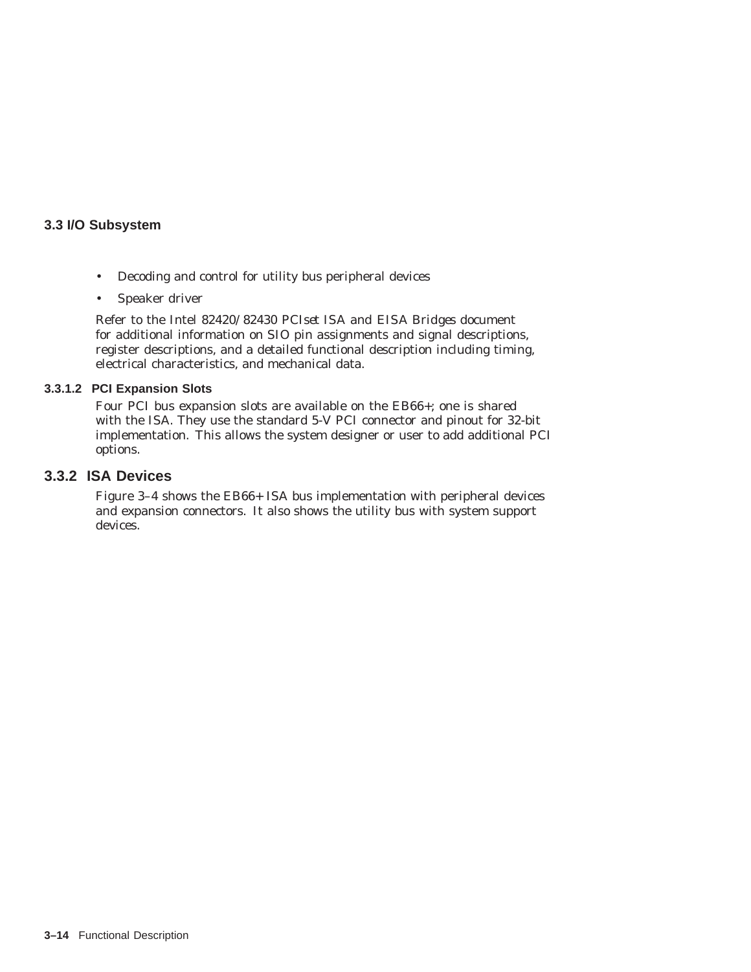- Decoding and control for utility bus peripheral devices
- Speaker driver

Refer to the Intel *82420/82430 PCIset ISA and EISA Bridges* document for additional information on SIO pin assignments and signal descriptions, register descriptions, and a detailed functional description including timing, electrical characteristics, and mechanical data.

#### **3.3.1.2 PCI Expansion Slots**

Four PCI bus expansion slots are available on the EB66+; one is shared with the ISA. They use the standard 5-V PCI connector and pinout for 32-bit implementation. This allows the system designer or user to add additional PCI options.

## **3.3.2 ISA Devices**

Figure 3–4 shows the EB66+ ISA bus implementation with peripheral devices and expansion connectors. It also shows the utility bus with system support devices.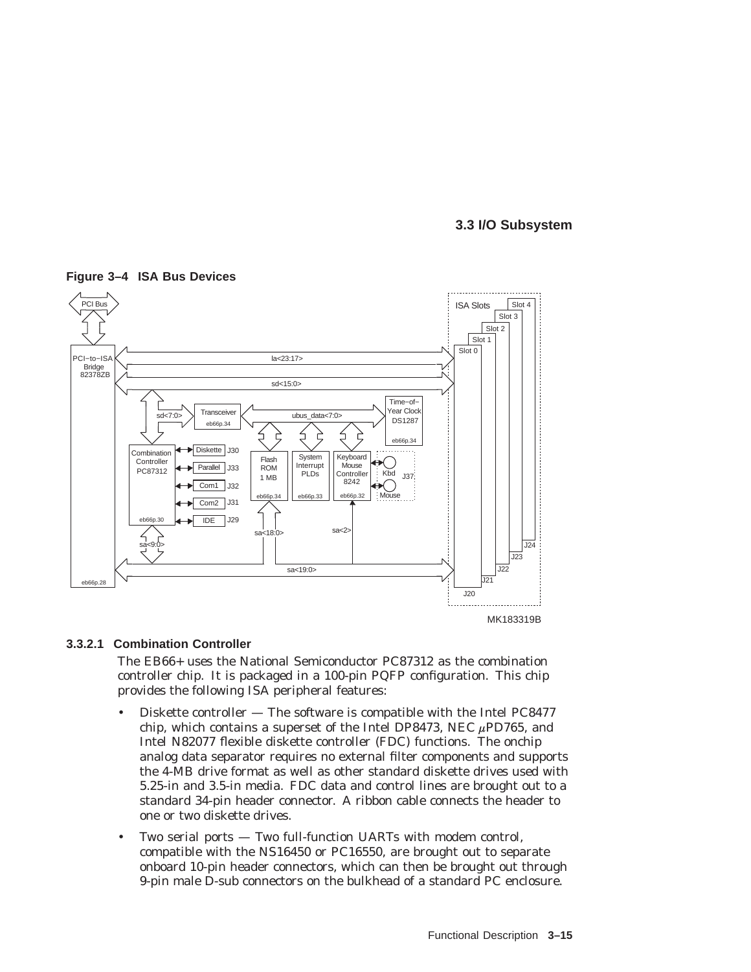

#### **Figure 3–4 ISA Bus Devices**

#### **3.3.2.1 Combination Controller**

The EB66+ uses the National Semiconductor PC87312 as the combination controller chip. It is packaged in a 100-pin PQFP configuration. This chip provides the following ISA peripheral features:

- Diskette controller The software is compatible with the Intel PC8477 chip, which contains a superset of the Intel DP8473, NEC  $\mu$ PD765, and Intel N82077 flexible diskette controller (FDC) functions. The onchip analog data separator requires no external filter components and supports the 4-MB drive format as well as other standard diskette drives used with 5.25-in and 3.5-in media. FDC data and control lines are brought out to a standard 34-pin header connector. A ribbon cable connects the header to one or two diskette drives.
- Two serial ports Two full-function UARTs with modem control, compatible with the NS16450 or PC16550, are brought out to separate onboard 10-pin header connectors, which can then be brought out through 9-pin male D-sub connectors on the bulkhead of a standard PC enclosure.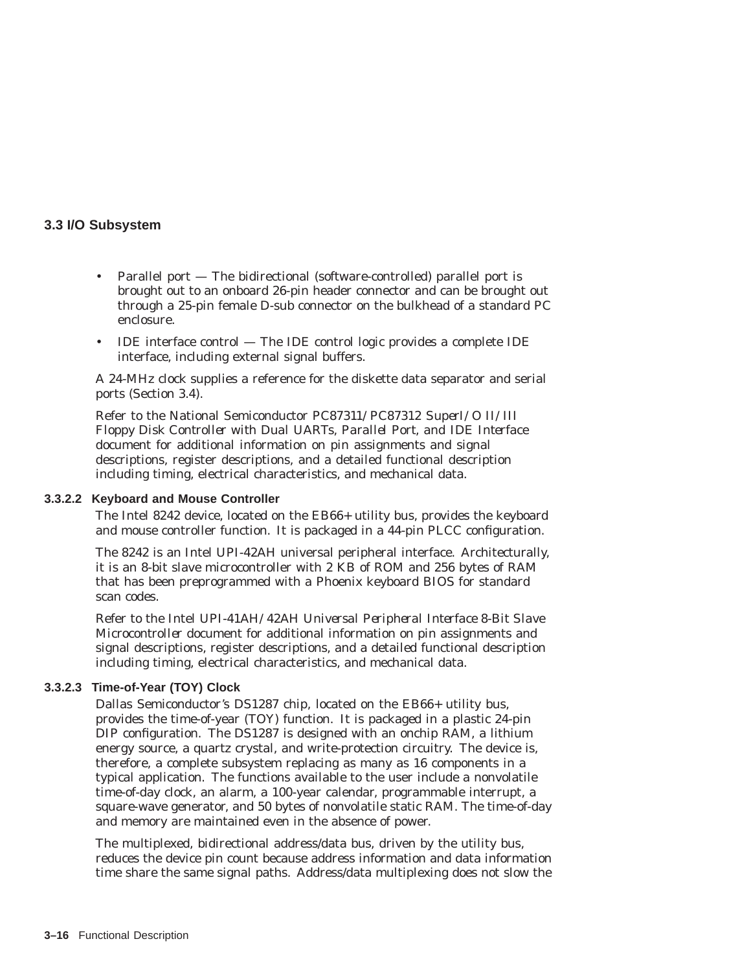- Parallel port The bidirectional (software-controlled) parallel port is brought out to an onboard 26-pin header connector and can be brought out through a 25-pin female D-sub connector on the bulkhead of a standard PC enclosure.
- IDE interface control The IDE control logic provides a complete IDE interface, including external signal buffers.

A 24-MHz clock supplies a reference for the diskette data separator and serial ports (Section 3.4).

Refer to the National Semiconductor *PC87311/PC87312 SuperI/O II/III Floppy Disk Controller with Dual UARTs, Parallel Port, and IDE Interface* document for additional information on pin assignments and signal descriptions, register descriptions, and a detailed functional description including timing, electrical characteristics, and mechanical data.

#### **3.3.2.2 Keyboard and Mouse Controller**

The Intel 8242 device, located on the EB66+ utility bus, provides the keyboard and mouse controller function. It is packaged in a 44-pin PLCC configuration.

The 8242 is an Intel UPI-42AH universal peripheral interface. Architecturally, it is an 8-bit slave microcontroller with 2 KB of ROM and 256 bytes of RAM that has been preprogrammed with a Phoenix keyboard BIOS for standard scan codes.

Refer to the Intel *UPI-41AH/42AH Universal Peripheral Interface 8-Bit Slave Microcontroller* document for additional information on pin assignments and signal descriptions, register descriptions, and a detailed functional description including timing, electrical characteristics, and mechanical data.

## **3.3.2.3 Time-of-Year (TOY) Clock**

Dallas Semiconductor's DS1287 chip, located on the EB66+ utility bus, provides the time-of-year (TOY) function. It is packaged in a plastic 24-pin DIP configuration. The DS1287 is designed with an onchip RAM, a lithium energy source, a quartz crystal, and write-protection circuitry. The device is, therefore, a complete subsystem replacing as many as 16 components in a typical application. The functions available to the user include a nonvolatile time-of-day clock, an alarm, a 100-year calendar, programmable interrupt, a square-wave generator, and 50 bytes of nonvolatile static RAM. The time-of-day and memory are maintained even in the absence of power.

The multiplexed, bidirectional address/data bus, driven by the utility bus, reduces the device pin count because address information and data information time share the same signal paths. Address/data multiplexing does not slow the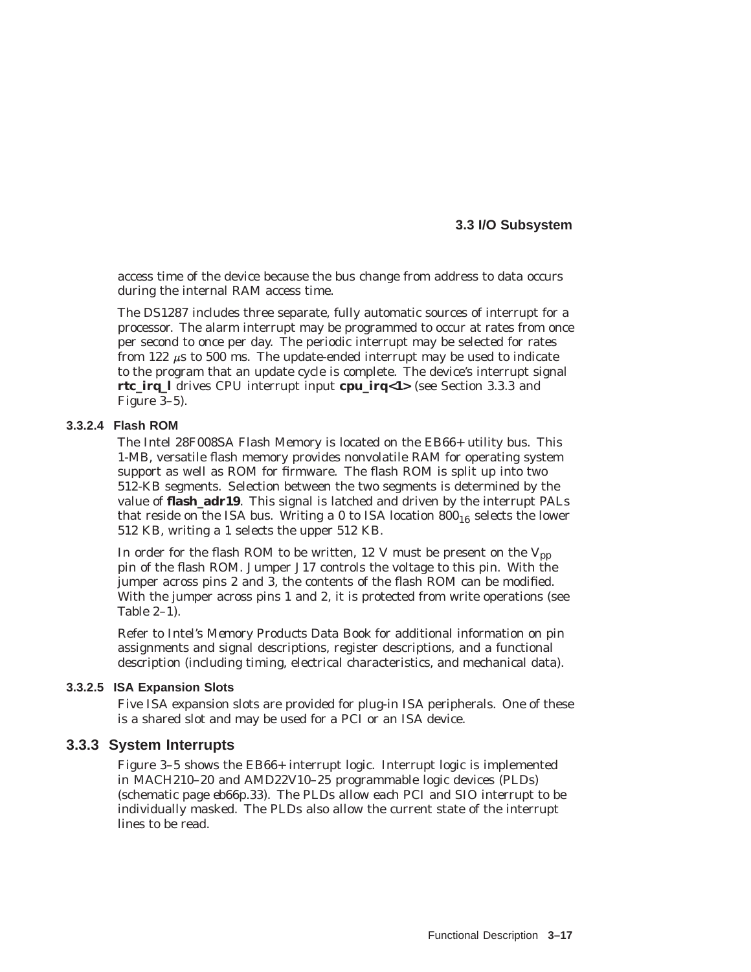access time of the device because the bus change from address to data occurs during the internal RAM access time.

The DS1287 includes three separate, fully automatic sources of interrupt for a processor. The alarm interrupt may be programmed to occur at rates from once per second to once per day. The periodic interrupt may be selected for rates from 122  $\mu$ s to 500 ms. The update-ended interrupt may be used to indicate to the program that an update cycle is complete. The device's interrupt signal **rtc\_irq\_l** drives CPU interrupt input **cpu\_irq<1>** (see Section 3.3.3 and Figure 3–5).

## **3.3.2.4 Flash ROM**

The Intel 28F008SA Flash Memory is located on the EB66+ utility bus. This 1-MB, versatile flash memory provides nonvolatile RAM for operating system support as well as ROM for firmware. The flash ROM is split up into two 512-KB segments. Selection between the two segments is determined by the value of **flash adr19**. This signal is latched and driven by the interrupt PALs that reside on the ISA bus. Writing a 0 to ISA location  $800_{16}$  selects the lower 512 KB, writing a 1 selects the upper 512 KB.

In order for the flash ROM to be written, 12 V must be present on the  $V_{\text{pp}}$ pin of the flash ROM. Jumper J17 controls the voltage to this pin. With the jumper across pins 2 and 3, the contents of the flash ROM can be modified. With the jumper across pins 1 and 2, it is protected from write operations (see Table 2–1).

Refer to Intel's *Memory Products Data Book* for additional information on pin assignments and signal descriptions, register descriptions, and a functional description (including timing, electrical characteristics, and mechanical data).

#### **3.3.2.5 ISA Expansion Slots**

Five ISA expansion slots are provided for plug-in ISA peripherals. One of these is a shared slot and may be used for a PCI or an ISA device.

#### **3.3.3 System Interrupts**

Figure 3–5 shows the EB66+ interrupt logic. Interrupt logic is implemented in MACH210–20 and AMD22V10–25 programmable logic devices (PLDs) (schematic page *eb66p.33*). The PLDs allow each PCI and SIO interrupt to be individually masked. The PLDs also allow the current state of the interrupt lines to be read.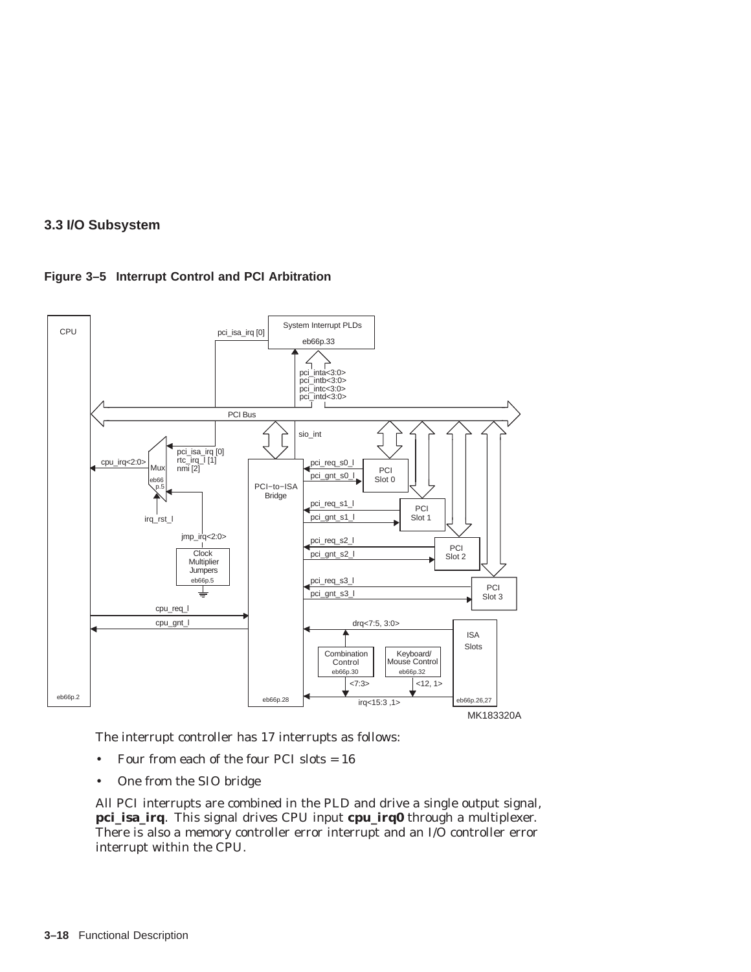



The interrupt controller has 17 interrupts as follows:

- Four from each of the four PCI slots = 16
- One from the SIO bridge

All PCI interrupts are combined in the PLD and drive a single output signal, **pci\_isa\_irq**. This signal drives CPU input **cpu\_irq0** through a multiplexer. There is also a memory controller error interrupt and an I/O controller error interrupt within the CPU.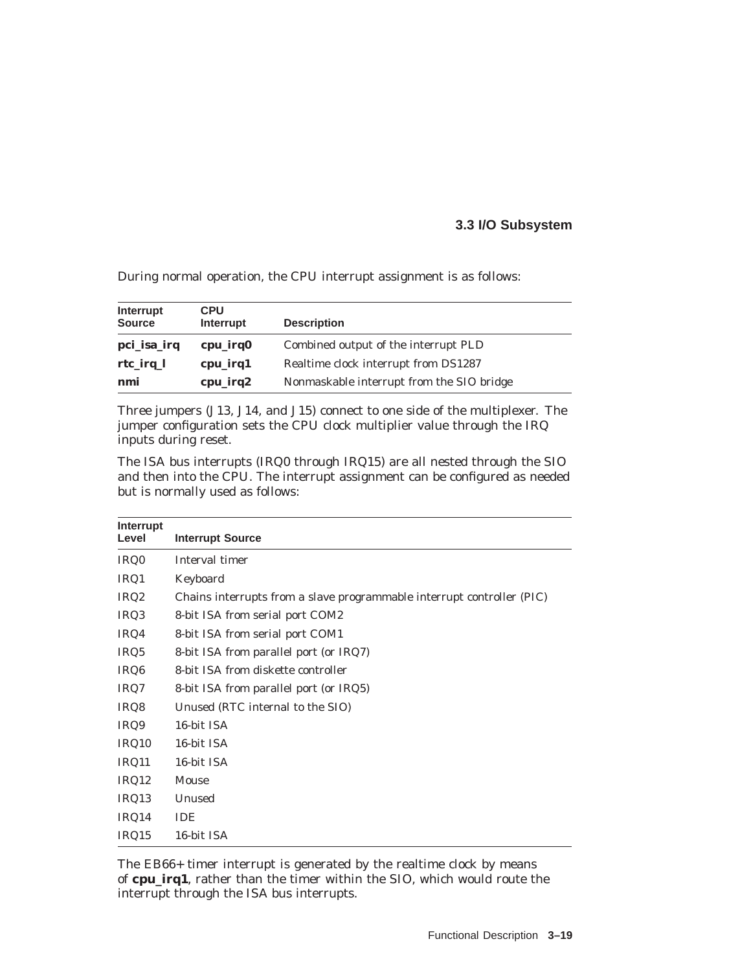During normal operation, the CPU interrupt assignment is as follows:

| Interrupt<br><b>Source</b> | <b>CPU</b><br>Interrupt | <b>Description</b>                        |
|----------------------------|-------------------------|-------------------------------------------|
| pci_isa_irq                | cpu_irq0                | Combined output of the interrupt PLD      |
| rtc_irq_l                  | cpu_irq1                | Realtime clock interrupt from DS1287      |
| nmi                        | cpu_irq2                | Nonmaskable interrupt from the SIO bridge |

Three jumpers (J13, J14, and J15) connect to one side of the multiplexer. The jumper configuration sets the CPU clock multiplier value through the IRQ inputs during reset.

The ISA bus interrupts (IRQ0 through IRQ15) are all nested through the SIO and then into the CPU. The interrupt assignment can be configured as needed but is normally used as follows:

| Interrupt<br>Level | <b>Interrupt Source</b>                                                |
|--------------------|------------------------------------------------------------------------|
| IRQ0               | Interval timer                                                         |
| IRQ1               | Keyboard                                                               |
| IRQ <sub>2</sub>   | Chains interrupts from a slave programmable interrupt controller (PIC) |
| IRQ3               | 8-bit ISA from serial port COM2                                        |
| IRQ4               | 8-bit ISA from serial port COM1                                        |
| IRQ5               | 8-bit ISA from parallel port (or IRQ7)                                 |
| IRQ <sub>6</sub>   | 8-bit ISA from diskette controller                                     |
| IRQ7               | 8-bit ISA from parallel port (or IRQ5)                                 |
| IRQ8               | Unused (RTC internal to the SIO)                                       |
| IRQ9               | 16-bit ISA                                                             |
| IRQ10              | 16-bit ISA                                                             |
| IRQ11              | 16-bit ISA                                                             |
| IRQ12              | Mouse                                                                  |
| IRQ13              | Unused                                                                 |
| IRQ14              | <b>IDE</b>                                                             |
| IRQ15              | 16-bit ISA                                                             |

The EB66+ timer interrupt is generated by the realtime clock by means of **cpu\_irq1**, rather than the timer within the SIO, which would route the interrupt through the ISA bus interrupts.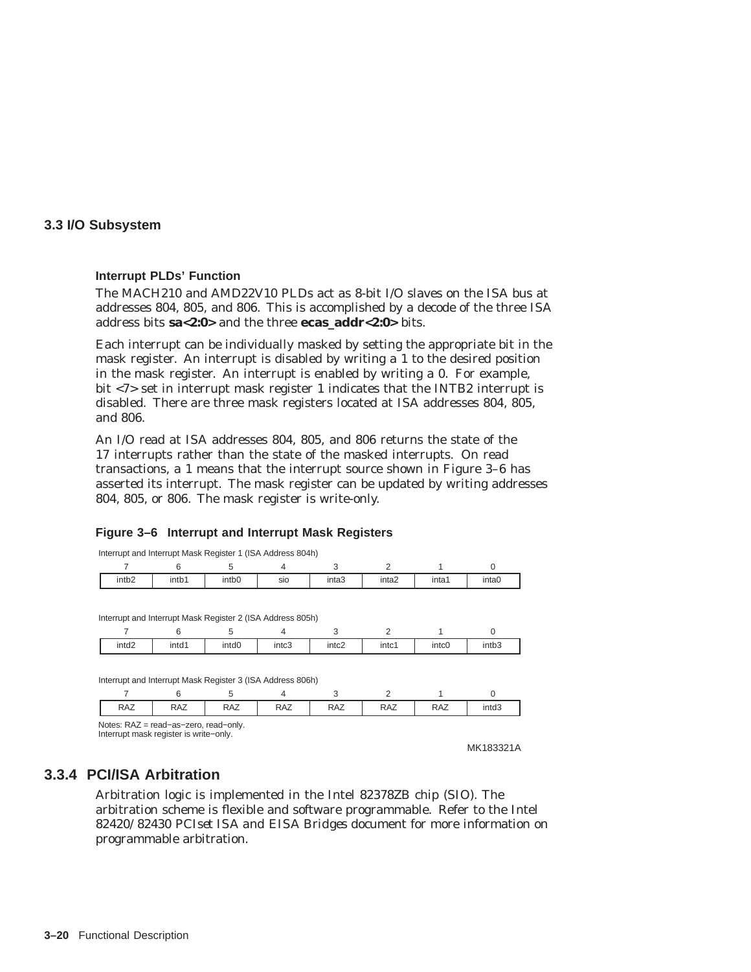#### **Interrupt PLDs' Function**

The MACH210 and AMD22V10 PLDs act as 8-bit I/O slaves on the ISA bus at addresses 804, 805, and 806. This is accomplished by a decode of the three ISA address bits **sa<2:0>** and the three **ecas\_addr<2:0>** bits.

Each interrupt can be individually masked by setting the appropriate bit in the mask register. An interrupt is disabled by writing a 1 to the desired position in the mask register. An interrupt is enabled by writing a 0. For example, bit <7> set in interrupt mask register 1 indicates that the INTB2 interrupt is disabled. There are three mask registers located at ISA addresses 804, 805, and 806.

An I/O read at ISA addresses 804, 805, and 806 returns the state of the 17 interrupts rather than the state of the masked interrupts. On read transactions, a 1 means that the interrupt source shown in Figure 3–6 has asserted its interrupt. The mask register can be updated by writing addresses 804, 805, or 806. The mask register is write-only.

## **Figure 3–6 Interrupt and Interrupt Mask Registers**

| Interrupt and Interrupt Mask Register 1 (ISA Address 804h)                      |            |                   |            |                   |                   |            |           |
|---------------------------------------------------------------------------------|------------|-------------------|------------|-------------------|-------------------|------------|-----------|
|                                                                                 | 6          | 5                 | 4          | 3                 | 2                 |            | $\Omega$  |
| intb <sub>2</sub>                                                               | intb1      | intb <sub>0</sub> | sio        | inta <sub>3</sub> | inta <sub>2</sub> | inta1      | inta0     |
|                                                                                 |            |                   |            |                   |                   |            |           |
| Interrupt and Interrupt Mask Register 2 (ISA Address 805h)                      |            |                   |            |                   |                   |            |           |
|                                                                                 | 6          | 5                 | 4          | 3                 | 2                 |            | $\Omega$  |
| intd <sub>2</sub>                                                               | intd1      | intd <sub>0</sub> | intc3      | intc <sub>2</sub> | intc1             | intc0      | intb3     |
|                                                                                 |            |                   |            |                   |                   |            |           |
| Interrupt and Interrupt Mask Register 3 (ISA Address 806h)                      |            |                   |            |                   |                   |            |           |
|                                                                                 | 6          | 5                 | 4          | 3                 | 2                 |            | $\Omega$  |
| <b>RAZ</b>                                                                      | <b>RAZ</b> | <b>RAZ</b>        | <b>RAZ</b> | <b>RAZ</b>        | <b>RAZ</b>        | <b>RAZ</b> | intd3     |
| Notes: RAZ = read-as-zero, read-only.<br>Interrupt mask register is write-only. |            |                   |            |                   |                   |            | MK183321A |

## **3.3.4 PCI/ISA Arbitration**

Arbitration logic is implemented in the Intel 82378ZB chip (SIO). The arbitration scheme is flexible and software programmable. Refer to the Intel *82420/82430 PCIset ISA and EISA Bridges* document for more information on programmable arbitration.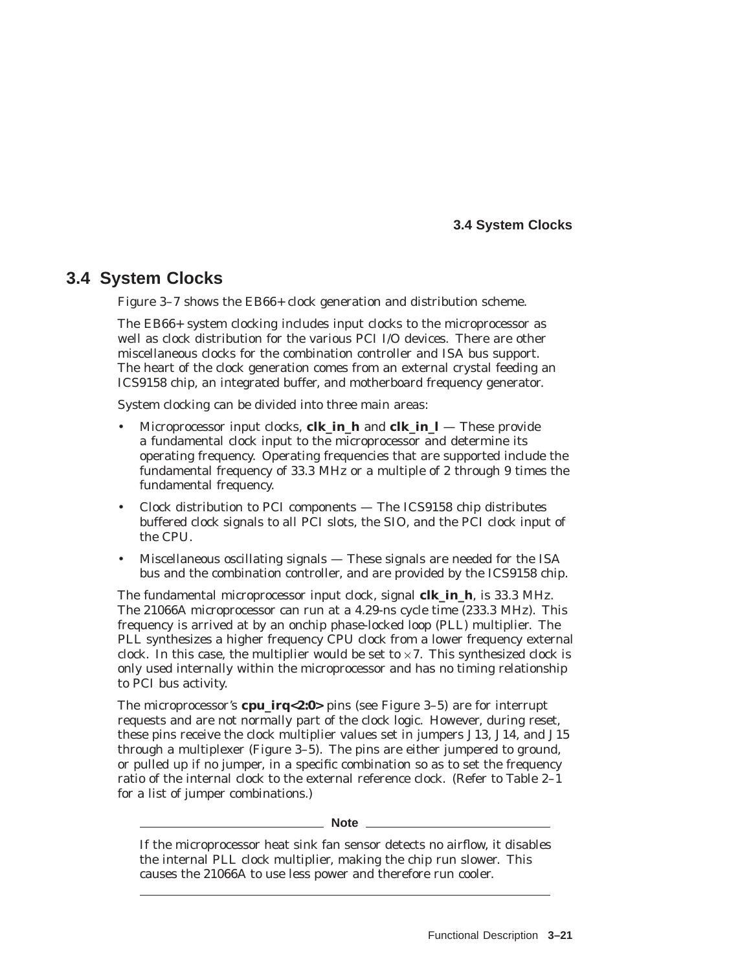## **3.4 System Clocks**

## **3.4 System Clocks**

Figure 3–7 shows the EB66+ clock generation and distribution scheme.

The EB66+ system clocking includes input clocks to the microprocessor as well as clock distribution for the various PCI I/O devices. There are other miscellaneous clocks for the combination controller and ISA bus support. The heart of the clock generation comes from an external crystal feeding an ICS9158 chip, an integrated buffer, and motherboard frequency generator.

System clocking can be divided into three main areas:

- Microprocessor input clocks, **clk in h** and **clk in**  $l$  These provide a fundamental clock input to the microprocessor and determine its operating frequency. Operating frequencies that are supported include the fundamental frequency of 33.3 MHz or a multiple of 2 through 9 times the fundamental frequency.
- Clock distribution to PCI components The ICS9158 chip distributes buffered clock signals to all PCI slots, the SIO, and the PCI clock input of the CPU.
- Miscellaneous oscillating signals These signals are needed for the ISA bus and the combination controller, and are provided by the ICS9158 chip.

The fundamental microprocessor input clock, signal **clk\_in\_h**, is 33.3 MHz. The 21066A microprocessor can run at a 4.29-ns cycle time (233.3 MHz). This frequency is arrived at by an onchip phase-locked loop (PLL) multiplier. The PLL synthesizes a higher frequency CPU clock from a lower frequency external clock. In this case, the multiplier would be set to  $\times 7$ . This synthesized clock is only used internally within the microprocessor and has no timing relationship to PCI bus activity.

The microprocessor's **cpu\_irq<2:0>** pins (see Figure 3–5) are for interrupt requests and are not normally part of the clock logic. However, during reset, these pins receive the clock multiplier values set in jumpers J13, J14, and J15 through a multiplexer (Figure 3–5). The pins are either jumpered to ground, or pulled up if no jumper, in a specific combination so as to set the frequency ratio of the internal clock to the external reference clock. (Refer to Table 2–1 for a list of jumper combinations.)

**Note** \_\_

If the microprocessor heat sink fan sensor detects no airflow, it disables the internal PLL clock multiplier, making the chip run slower. This causes the 21066A to use less power and therefore run cooler.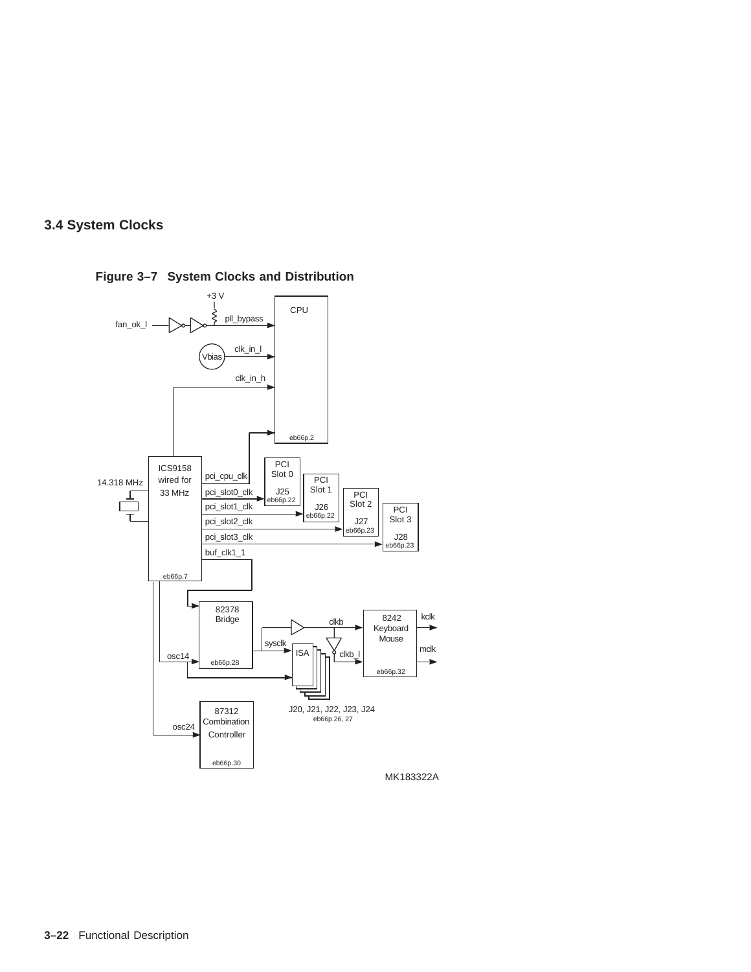



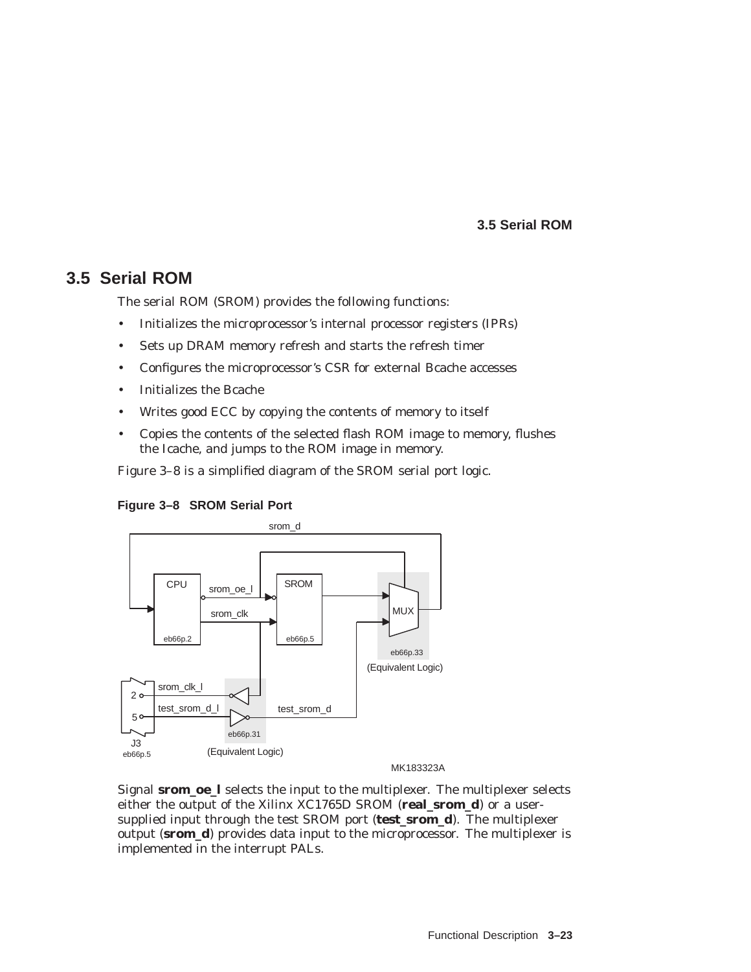## **3.5 Serial ROM**

## **3.5 Serial ROM**

The serial ROM (SROM) provides the following functions:

- Initializes the microprocessor's internal processor registers (IPRs)
- Sets up DRAM memory refresh and starts the refresh timer
- Configures the microprocessor's CSR for external Bcache accesses
- Initializes the Bcache
- Writes good ECC by copying the contents of memory to itself
- Copies the contents of the selected flash ROM image to memory, flushes the Icache, and jumps to the ROM image in memory.

Figure 3–8 is a simplified diagram of the SROM serial port logic.





MK183323A

Signal **srom\_oe\_l** selects the input to the multiplexer. The multiplexer selects either the output of the Xilinx XC1765D SROM (**real\_srom\_d**) or a usersupplied input through the test SROM port (**test\_srom\_d**). The multiplexer output (**srom\_d**) provides data input to the microprocessor. The multiplexer is implemented in the interrupt PALs.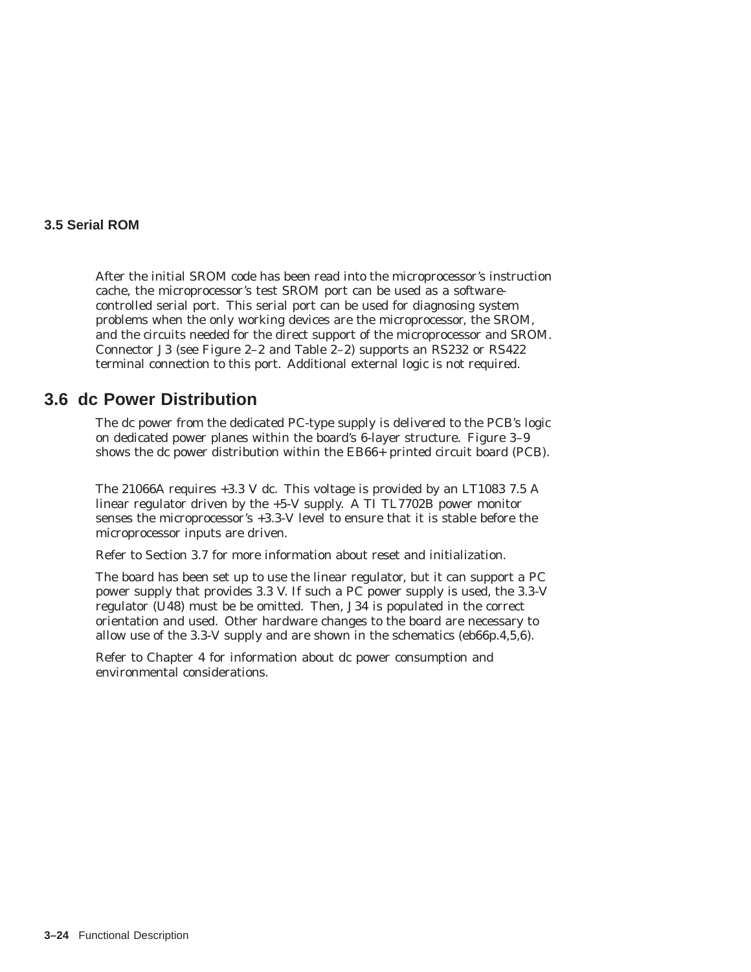#### **3.5 Serial ROM**

After the initial SROM code has been read into the microprocessor's instruction cache, the microprocessor's test SROM port can be used as a softwarecontrolled serial port. This serial port can be used for diagnosing system problems when the only working devices are the microprocessor, the SROM, and the circuits needed for the direct support of the microprocessor and SROM. Connector J3 (see Figure 2–2 and Table 2–2) supports an RS232 or RS422 terminal connection to this port. Additional external logic is not required.

## **3.6 dc Power Distribution**

The dc power from the dedicated PC-type supply is delivered to the PCB's logic on dedicated power planes within the board's 6-layer structure. Figure 3–9 shows the dc power distribution within the EB66+ printed circuit board (PCB).

The 21066A requires +3.3 V dc. This voltage is provided by an LT1083 7.5 A linear regulator driven by the +5-V supply. A TI TL7702B power monitor senses the microprocessor's +3.3-V level to ensure that it is stable before the microprocessor inputs are driven.

Refer to Section 3.7 for more information about reset and initialization.

The board has been set up to use the linear regulator, but it can support a PC power supply that provides 3.3 V. If such a PC power supply is used, the 3.3-V regulator (U48) must be be omitted. Then, J34 is populated in the correct orientation and used. Other hardware changes to the board are necessary to allow use of the 3.3-V supply and are shown in the schematics (eb66p.4,5,6).

Refer to Chapter 4 for information about dc power consumption and environmental considerations.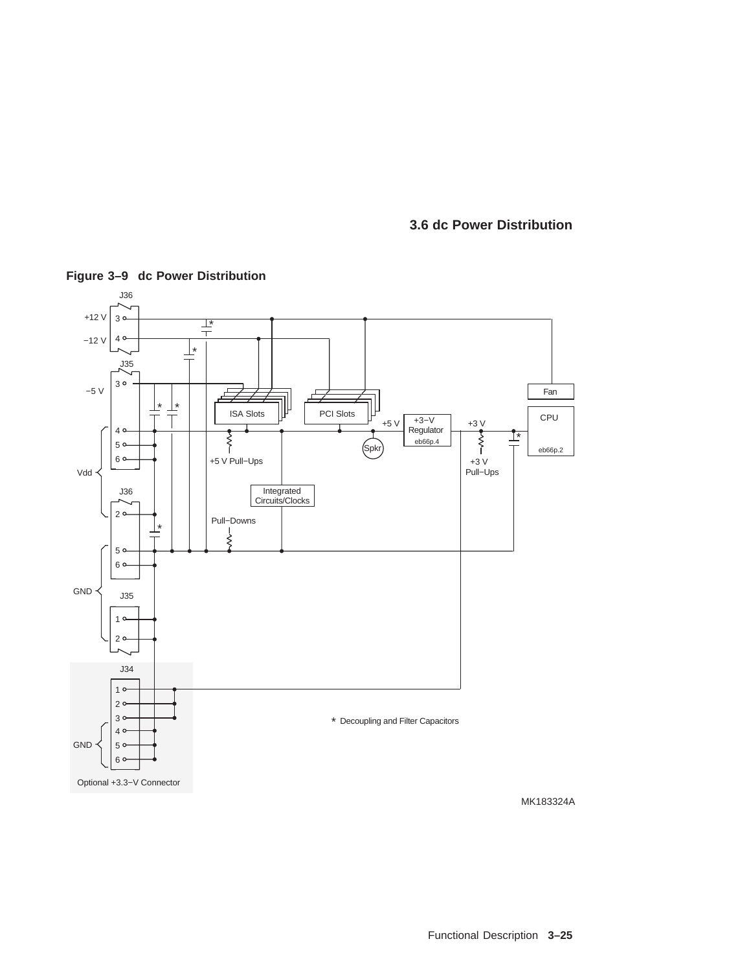**3.6 dc Power Distribution**



**Figure 3–9 dc Power Distribution**

Functional Description **3–25**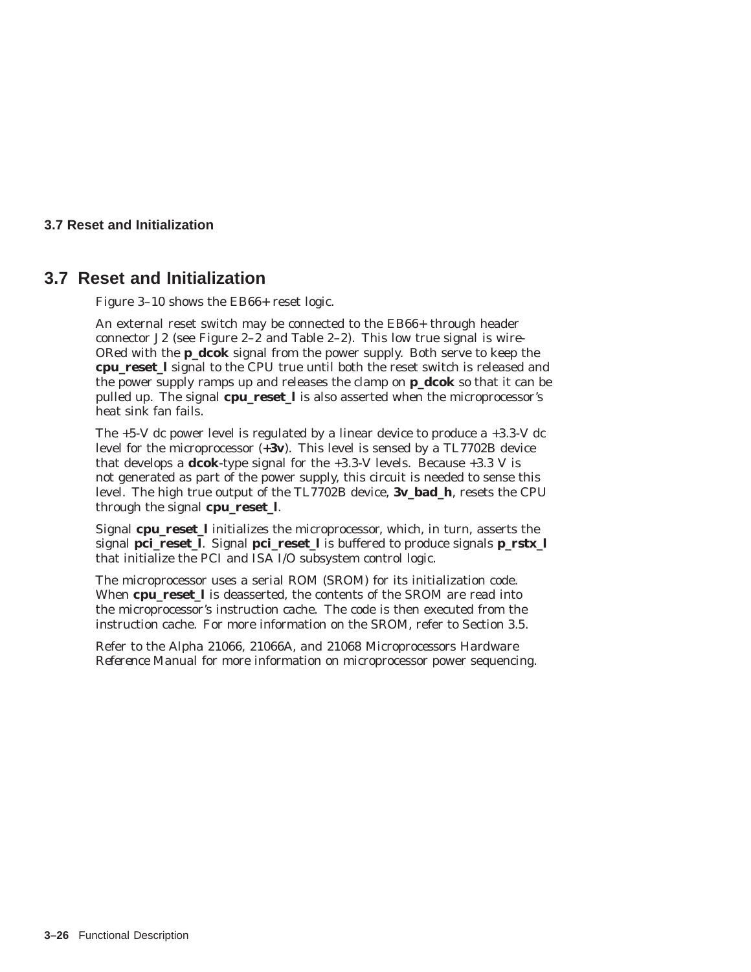## **3.7 Reset and Initialization**

## **3.7 Reset and Initialization**

Figure 3–10 shows the EB66+ reset logic.

An external reset switch may be connected to the EB66+ through header connector J2 (see Figure 2–2 and Table 2–2). This low true signal is wire-ORed with the **p\_dcok** signal from the power supply. Both serve to keep the **cpu\_reset\_l** signal to the CPU true until both the reset switch is released and the power supply ramps up and releases the clamp on **p\_dcok** so that it can be pulled up. The signal **cpu\_reset\_l** is also asserted when the microprocessor's heat sink fan fails.

The  $+5-V$  dc power level is regulated by a linear device to produce a  $+3.3-V$  dc level for the microprocessor (**+3v**). This level is sensed by a TL7702B device that develops a **dcok**-type signal for the +3.3-V levels. Because +3.3 V is not generated as part of the power supply, this circuit is needed to sense this level. The high true output of the TL7702B device, **3v\_bad\_h**, resets the CPU through the signal **cpu\_reset\_l**.

Signal **cpu** reset 1 initializes the microprocessor, which, in turn, asserts the signal **pci\_reset\_l**. Signal **pci\_reset\_l** is buffered to produce signals **p\_rstx\_l** that initialize the PCI and ISA I/O subsystem control logic.

The microprocessor uses a serial ROM (SROM) for its initialization code. When **cpu\_reset\_l** is deasserted, the contents of the SROM are read into the microprocessor's instruction cache. The code is then executed from the instruction cache. For more information on the SROM, refer to Section 3.5.

Refer to the *Alpha 21066, 21066A, and 21068 Microprocessors Hardware Reference Manual* for more information on microprocessor power sequencing.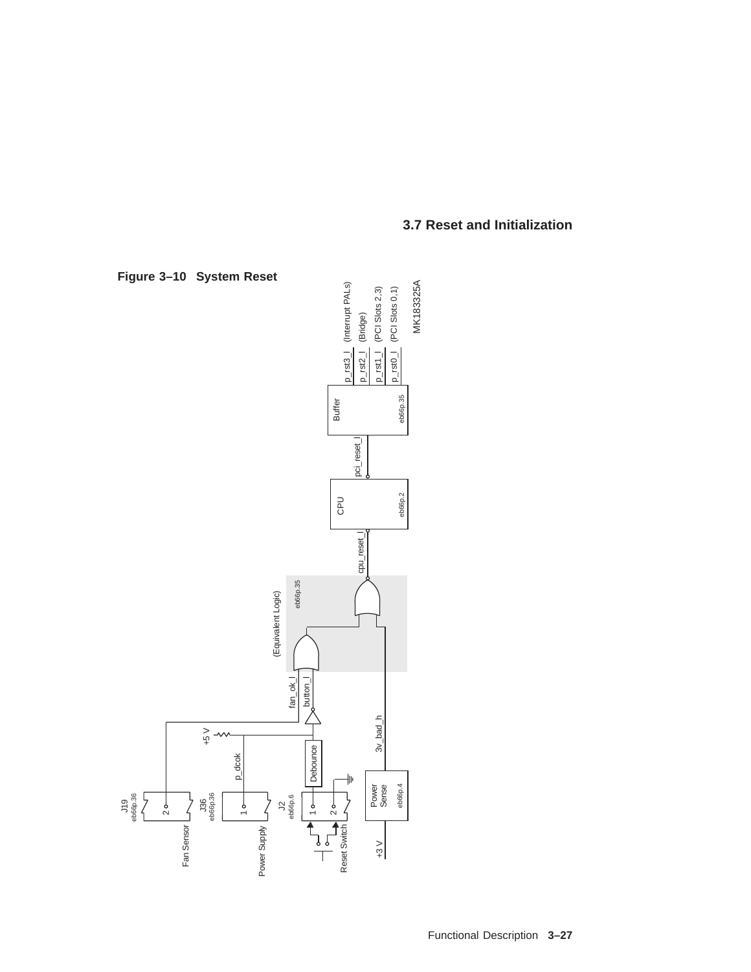

## **3.7 Reset and Initialization**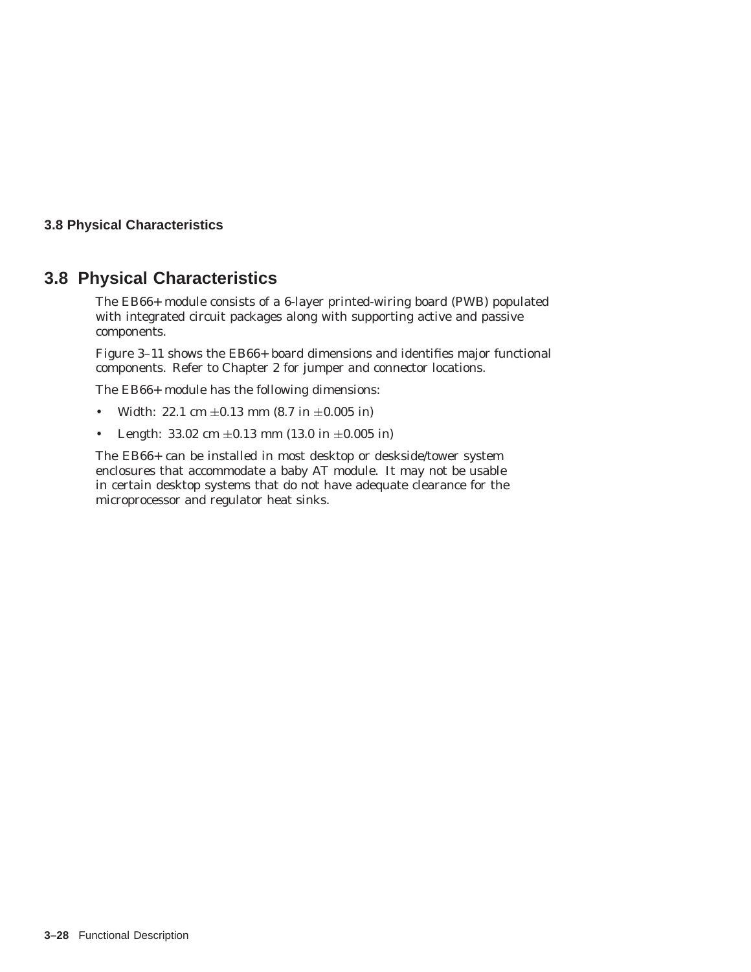## **3.8 Physical Characteristics**

## **3.8 Physical Characteristics**

The EB66+ module consists of a 6-layer printed-wiring board (PWB) populated with integrated circuit packages along with supporting active and passive components.

Figure 3–11 shows the EB66+ board dimensions and identifies major functional components. Refer to Chapter 2 for jumper and connector locations.

The EB66+ module has the following dimensions:

- Width: 22.1 cm  $\pm 0.13$  mm (8.7 in  $\pm 0.005$  in)
- Length: 33.02 cm  $\pm 0.13$  mm (13.0 in  $\pm 0.005$  in)

The EB66+ can be installed in most desktop or deskside/tower system enclosures that accommodate a baby AT module. It may not be usable in certain desktop systems that do not have adequate clearance for the microprocessor and regulator heat sinks.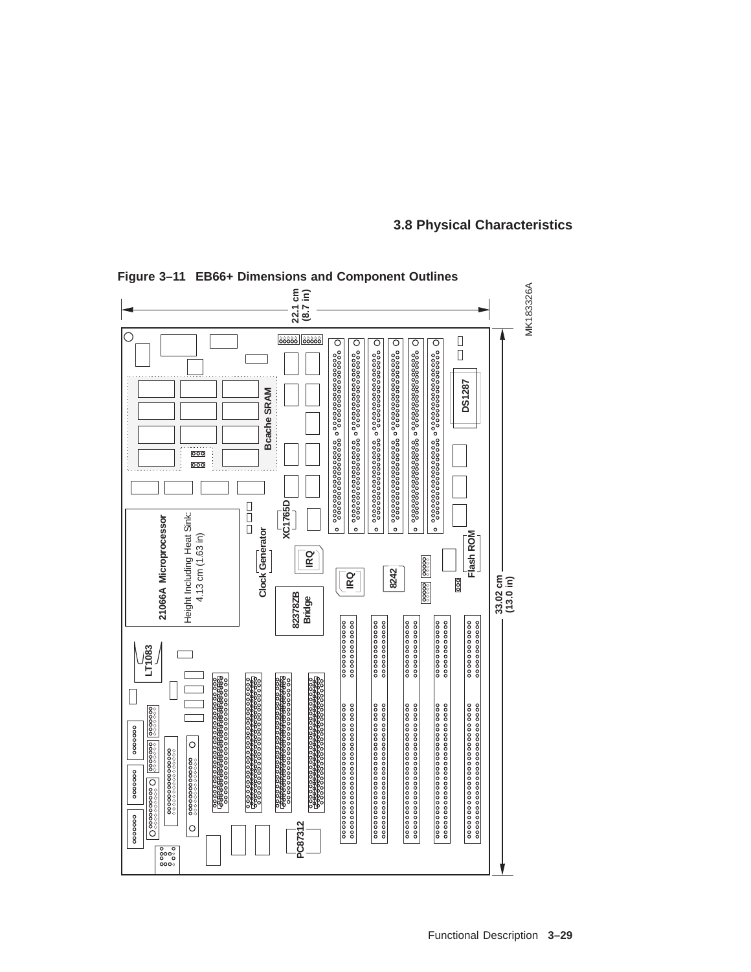

**Figure 3–11 EB66+ Dimensions and Component Outlines**

## **3.8 Physical Characteristics**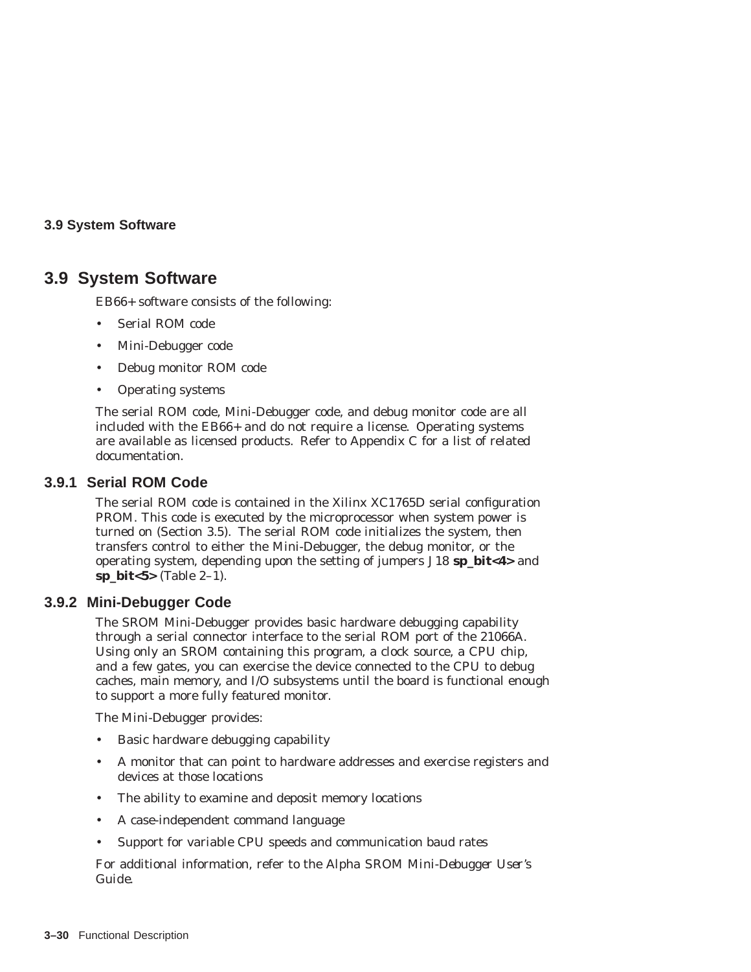## **3.9 System Software**

## **3.9 System Software**

EB66+ software consists of the following:

- Serial ROM code
- Mini-Debugger code
- Debug monitor ROM code
- Operating systems

The serial ROM code, Mini-Debugger code, and debug monitor code are all included with the EB66+ and do not require a license. Operating systems are available as licensed products. Refer to Appendix C for a list of related documentation.

## **3.9.1 Serial ROM Code**

The serial ROM code is contained in the Xilinx XC1765D serial configuration PROM. This code is executed by the microprocessor when system power is turned on (Section 3.5). The serial ROM code initializes the system, then transfers control to either the Mini-Debugger, the debug monitor, or the operating system, depending upon the setting of jumpers J18 **sp\_bit<4>** and sp bit<5> $(Table 2-1)$ .

## **3.9.2 Mini-Debugger Code**

The SROM Mini-Debugger provides basic hardware debugging capability through a serial connector interface to the serial ROM port of the 21066A. Using only an SROM containing this program, a clock source, a CPU chip, and a few gates, you can exercise the device connected to the CPU to debug caches, main memory, and I/O subsystems until the board is functional enough to support a more fully featured monitor.

The Mini-Debugger provides:

- Basic hardware debugging capability
- A monitor that can point to hardware addresses and exercise registers and devices at those locations
- The ability to examine and deposit memory locations
- A case-independent command language
- Support for variable CPU speeds and communication baud rates

For additional information, refer to the *Alpha SROM Mini-Debugger User's Guide*.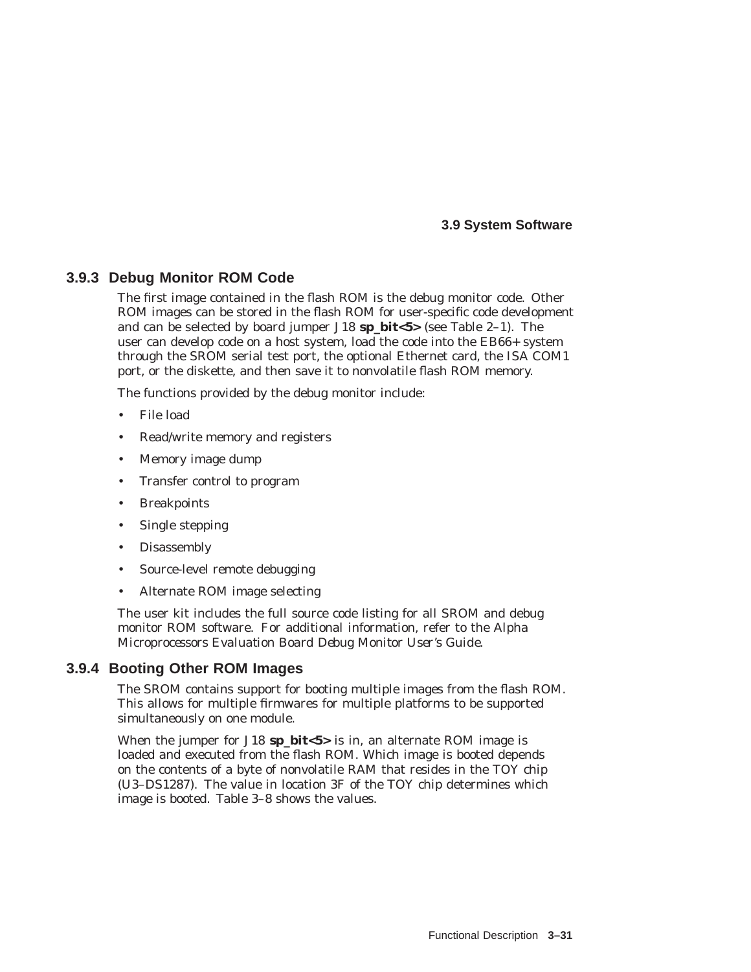**3.9 System Software**

## **3.9.3 Debug Monitor ROM Code**

The first image contained in the flash ROM is the debug monitor code. Other ROM images can be stored in the flash ROM for user-specific code development and can be selected by board jumper J18 **sp\_bit<5>** (see Table 2–1). The user can develop code on a host system, load the code into the EB66+ system through the SROM serial test port, the optional Ethernet card, the ISA COM1 port, or the diskette, and then save it to nonvolatile flash ROM memory.

The functions provided by the debug monitor include:

- File load
- Read/write memory and registers
- Memory image dump
- Transfer control to program
- **Breakpoints**
- Single stepping
- Disassembly
- Source-level remote debugging
- Alternate ROM image selecting

The user kit includes the full source code listing for all SROM and debug monitor ROM software. For additional information, refer to the *Alpha Microprocessors Evaluation Board Debug Monitor User's Guide*.

## **3.9.4 Booting Other ROM Images**

The SROM contains support for booting multiple images from the flash ROM. This allows for multiple firmwares for multiple platforms to be supported simultaneously on one module.

When the jumper for J18 **sp\_bit<5>** is in, an alternate ROM image is loaded and executed from the flash ROM. Which image is booted depends on the contents of a byte of nonvolatile RAM that resides in the TOY chip (U3–DS1287). The value in location 3F of the TOY chip determines which image is booted. Table 3–8 shows the values.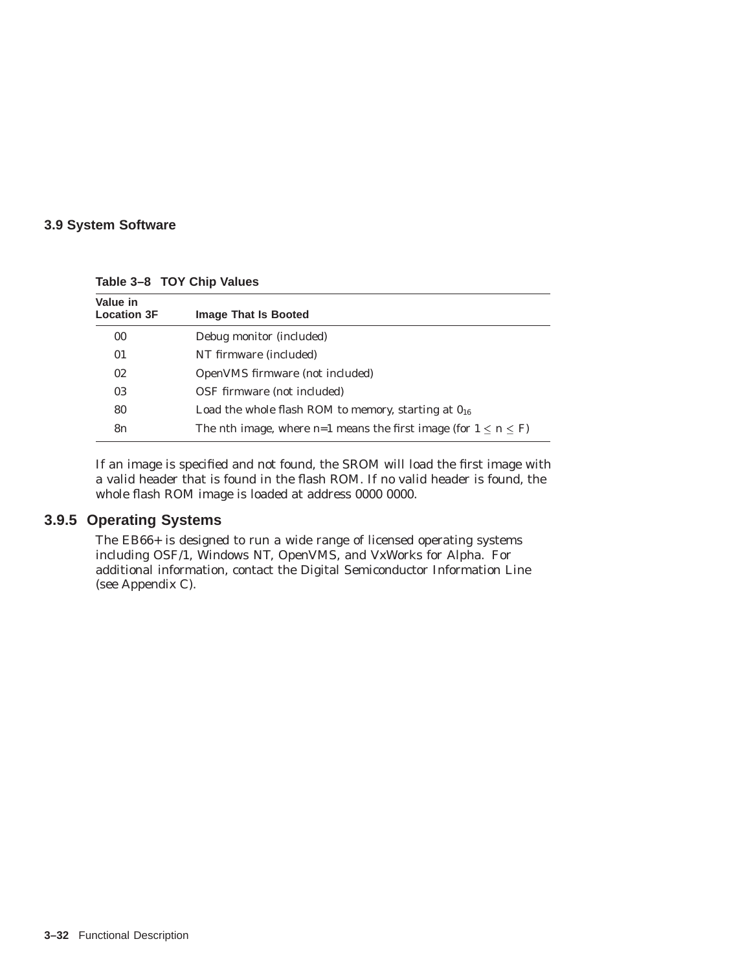## **3.9 System Software**

| Value in           |                                                                                       |
|--------------------|---------------------------------------------------------------------------------------|
| <b>Location 3F</b> | <b>Image That Is Booted</b>                                                           |
| 00                 | Debug monitor (included)                                                              |
| 01                 | NT firmware (included)                                                                |
| 02                 | OpenVMS firmware (not included)                                                       |
| 03                 | OSF firmware (not included)                                                           |
| 80                 | Load the whole flash ROM to memory, starting at $0_{16}$                              |
| 8 <i>n</i>         | The <i>n</i> th image, where <i>n</i> =1 means the first image (for $1 \le n \le F$ ) |

**Table 3–8 TOY Chip Values**

If an image is specified and not found, the SROM will load the first image with a valid header that is found in the flash ROM. If no valid header is found, the whole flash ROM image is loaded at address 0000 0000.

## **3.9.5 Operating Systems**

The EB66+ is designed to run a wide range of licensed operating systems including OSF/1, Windows NT, OpenVMS, and VxWorks for Alpha. For additional information, contact the Digital Semiconductor Information Line (see Appendix C).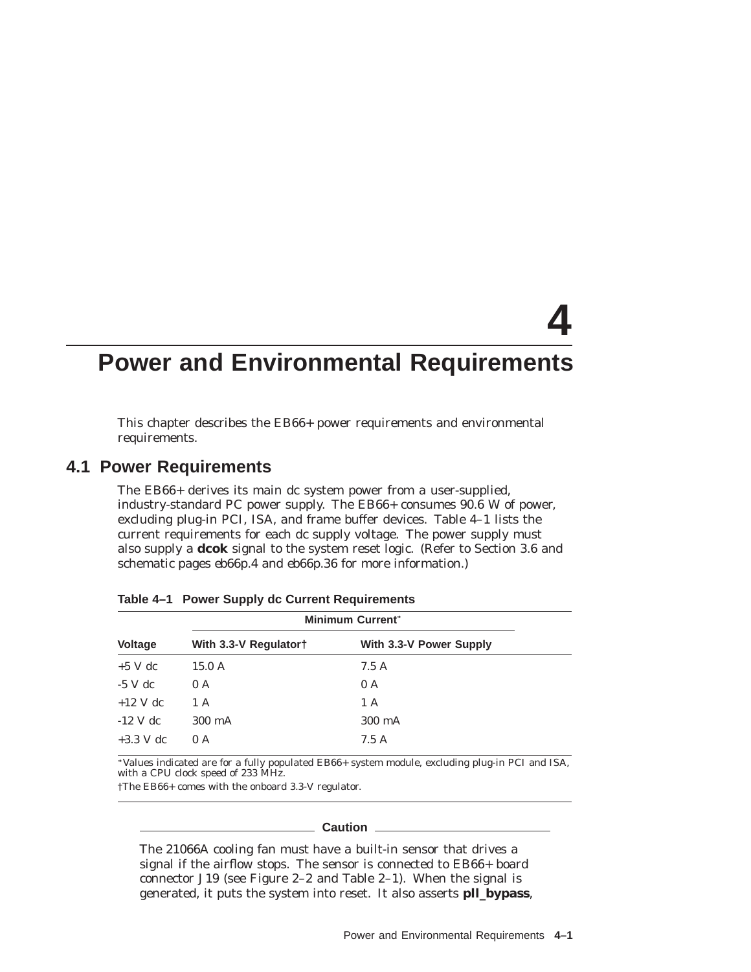# **4**

# **Power and Environmental Requirements**

This chapter describes the EB66+ power requirements and environmental requirements.

## **4.1 Power Requirements**

The EB66+ derives its main dc system power from a user-supplied, industry-standard PC power supply. The EB66+ consumes 90.6 W of power, excluding plug-in PCI, ISA, and frame buffer devices. Table 4–1 lists the current requirements for each dc supply voltage. The power supply must also supply a **dcok** signal to the system reset logic. (Refer to Section 3.6 and schematic pages *eb66p.4* and *eb66p.36* for more information.)

| <b>Voltage</b><br>With 3.3-V Power Supply<br>With 3.3-V Regulator†<br>$+5$ V dc<br>15.0A<br>7.5A |
|--------------------------------------------------------------------------------------------------|
|                                                                                                  |
|                                                                                                  |
| $-5$ V dc<br>0 A<br>0 A                                                                          |
| $+12$ V dc<br>1 A<br>1 A                                                                         |
| $-12$ V dc<br>300 mA<br>300 mA                                                                   |
| $+3.3$ V dc<br>7.5A<br>0A                                                                        |

**Table 4–1 Power Supply dc Current Requirements**

Values indicated are for a fully populated EB66+ system module, excluding plug-in PCI and ISA, with a CPU clock speed of 233 MHz.

†The EB66+ comes with the onboard 3.3-V regulator.

#### **Caution**

The 21066A cooling fan *must* have a built-in sensor that drives a signal if the airflow stops. The sensor is connected to EB66+ board connector J19 (see Figure 2–2 and Table 2–1). When the signal is generated, it puts the system into reset. It also asserts **pll\_bypass**,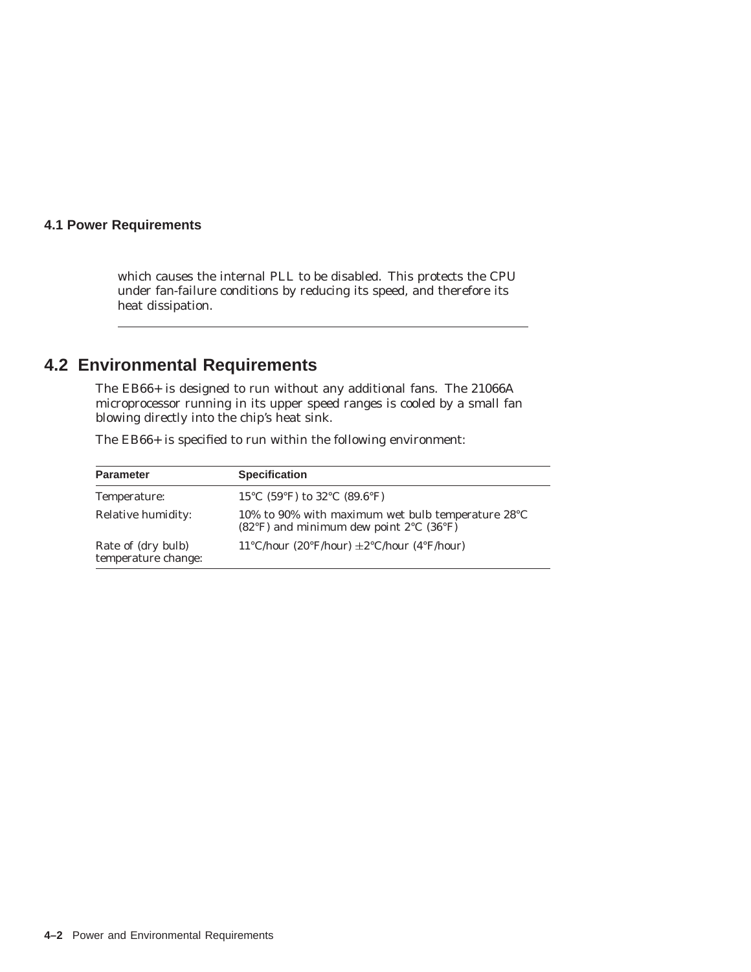## **4.1 Power Requirements**

which causes the internal PLL to be disabled. This protects the CPU under fan-failure conditions by reducing its speed, and therefore its heat dissipation.

## **4.2 Environmental Requirements**

The EB66+ is designed to run without any additional fans. The 21066A microprocessor running in its upper speed ranges is cooled by a small fan blowing directly into the chip's heat sink.

| <b>Parameter</b>                          | <b>Specification</b>                                                                                                              |
|-------------------------------------------|-----------------------------------------------------------------------------------------------------------------------------------|
| Temperature:                              | 15 °C (59 °F) to 32 °C (89.6 °F)                                                                                                  |
| Relative humidity:                        | 10% to 90% with maximum wet bulb temperature $28^{\circ}$ C<br>$(82^{\circ}F)$ and minimum dew point $2^{\circ}C$ $(36^{\circ}F)$ |
| Rate of (dry bulb)<br>temperature change: | 11°C/hour (20°F/hour) $\pm$ 2°C/hour (4°F/hour)                                                                                   |

The EB66+ is specified to run within the following environment: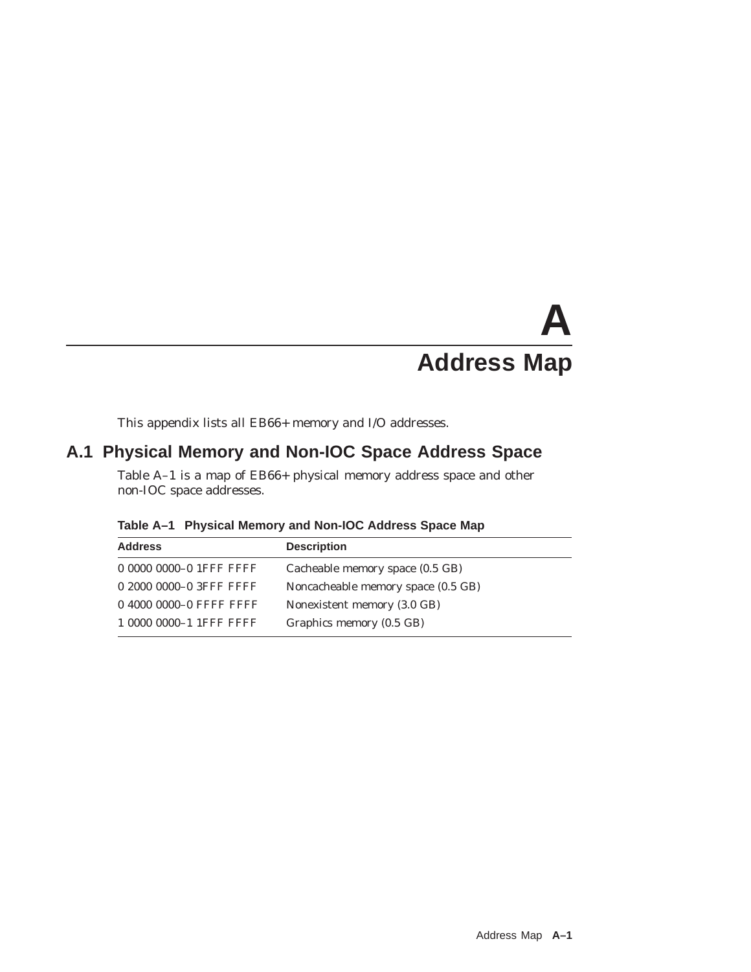# **A Address Map**

This appendix lists all EB66+ memory and I/O addresses.

## **A.1 Physical Memory and Non-IOC Space Address Space**

Table A–1 is a map of EB66+ physical memory address space and other non-IOC space addresses.

| <b>Address</b>          | <b>Description</b>                 |
|-------------------------|------------------------------------|
| 0 0000 0000-0 1FFF FFFF | Cacheable memory space (0.5 GB)    |
| 0 2000 0000-0 3FFF FFFF | Noncacheable memory space (0.5 GB) |
| 0 4000 0000-0 FFFF FFFF | Nonexistent memory (3.0 GB)        |
| 1 0000 0000-1 1FFF FFFF | Graphics memory (0.5 GB)           |

**Table A–1 Physical Memory and Non-IOC Address Space Map**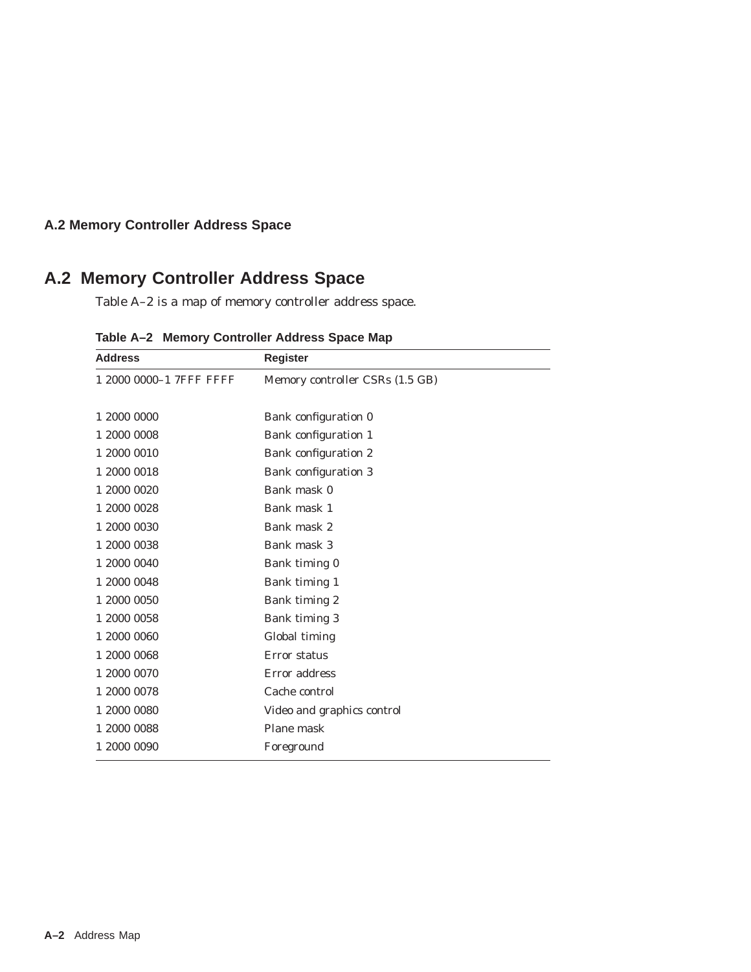## **A.2 Memory Controller Address Space**

## **A.2 Memory Controller Address Space**

Table A–2 is a map of memory controller address space.

| <b>Address</b>          | <b>Register</b>                 |
|-------------------------|---------------------------------|
| 1 2000 0000-1 7FFF FFFF | Memory controller CSRs (1.5 GB) |
|                         |                                 |
| 1 2000 0000             | Bank configuration 0            |
| 1 2000 0008             | Bank configuration 1            |
| 1 2000 0010             | Bank configuration 2            |
| 1 2000 0018             | <b>Bank configuration 3</b>     |
| 1 2000 0020             | Bank mask 0                     |
| 1 2000 0028             | Bank mask 1                     |
| 1 2000 0030             | Bank mask 2                     |
| 1 2000 0038             | Bank mask 3                     |
| 1 2000 0040             | Bank timing 0                   |
| 1 2000 0048             | Bank timing 1                   |
| 1 2000 0050             | Bank timing 2                   |
| 1 2000 0058             | Bank timing 3                   |
| 1 2000 0060             | Global timing                   |
| 1 2000 0068             | Error status                    |
| 1 2000 0070             | Error address                   |
| 1 2000 0078             | Cache control                   |
| 1 2000 0080             | Video and graphics control      |
| 1 2000 0088             | Plane mask                      |
| 1 2000 0090             | Foreground                      |

**Table A–2 Memory Controller Address Space Map**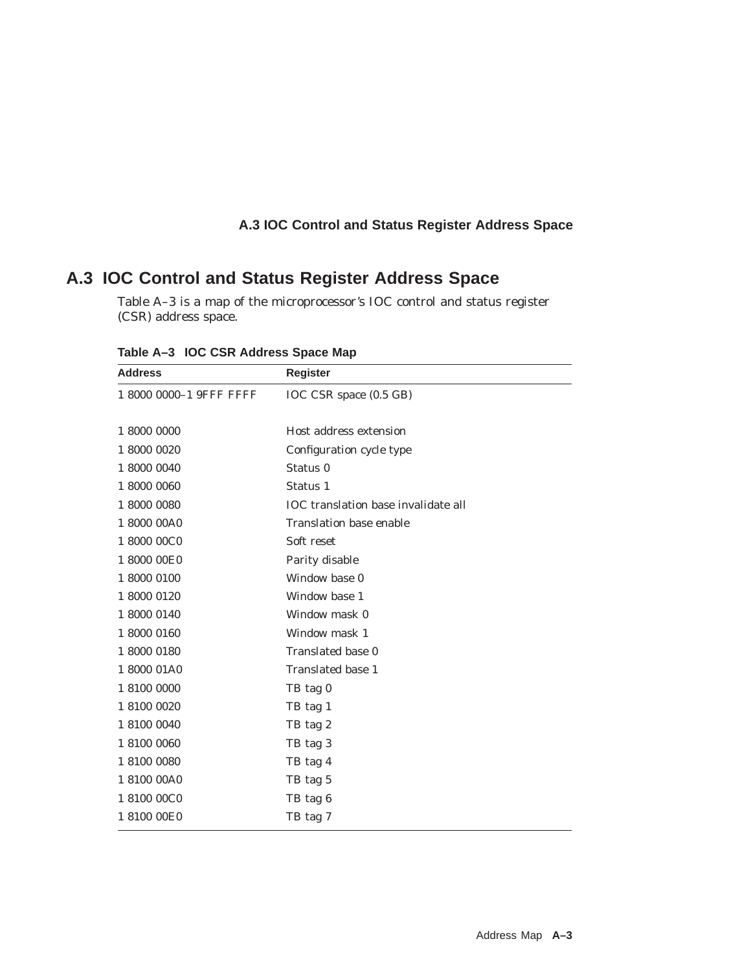## **A.3 IOC Control and Status Register Address Space**

## **A.3 IOC Control and Status Register Address Space**

Table A–3 is a map of the microprocessor's IOC control and status register (CSR) address space.

| <b>Address</b>          | <b>Register</b>                            |
|-------------------------|--------------------------------------------|
| 1 8000 0000-1 9FFF FFFF | IOC CSR space (0.5 GB)                     |
|                         |                                            |
| 1 8000 0000             | Host address extension                     |
| 1 8000 0020             | Configuration cycle type                   |
| 1 8000 0040             | Status <sub>0</sub>                        |
| 1 8000 0060             | Status 1                                   |
| 1 8000 0080             | <b>IOC</b> translation base invalidate all |
| 1 8000 00A0             | <b>Translation base enable</b>             |
| 1 8000 00C0             | Soft reset                                 |
| 1 8000 00E0             | Parity disable                             |
| 1 8000 0100             | Window base 0                              |
| 1 8000 0120             | Window base 1                              |
| 1 8000 0140             | Window mask 0                              |
| 1 8000 0160             | Window mask 1                              |
| 1 8000 0180             | Translated base 0                          |
| 1800001A0               | Translated base 1                          |
| 1 8100 0000             | TB tag 0                                   |
| 1 8100 0020             | TB tag 1                                   |
| 1 8100 0040             | TB tag 2                                   |
| 1 8100 0060             | TB tag 3                                   |
| 1 8100 0080             | TB tag 4                                   |
| 1 8100 00A0             | TB tag 5                                   |
| 1 8100 00C0             | TB tag 6                                   |
| 1 8100 00E0             | TB tag 7                                   |

**Table A–3 IOC CSR Address Space Map**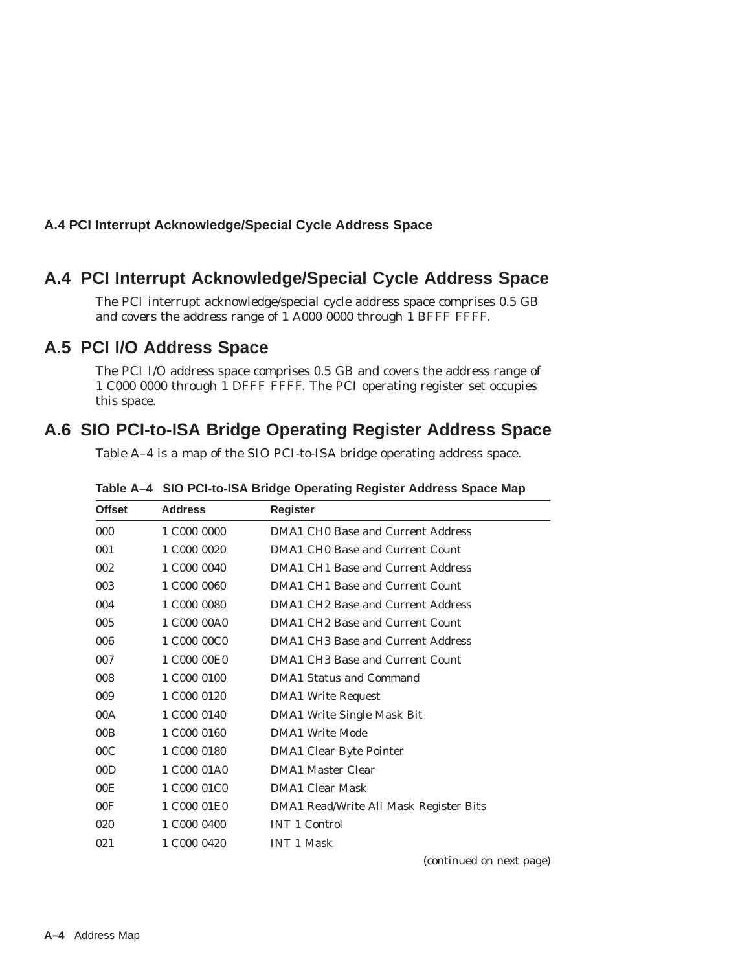## **A.4 PCI Interrupt Acknowledge/Special Cycle Address Space**

## **A.4 PCI Interrupt Acknowledge/Special Cycle Address Space**

The PCI interrupt acknowledge/special cycle address space comprises 0.5 GB and covers the address range of 1 A000 0000 through 1 BFFF FFFF.

## **A.5 PCI I/O Address Space**

The PCI I/O address space comprises 0.5 GB and covers the address range of 1 C000 0000 through 1 DFFF FFFF. The PCI operating register set occupies this space.

## **A.6 SIO PCI-to-ISA Bridge Operating Register Address Space**

Table A–4 is a map of the SIO PCI-to-ISA bridge operating address space.

| <b>Offset</b>   | <b>Address</b> | <b>Register</b>                        |
|-----------------|----------------|----------------------------------------|
| 000             | 1 C000 0000    | DMA1 CHO Base and Current Address      |
| 001             | 1 C000 0020    | DMA1 CHO Base and Current Count        |
| 002             | 1 C000 0040    | DMA1 CH1 Base and Current Address      |
| 003             | 1 C000 0060    | DMA1 CH1 Base and Current Count        |
| 004             | 1 C000 0080    | DMA1 CH2 Base and Current Address      |
| 005             | 1 C000 00A0    | DMA1 CH2 Base and Current Count        |
| 006             | 1 C000 00C0    | DMA1 CH3 Base and Current Address      |
| 007             | 1 C000 00E0    | DMA1 CH3 Base and Current Count        |
| 008             | 1 C000 0100    | <b>DMA1 Status and Command</b>         |
| 009             | 1 C000 0120    | <b>DMA1 Write Request</b>              |
| 00A             | 1 C000 0140    | <b>DMA1 Write Single Mask Bit</b>      |
| 00B             | 1 C000 0160    | DMA1 Write Mode                        |
| 00C             | 1 C000 0180    | <b>DMA1 Clear Byte Pointer</b>         |
| 00D             | 1 C000 01A0    | <b>DMA1 Master Clear</b>               |
| 00 <sub>E</sub> | 1 C000 01C0    | <b>DMA1 Clear Mask</b>                 |
| 00F             | 1 C000 01E0    | DMA1 Read/Write All Mask Register Bits |
| 020             | 1 C000 0400    | <b>INT 1 Control</b>                   |
| 021             | 1 C000 0420    | <b>INT 1 Mask</b>                      |

**Table A–4 SIO PCI-to-ISA Bridge Operating Register Address Space Map**

(continued on next page)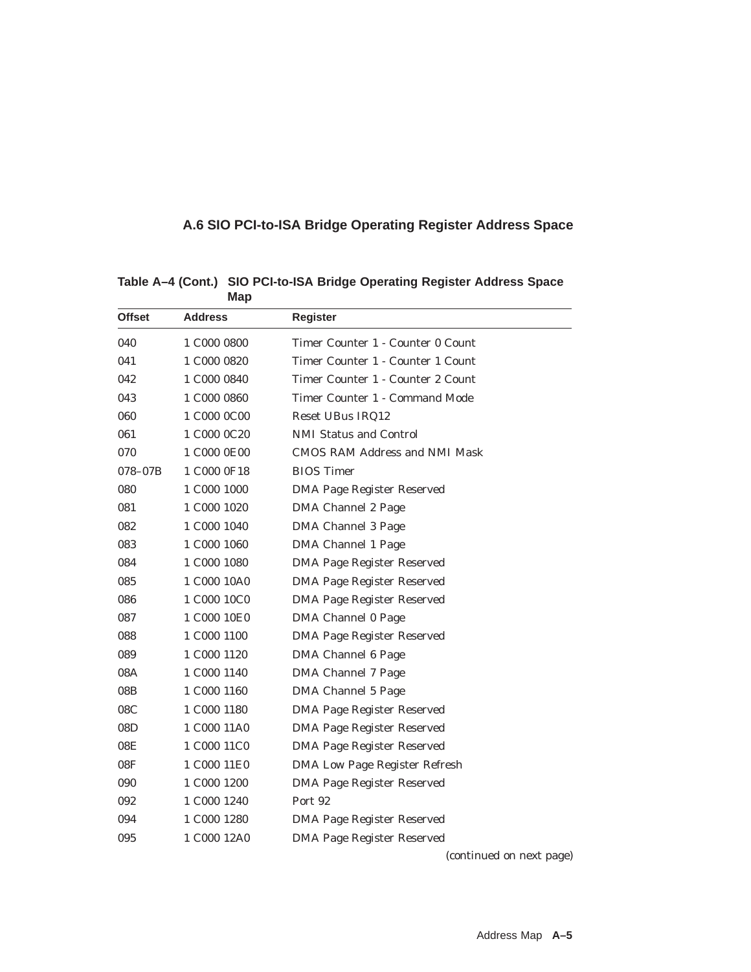## **A.6 SIO PCI-to-ISA Bridge Operating Register Address Space**

| <b>Offset</b> | <b>Address</b> | <b>Register</b>                      |
|---------------|----------------|--------------------------------------|
| 040           | 1 C000 0800    | Timer Counter 1 - Counter 0 Count    |
| 041           | 1 C000 0820    | Timer Counter 1 - Counter 1 Count    |
| 042           | 1 C000 0840    | Timer Counter 1 - Counter 2 Count    |
| 043           | 1 C000 0860    | Timer Counter 1 - Command Mode       |
| 060           | 1 C000 0C00    | Reset UBus IRQ12                     |
| 061           | 1 C000 0C20    | <b>NMI Status and Control</b>        |
| 070           | 1 C000 0E00    | CMOS RAM Address and NMI Mask        |
| 078-07B       | 1 C000 0F18    | <b>BIOS</b> Timer                    |
| 080           | 1 C000 1000    | DMA Page Register Reserved           |
| 081           | 1 C000 1020    | DMA Channel 2 Page                   |
| 082           | 1 C000 1040    | DMA Channel 3 Page                   |
| 083           | 1 C000 1060    | <b>DMA Channel 1 Page</b>            |
| 084           | 1 C000 1080    | <b>DMA Page Register Reserved</b>    |
| 085           | 1 C000 10A0    | <b>DMA Page Register Reserved</b>    |
| 086           | 1 C000 10C0    | DMA Page Register Reserved           |
| 087           | 1 C000 10E0    | <b>DMA Channel 0 Page</b>            |
| 088           | 1 C000 1100    | <b>DMA Page Register Reserved</b>    |
| 089           | 1 C000 1120    | DMA Channel 6 Page                   |
| 08A           | 1 C000 1140    | DMA Channel 7 Page                   |
| 08B           | 1 C000 1160    | DMA Channel 5 Page                   |
| 08C           | 1 C000 1180    | <b>DMA Page Register Reserved</b>    |
| 08D           | 1 C000 11A0    | <b>DMA Page Register Reserved</b>    |
| 08E           | 1 C000 11C0    | <b>DMA Page Register Reserved</b>    |
| 08F           | 1 C000 11E0    | <b>DMA Low Page Register Refresh</b> |
| 090           | 1 C000 1200    | DMA Page Register Reserved           |
| 092           | 1 C000 1240    | Port 92                              |
| 094           | 1 C000 1280    | <b>DMA Page Register Reserved</b>    |
| 095           | 1 C000 12A0    | <b>DMA Page Register Reserved</b>    |
|               |                | (continued on next page)             |

**Table A–4 (Cont.) SIO PCI-to-ISA Bridge Operating Register Address Space Map**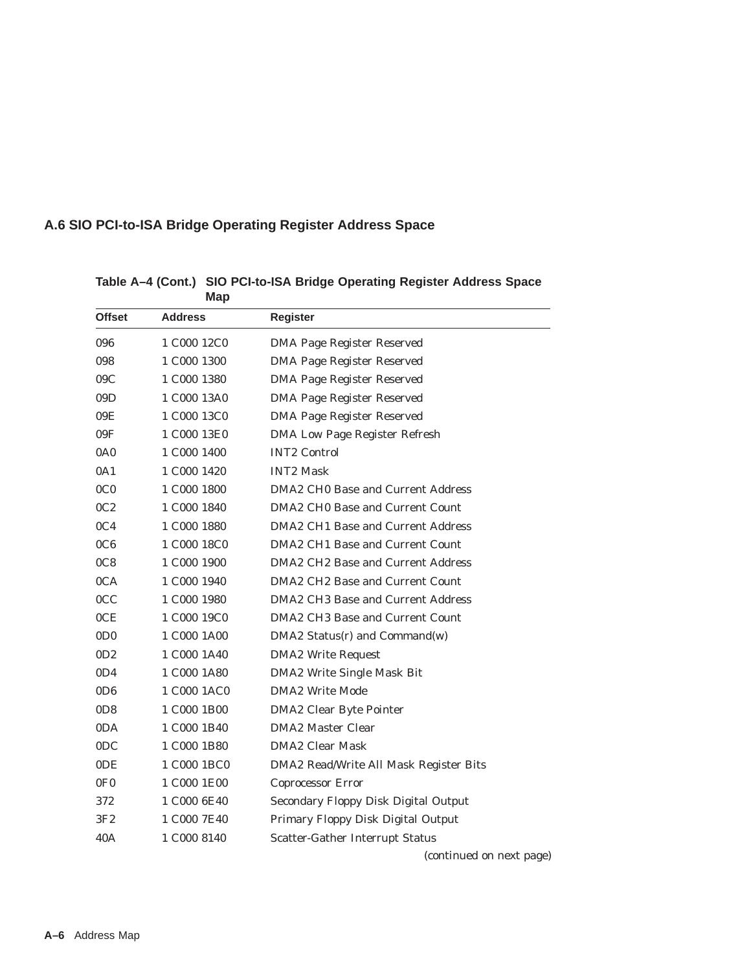## **A.6 SIO PCI-to-ISA Bridge Operating Register Address Space**

| <b>IVIAP</b>     |                                     |                                        |
|------------------|-------------------------------------|----------------------------------------|
| <b>Offset</b>    | <b>Address</b>                      | <b>Register</b>                        |
| 096              | 1 C000 12C0                         | DMA Page Register Reserved             |
| 098              | 1 C000 1300                         | DMA Page Register Reserved             |
| 09C              | 1 C000 1380                         | DMA Page Register Reserved             |
| 09D              | 1 C000 13A0                         | <b>DMA Page Register Reserved</b>      |
| 09E              | 1 C000 13C0                         | DMA Page Register Reserved             |
| 09F              | 1 C000 13E0                         | <b>DMA Low Page Register Refresh</b>   |
| 0A <sub>0</sub>  | 1 C000 1400                         | <b>INT2 Control</b>                    |
| 0A1              | 1 C000 1420                         | <b>INT2 Mask</b>                       |
| 0 <sub>CO</sub>  | 1 C000 1800                         | DMA2 CH0 Base and Current Address      |
| 0C2              | 1 C000 1840                         | DMA2 CH0 Base and Current Count        |
| 0C <sub>4</sub>  | 1 C000 1880                         | DMA2 CH1 Base and Current Address      |
| 0C6              | 1 C000 18C0                         | DMA2 CH1 Base and Current Count        |
| 0C8              | 1 C000 1900                         | DMA2 CH2 Base and Current Address      |
| 0CA              | 1 C000 1940                         | DMA2 CH2 Base and Current Count        |
| 0CC              | 1 C000 1980                         | DMA2 CH3 Base and Current Address      |
| 0CE              | 1 C000 19C0                         | DMA2 CH3 Base and Current Count        |
| 0D <sub>0</sub>  | 1 C000 1A00                         | $DMA2$ Status(r) and Command(w)        |
| 0D2              | 1 C <sub>000</sub> 1A <sub>40</sub> | <b>DMA2 Write Request</b>              |
| 0D4              | 1 C000 1A80                         | DMA2 Write Single Mask Bit             |
| 0D6              | 1 C000 1AC0                         | <b>DMA2 Write Mode</b>                 |
| 0D8              | 1 C000 1B00                         | <b>DMA2 Clear Byte Pointer</b>         |
| 0DA              | 1 C000 1B40                         | <b>DMA2 Master Clear</b>               |
| 0 <sub>D</sub> C | 1 C000 1B80                         | <b>DMA2 Clear Mask</b>                 |
| 0DE              | 1 C000 1 BC0                        | DMA2 Read/Write All Mask Register Bits |
| 0F <sub>0</sub>  | 1 C000 1E00                         | Coprocessor Error                      |
| 372              | 1 C000 6E40                         | Secondary Floppy Disk Digital Output   |
| 3F2              | 1 C000 7E40                         | Primary Floppy Disk Digital Output     |
| 40A              | 1 C000 8140                         | Scatter-Gather Interrupt Status        |
|                  |                                     | (continued on next page)               |

**Table A–4 (Cont.) SIO PCI-to-ISA Bridge Operating Register Address Space Map**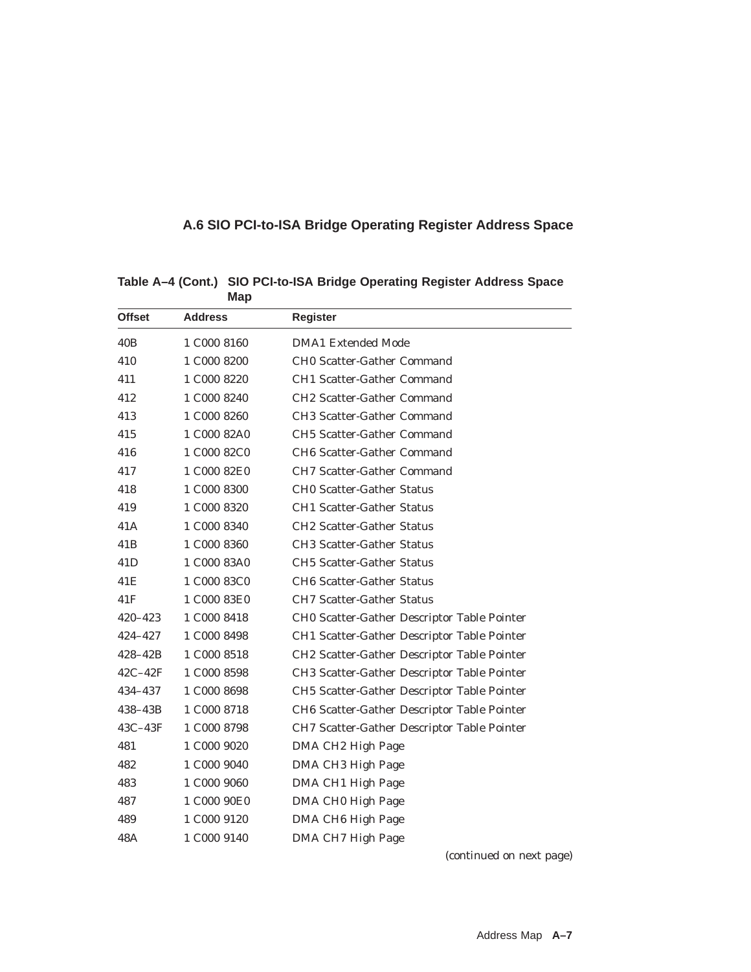## **A.6 SIO PCI-to-ISA Bridge Operating Register Address Space**

| <b>Offset</b>   | <b>Address</b> | <b>Register</b>                                    |
|-----------------|----------------|----------------------------------------------------|
| 40B             | 1 C000 8160    | <b>DMA1</b> Extended Mode                          |
| 410             | 1 C000 8200    | <b>CHO Scatter-Gather Command</b>                  |
| 411             | 1 C000 8220    | <b>CH1 Scatter-Gather Command</b>                  |
| 412             | 1 C000 8240    | <b>CH2 Scatter-Gather Command</b>                  |
| 413             | 1 C000 8260    | <b>CH3 Scatter-Gather Command</b>                  |
| 415             | 1 C000 82A0    | <b>CH5 Scatter-Gather Command</b>                  |
| 416             | 1 C000 82C0    | <b>CH6 Scatter-Gather Command</b>                  |
| 417             | 1 C000 82E0    | <b>CH7 Scatter-Gather Command</b>                  |
| 418             | 1 C000 8300    | <b>CHO Scatter-Gather Status</b>                   |
| 419             | 1 C000 8320    | <b>CH1 Scatter-Gather Status</b>                   |
| 41A             | 1 C000 8340    | <b>CH2 Scatter-Gather Status</b>                   |
| 41 <sub>B</sub> | 1 C000 8360    | <b>CH3 Scatter-Gather Status</b>                   |
| 41D             | 1 C000 83A0    | <b>CH5 Scatter-Gather Status</b>                   |
| 41E             | 1 C000 83C0    | <b>CH6 Scatter-Gather Status</b>                   |
| 41F             | 1 C000 83E0    | <b>CH7 Scatter-Gather Status</b>                   |
| 420-423         | 1 C000 8418    | CH0 Scatter-Gather Descriptor Table Pointer        |
| 424-427         | 1 C000 8498    | <b>CH1 Scatter-Gather Descriptor Table Pointer</b> |
| $428 - 42B$     | 1 C000 8518    | CH2 Scatter-Gather Descriptor Table Pointer        |
| $42C-42F$       | 1 C000 8598    | CH3 Scatter-Gather Descriptor Table Pointer        |
| 434-437         | 1 C000 8698    | CH5 Scatter-Gather Descriptor Table Pointer        |
| 438–43B         | 1 C000 8718    | CH6 Scatter-Gather Descriptor Table Pointer        |
| $43C-43F$       | 1 C000 8798    | CH7 Scatter-Gather Descriptor Table Pointer        |
| 481             | 1 C000 9020    | DMA CH2 High Page                                  |
| 482             | 1 C000 9040    | DMA CH3 High Page                                  |
| 483             | 1 C000 9060    | DMA CH1 High Page                                  |
| 487             | 1 C000 90E0    | DMA CH0 High Page                                  |
| 489             | 1 C000 9120    | DMA CH <sub>6</sub> High Page                      |
| 48A             | 1 C000 9140    | DMA CH7 High Page                                  |
|                 |                |                                                    |

**Table A–4 (Cont.) SIO PCI-to-ISA Bridge Operating Register Address Space Map**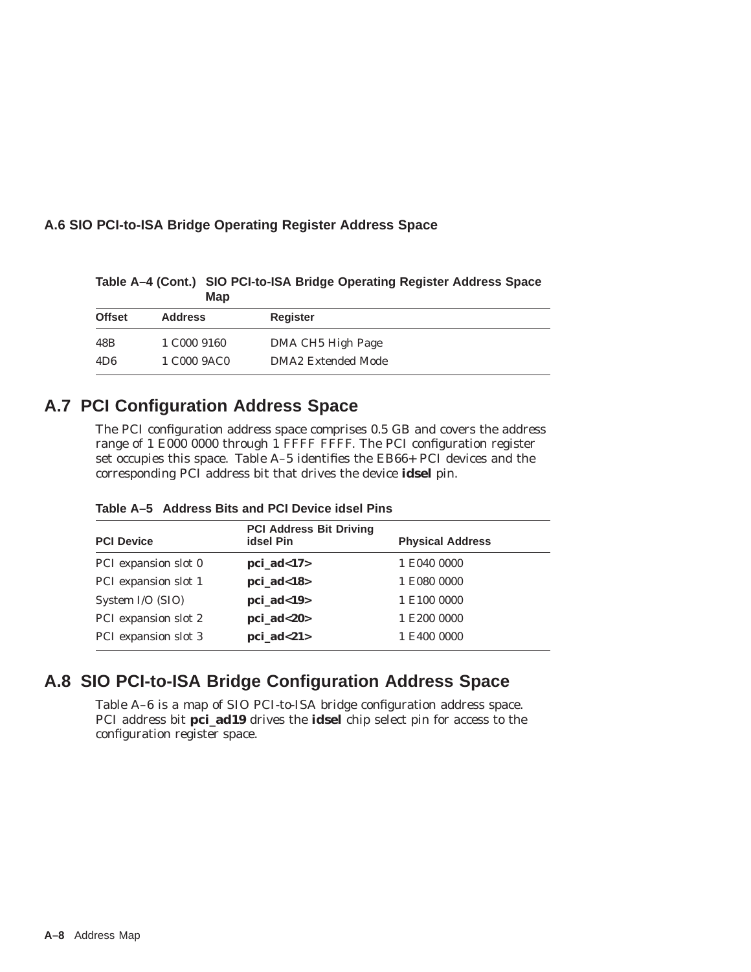## **A.6 SIO PCI-to-ISA Bridge Operating Register Address Space**

**Offset Address Register** 48B 1 C000 9160 DMA CH5 High Page 4D6 1 C000 9AC0 DMA2 Extended Mode

**Table A–4 (Cont.) SIO PCI-to-ISA Bridge Operating Register Address Space Map**

## **A.7 PCI Configuration Address Space**

The PCI configuration address space comprises 0.5 GB and covers the address range of 1 E000 0000 through 1 FFFF FFFF. The PCI configuration register set occupies this space. Table A–5 identifies the EB66+ PCI devices and the corresponding PCI address bit that drives the device **idsel** pin.

| Table A-5 Address Bits and PCI Device idsel Pins |  |  |  |
|--------------------------------------------------|--|--|--|
|                                                  |  |  |  |

| <b>idsel Pin</b> | <b>Physical Address</b>        |
|------------------|--------------------------------|
| $pci\_ad<17>$    | 1 E040 0000                    |
| $pci\_ad<18$     | 1 E080 0000                    |
| $pci\_ad<19$     | 1 E100 0000                    |
| $pci\_ad < 20$   | 1 E200 0000                    |
| $pci\_ad<21$     | 1 E400 0000                    |
|                  | <b>PCI Address Bit Driving</b> |

## **A.8 SIO PCI-to-ISA Bridge Configuration Address Space**

Table A–6 is a map of SIO PCI-to-ISA bridge configuration address space. PCI address bit **pci\_ad19** drives the **idsel** chip select pin for access to the configuration register space.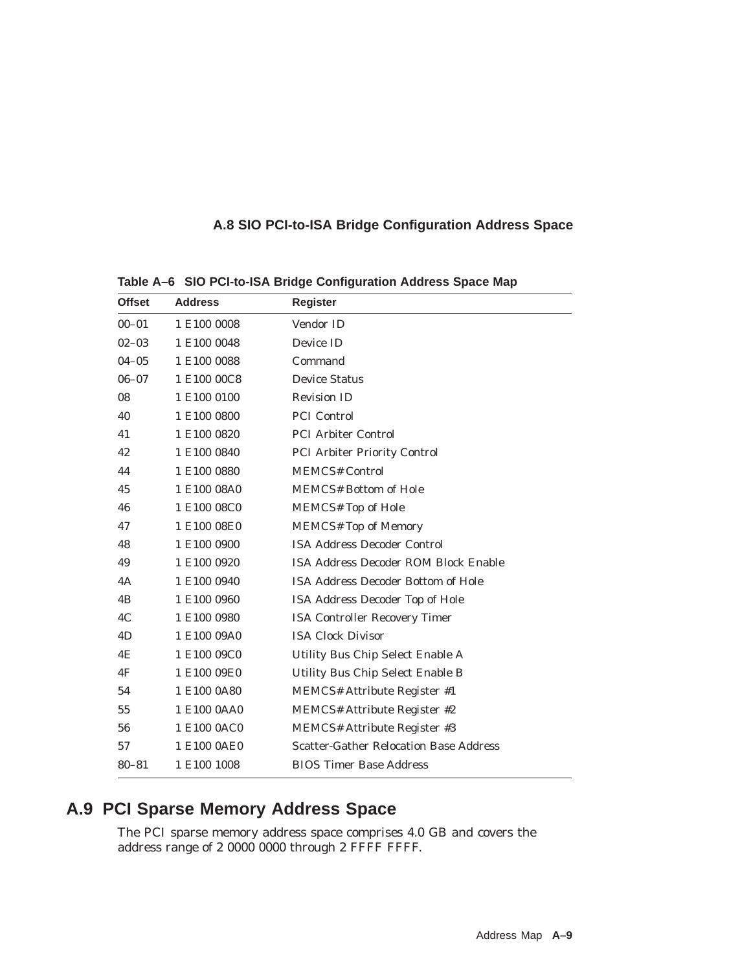## **A.8 SIO PCI-to-ISA Bridge Configuration Address Space**

| <b>Offset</b> | <b>Address</b> | <b>Register</b>                               |
|---------------|----------------|-----------------------------------------------|
| $00 - 01$     | 1 E100 0008    | Vendor ID                                     |
| $02 - 03$     | 1 E100 0048    | Device ID                                     |
| $04 - 05$     | 1 E100 0088    | Command                                       |
| $06 - 07$     | 1 E100 00C8    | <b>Device Status</b>                          |
| 08            | 1 E100 0100    | <b>Revision ID</b>                            |
| 40            | 1 E100 0800    | <b>PCI</b> Control                            |
| 41            | 1 E100 0820    | <b>PCI Arbiter Control</b>                    |
| 42            | 1 E100 0840    | <b>PCI Arbiter Priority Control</b>           |
| 44            | 1 E100 0880    | <b>MEMCS# Control</b>                         |
| 45            | 1 E100 08A0    | <b>MEMCS# Bottom of Hole</b>                  |
| 46            | 1 E100 08C0    | <b>MEMCS#</b> Top of Hole                     |
| 47            | 1 E100 08E0    | <b>MEMCS# Top of Memory</b>                   |
| 48            | 1 E100 0900    | <b>ISA Address Decoder Control</b>            |
| 49            | 1 E100 0920    | <b>ISA Address Decoder ROM Block Enable</b>   |
| 4A            | 1 E100 0940    | <b>ISA Address Decoder Bottom of Hole</b>     |
| 4B            | 1 E100 0960    | ISA Address Decoder Top of Hole               |
| 4C            | 1 E100 0980    | <b>ISA Controller Recovery Timer</b>          |
| 4D            | 1 E100 09A0    | <b>ISA Clock Divisor</b>                      |
| 4E            | 1 E100 09C0    | Utility Bus Chip Select Enable A              |
| 4F            | 1 E100 09E0    | Utility Bus Chip Select Enable B              |
| 54            | 1 E100 0A80    | <b>MEMCS# Attribute Register #1</b>           |
| 55            | 1 E100 0AA0    | MEMCS# Attribute Register #2                  |
| 56            | 1 E100 0AC0    | <b>MEMCS# Attribute Register #3</b>           |
| 57            | 1 E100 0AE0    | <b>Scatter-Gather Relocation Base Address</b> |
| $80 - 81$     | 1 E100 1008    | <b>BIOS Timer Base Address</b>                |

**Table A–6 SIO PCI-to-ISA Bridge Configuration Address Space Map**

## **A.9 PCI Sparse Memory Address Space**

The PCI sparse memory address space comprises 4.0 GB and covers the address range of 2 0000 0000 through 2 FFFF FFFF.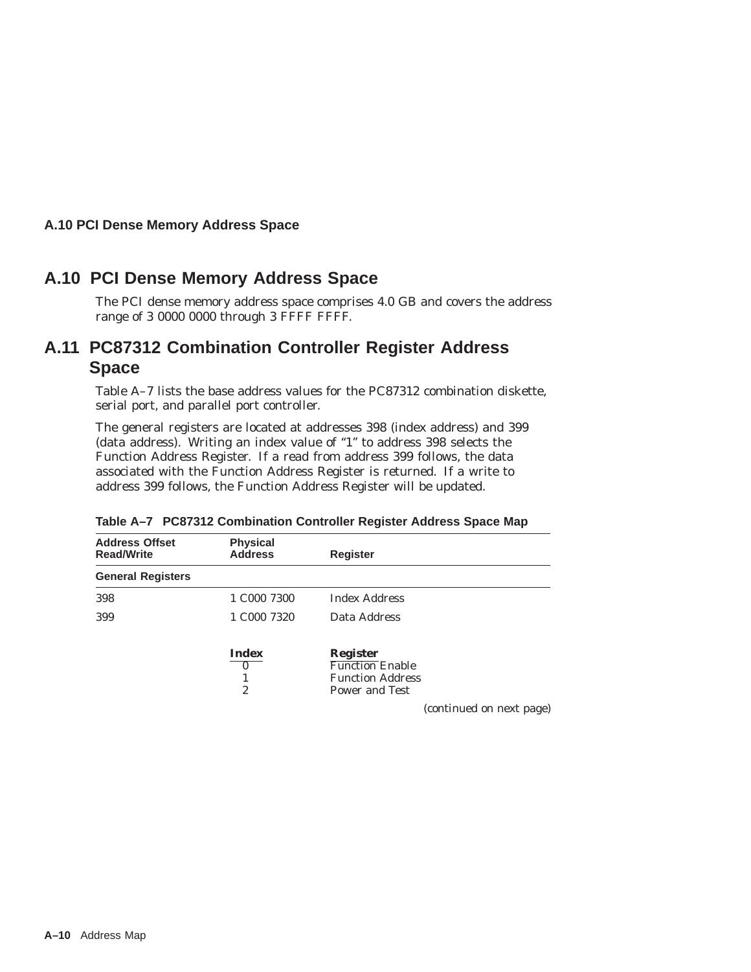## **A.10 PCI Dense Memory Address Space**

## **A.10 PCI Dense Memory Address Space**

The PCI dense memory address space comprises 4.0 GB and covers the address range of 3 0000 0000 through 3 FFFF FFFF.

## **A.11 PC87312 Combination Controller Register Address Space**

Table A–7 lists the base address values for the PC87312 combination diskette, serial port, and parallel port controller.

The general registers are located at addresses 398 (index address) and 399 (data address). Writing an index value of ''1'' to address 398 selects the Function Address Register. If a read from address 399 follows, the data associated with the Function Address Register is returned. If a write to address 399 follows, the Function Address Register will be updated.

| <b>Address Offset</b><br><b>Read/Write</b> | <b>Physical</b><br><b>Address</b> | <b>Register</b>                                   |
|--------------------------------------------|-----------------------------------|---------------------------------------------------|
| <b>General Registers</b>                   |                                   |                                                   |
| 398                                        | 1 C000 7300                       | <b>Index Address</b>                              |
| 399                                        | 1 C <sub>00</sub> 7320            | Data Address                                      |
|                                            | <b>Index</b><br>$\mathbf{0}$      | <b>Register</b><br><b>Function</b> Enable         |
|                                            |                                   | <b>Function Address</b>                           |
|                                            | 2                                 | <b>Power and Test</b><br>(continued on next page) |

**Table A–7 PC87312 Combination Controller Register Address Space Map**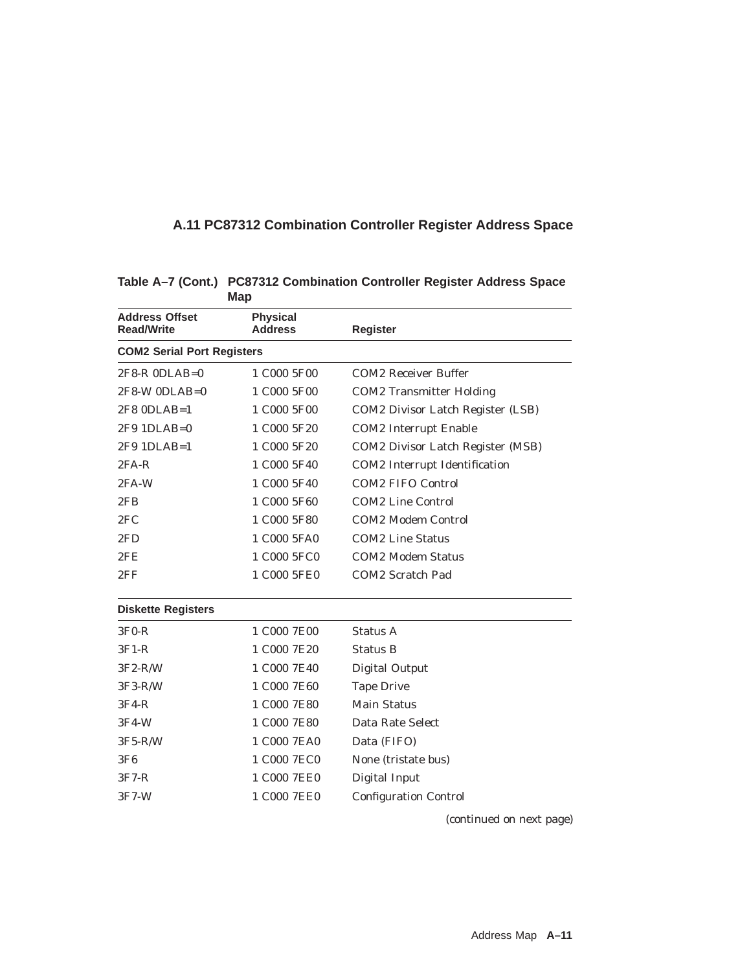## **A.11 PC87312 Combination Controller Register Address Space**

|                                            | mup                               |                                   |
|--------------------------------------------|-----------------------------------|-----------------------------------|
| <b>Address Offset</b><br><b>Read/Write</b> | <b>Physical</b><br><b>Address</b> | <b>Register</b>                   |
| <b>COM2 Serial Port Registers</b>          |                                   |                                   |
| $2F8-R$ $0DLAB=0$                          | 1 C000 5F00                       | <b>COM2 Receiver Buffer</b>       |
| $2F8-W$ ODLAB=0                            | 1 C000 5F00                       | <b>COM2</b> Transmitter Holding   |
| $2F8$ ODLAB=1                              | 1 C000 5F00                       | COM2 Divisor Latch Register (LSB) |
| 2F9 1DLAB=0                                | 1 C000 5F20                       | <b>COM2</b> Interrupt Enable      |
| 2F9 1DLAB=1                                | 1 C000 5F20                       | COM2 Divisor Latch Register (MSB) |
| $2FA-R$                                    | 1 C000 5F40                       | COM2 Interrupt Identification     |
| 2FA-W                                      | 1 C000 5F40                       | <b>COM2 FIFO Control</b>          |
| 2FB                                        | 1 C000 5F60                       | <b>COM2 Line Control</b>          |
| 2FC                                        | 1 C000 5F80                       | <b>COM2 Modem Control</b>         |
| 2FD                                        | 1 C000 5FA0                       | <b>COM2 Line Status</b>           |
| 2FE                                        | 1 C000 5FC0                       | <b>COM2 Modem Status</b>          |
| 2FF                                        | 1 C000 5FE0                       | COM2 Scratch Pad                  |
| <b>Diskette Registers</b>                  |                                   |                                   |
| $3F0-R$                                    | 1 C000 7E00                       | Status A                          |
| $3F1-R$                                    | 1 C000 7E20                       | <b>Status B</b>                   |
| $3F2-R/W$                                  | 1 C000 7E40                       | <b>Digital Output</b>             |
| $3F3-R/W$                                  | 1 C000 7E60                       | <b>Tape Drive</b>                 |
| $3F4-R$                                    | 1 C000 7E80                       | <b>Main Status</b>                |
| 3F4-W                                      | 1 C000 7E80                       | Data Rate Select                  |
| $3F5-R/W$                                  | 1 C000 7EA0                       | Data (FIFO)                       |
| 3F6                                        | 1 C000 7EC0                       | None (tristate bus)               |
| $3F7-R$                                    | 1 C000 7EE0                       | Digital Input                     |
| $3F7-W$                                    | 1 C000 7EE0                       | <b>Configuration Control</b>      |
|                                            |                                   |                                   |

**Table A–7 (Cont.) PC87312 Combination Controller Register Address Space Map**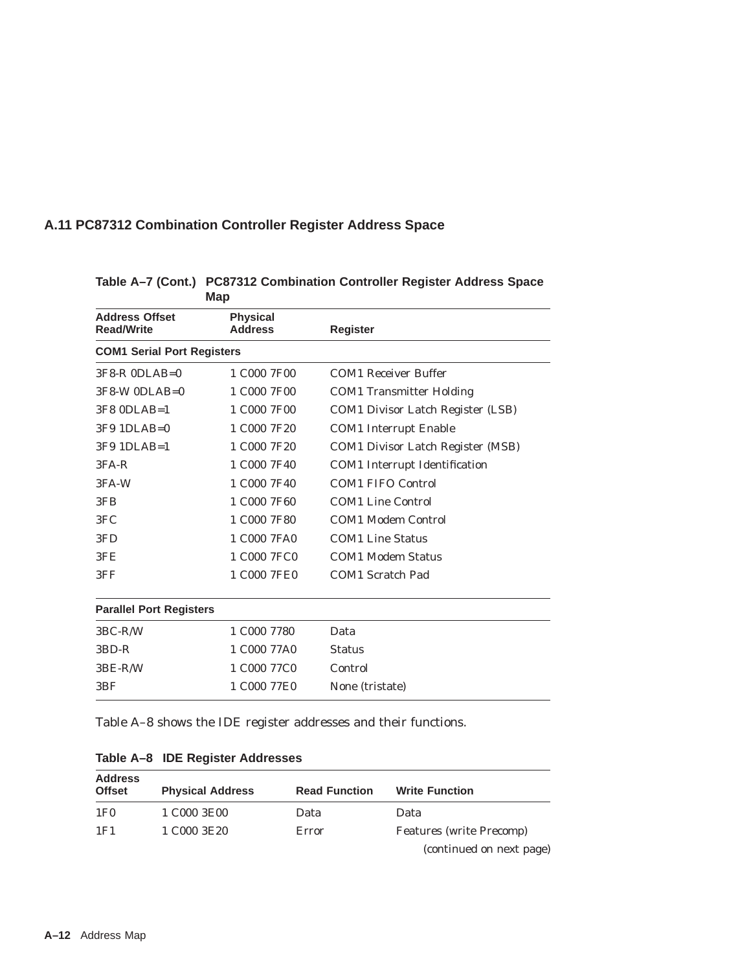## **A.11 PC87312 Combination Controller Register Address Space**

| Map                                        |                                      |                                      |
|--------------------------------------------|--------------------------------------|--------------------------------------|
| <b>Address Offset</b><br><b>Read/Write</b> | <b>Physical</b><br><b>Address</b>    | <b>Register</b>                      |
| <b>COM1 Serial Port Registers</b>          |                                      |                                      |
| $3F8-R$ $0DLAB=0$                          | 1 C <sub>000</sub> 7 F <sub>00</sub> | <b>COM1</b> Receiver Buffer          |
| $3F8-W$ ODLAB=0                            | 1 C000 7F00                          | <b>COM1</b> Transmitter Holding      |
| 3F8 0DLAB=1                                | 1 C000 7F00                          | COM1 Divisor Latch Register (LSB)    |
| $3F9$ 1DLAB=0                              | 1 C000 7F20                          | <b>COM1</b> Interrupt Enable         |
| 3F9 1DLAB=1                                | 1 C000 7F20                          | COM1 Divisor Latch Register (MSB)    |
| $3FA-R$                                    | 1 C000 7F40                          | <b>COM1</b> Interrupt Identification |
| 3FA-W                                      | 1 C000 7F40                          | <b>COM1 FIFO Control</b>             |
| 3FB                                        | 1 C000 7F60                          | <b>COM1 Line Control</b>             |
| 3FC                                        | 1 C000 7F80                          | <b>COM1 Modem Control</b>            |
| 3FD                                        | 1 C000 7FA0                          | <b>COM1 Line Status</b>              |
| 3FE                                        | 1 C000 7FC0                          | <b>COM1 Modem Status</b>             |
| 3FF                                        | 1 C000 7FE0                          | COM1 Scratch Pad                     |
| <b>Parallel Port Registers</b>             |                                      |                                      |
| $3BC-R/W$                                  | 1 C000 7780                          | Data                                 |
| 3BD-R                                      | 1 C000 77A0                          | <b>Status</b>                        |
| $3BE-R/W$                                  | 1 C000 77C0                          | Control                              |

### **Table A–7 (Cont.) PC87312 Combination Controller Register Address Space Map**

Table A–8 shows the IDE register addresses and their functions.

3BF 1 C000 77E0 None (tristate)

|  |  |  |  |  | Table A-8 IDE Register Addresses |
|--|--|--|--|--|----------------------------------|
|--|--|--|--|--|----------------------------------|

| <b>Address</b><br><b>Offset</b> | <b>Physical Address</b> | <b>Read Function</b> | <b>Write Function</b>           |
|---------------------------------|-------------------------|----------------------|---------------------------------|
| 1F <sub>0</sub>                 | 1 C000 3E00             | Data                 | Data                            |
| 1F1                             | 1 C000 3E20             | Error                | <b>Features (write Precomp)</b> |
|                                 |                         |                      | (continued on next page)        |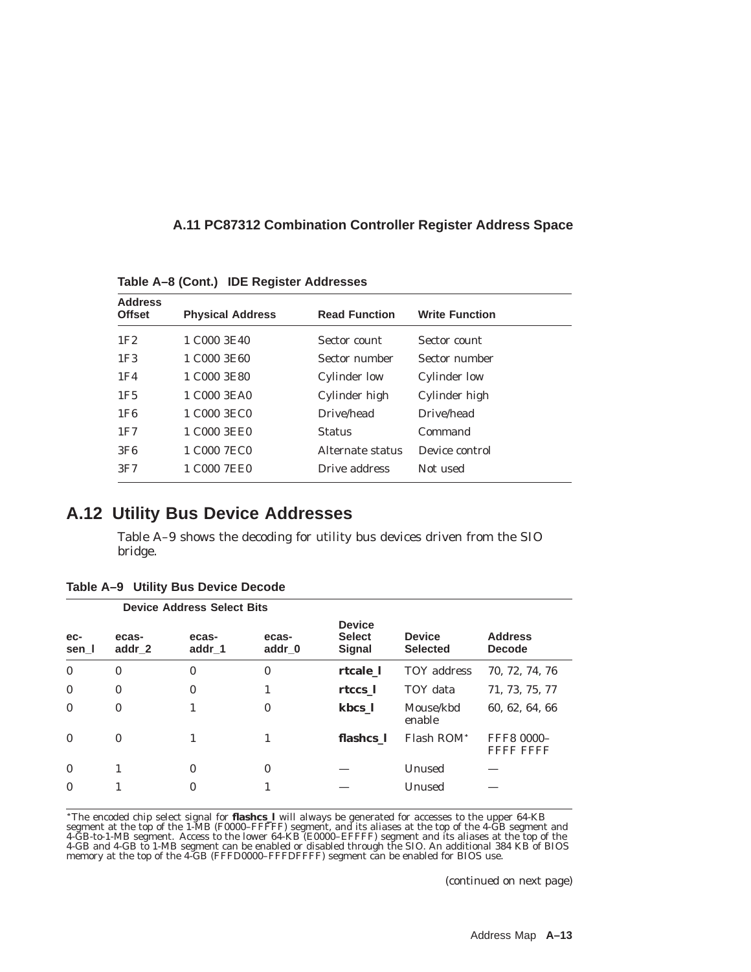| A.11 PC87312 Combination Controller Register Address Space |  |  |  |  |
|------------------------------------------------------------|--|--|--|--|
|------------------------------------------------------------|--|--|--|--|

**Table A–8 (Cont.) IDE Register Addresses**

| <b>Address</b><br><b>Offset</b> | <b>Physical Address</b> | <b>Read Function</b> | <b>Write Function</b> |
|---------------------------------|-------------------------|----------------------|-----------------------|
| 1F2                             | 1 C000 3E40             | Sector count         | Sector count          |
| 1F <sub>3</sub>                 | 1 C000 3E60             | Sector number        | Sector number         |
| 1F4                             | 1 C000 3E80             | <b>Cylinder low</b>  | Cylinder low          |
| 1F <sub>5</sub>                 | 1 C000 3EA0             | Cylinder high        | Cylinder high         |
| 1F <sub>6</sub>                 | 1 C000 3EC0             | Drive/head           | Drive/head            |
| 1F7                             | 1 C000 3EE0             | <b>Status</b>        | Command               |
| 3F6                             | 1 C000 7EC0             | Alternate status     | Device control        |
| 3F7                             | 1 C000 7EE0             | Drive address        | Not used              |

## **A.12 Utility Bus Device Addresses**

Table A–9 shows the decoding for utility bus devices driven from the SIO bridge.

|              |                 | <b>Device Address Select Bits</b> |                 |                                                 |                                  |                                 |
|--------------|-----------------|-----------------------------------|-----------------|-------------------------------------------------|----------------------------------|---------------------------------|
| ec-<br>sen I | ecas-<br>addr_2 | ecas-<br>addr 1                   | ecas-<br>addr 0 | <b>Device</b><br><b>Select</b><br><b>Signal</b> | <b>Device</b><br><b>Selected</b> | <b>Address</b><br><b>Decode</b> |
| $\mathbf{0}$ | $\mathbf{0}$    | $\mathbf{0}$                      | $\mathbf{0}$    | rtcale 1                                        | TOY address                      | 70, 72, 74, 76                  |
| $\mathbf{0}$ | $\bf{0}$        | $\bf{0}$                          | 1               | rtccs 1                                         | TOY data                         | 71, 73, 75, 77                  |
| $\mathbf{0}$ | $\bf{0}$        | 1                                 | $\mathbf{0}$    | kbcs 1                                          | Mouse/kbd<br>enable              | 60, 62, 64, 66                  |
| $\mathbf{0}$ | $\mathbf{0}$    |                                   |                 | flashcs 1                                       | Flash ROM <sup>*</sup>           | FFF8 0000-<br>Fithe Fithe       |
| $\mathbf{0}$ |                 | $\mathbf{0}$                      | $\mathbf{0}$    |                                                 | Unused                           |                                 |
| $\mathbf{0}$ |                 | $\mathbf{0}$                      |                 |                                                 | Unused                           |                                 |

**Table A–9 Utility Bus Device Decode**

\*The encoded chip select signal for **flashcs\_l** will always be generated for accesses to the upper 64-KB segment at the top of the 1-MB (F0000–FFFFF) segment, and its aliases at the top of the 4-GB segment and 4-GB-to-1-MB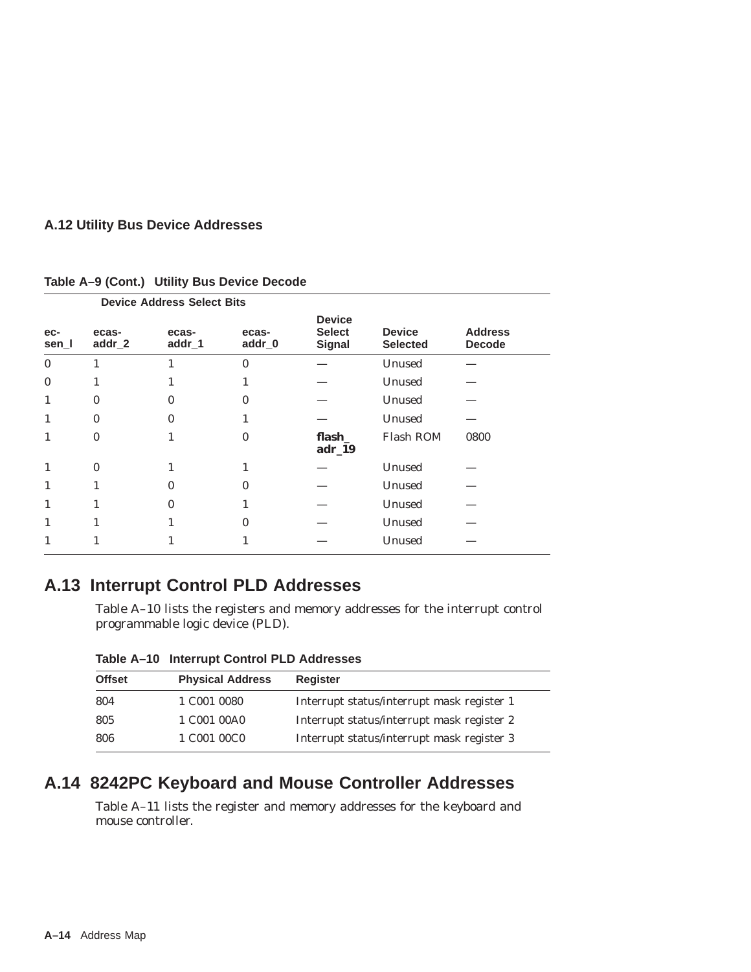## **A.12 Utility Bus Device Addresses**

| <b>Device Address Select Bits</b> |                 |                 |                 |                                                 |                                  |                                 |
|-----------------------------------|-----------------|-----------------|-----------------|-------------------------------------------------|----------------------------------|---------------------------------|
| ec-<br>sen_l                      | ecas-<br>addr_2 | ecas-<br>addr_1 | ecas-<br>addr_0 | <b>Device</b><br><b>Select</b><br><b>Signal</b> | <b>Device</b><br><b>Selected</b> | <b>Address</b><br><b>Decode</b> |
| $\mathbf{0}$                      | 1               |                 | $\bf{0}$        |                                                 | Unused                           |                                 |
| $\mathbf{0}$                      | 1               |                 |                 |                                                 | Unused                           |                                 |
| 1                                 | $\bf{0}$        | 0               | 0               |                                                 | Unused                           |                                 |
| 1                                 | $\bf{0}$        | 0               |                 |                                                 | Unused                           |                                 |
| 1                                 | $\mathbf{0}$    |                 | 0               | flash_<br>$adr_19$                              | Flash ROM                        | 0800                            |
| 1                                 | $\bf{0}$        |                 |                 |                                                 | Unused                           |                                 |
| 1                                 | 1               | 0               | 0               |                                                 | Unused                           |                                 |
|                                   | 1               | 0               |                 |                                                 | Unused                           |                                 |
| 1                                 | 1               |                 | 0               |                                                 | Unused                           |                                 |
|                                   |                 |                 |                 |                                                 | Unused                           |                                 |

#### **Table A–9 (Cont.) Utility Bus Device Decode**

## **A.13 Interrupt Control PLD Addresses**

Table A–10 lists the registers and memory addresses for the interrupt control programmable logic device (PLD).

| <b>Offset</b> | <b>Physical Address</b>             | <b>Register</b>                            |
|---------------|-------------------------------------|--------------------------------------------|
| 804           | 1 C001 0080                         | Interrupt status/interrupt mask register 1 |
| 805           | 1 C001 00A0                         | Interrupt status/interrupt mask register 2 |
| 806           | 1 C <sub>001</sub> 00C <sub>0</sub> | Interrupt status/interrupt mask register 3 |

**Table A–10 Interrupt Control PLD Addresses**

## **A.14 8242PC Keyboard and Mouse Controller Addresses**

Table A–11 lists the register and memory addresses for the keyboard and mouse controller.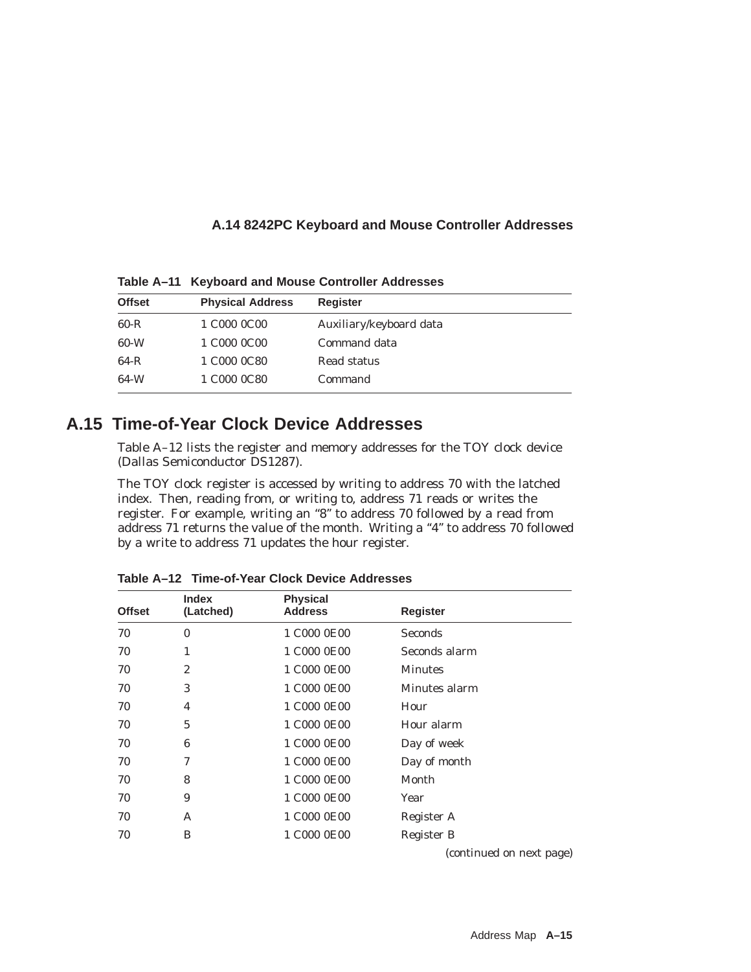## **A.14 8242PC Keyboard and Mouse Controller Addresses**

**Table A–11 Keyboard and Mouse Controller Addresses**

| <b>Offset</b> | <b>Physical Address</b> | <b>Register</b>         |
|---------------|-------------------------|-------------------------|
| $60 - R$      | 1 C000 0C00             | Auxiliary/keyboard data |
| 60-W          | 1 C000 0C00             | Command data            |
| 64-R          | 1 C000 0C80             | Read status             |
| 64-W          | 1 C000 0C80             | Command                 |

## **A.15 Time-of-Year Clock Device Addresses**

Table A–12 lists the register and memory addresses for the TOY clock device (Dallas Semiconductor DS1287).

The TOY clock register is accessed by writing to address 70 with the latched index. Then, reading from, or writing to, address 71 reads or writes the register. For example, writing an "8" to address 70 followed by a read from address 71 returns the value of the month. Writing a "4" to address 70 followed by a write to address 71 updates the hour register.

| <b>Offset</b> | <b>Index</b><br>(Latched) | <b>Physical</b><br><b>Address</b> | <b>Register</b>          |
|---------------|---------------------------|-----------------------------------|--------------------------|
| 70            | $\bf{0}$                  | 1 C000 0E00                       | <b>Seconds</b>           |
| 70            | 1                         | 1 C000 0E00                       | Seconds alarm            |
| 70            | $\overline{c}$            | 1 C000 0E00                       | <b>Minutes</b>           |
| 70            | 3                         | 1 C000 0E00                       | Minutes alarm            |
| 70            | 4                         | 1 C000 0E00                       | Hour                     |
| 70            | 5                         | 1 C000 0E00                       | Hour alarm               |
| 70            | 6                         | 1 C000 0E00                       | Day of week              |
| 70            | 7                         | 1 C000 0E00                       | Day of month             |
| 70            | 8                         | 1 C000 0E00                       | Month                    |
| 70            | 9                         | 1 C000 0E00                       | Year                     |
| 70            | A                         | 1 C000 0E00                       | Register A               |
| 70            | B                         | 1 C000 0E00                       | Register B               |
|               |                           |                                   | (continued on next page) |

**Table A–12 Time-of-Year Clock Device Addresses**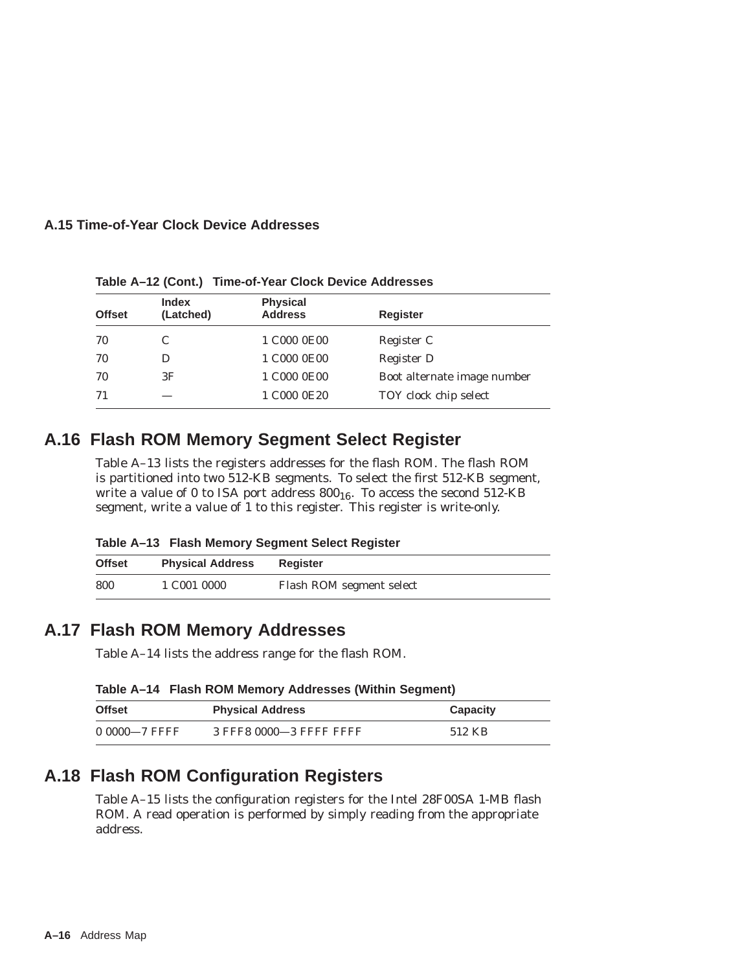## **A.15 Time-of-Year Clock Device Addresses**

| <b>Offset</b> | <b>Index</b><br>(Latched) | <b>Physical</b><br><b>Address</b> | <b>Register</b>             |
|---------------|---------------------------|-----------------------------------|-----------------------------|
| 70            |                           | 1 C000 0E00                       | Register C                  |
| 70            |                           | 1 C000 0E00                       | Register D                  |
| 70            | 3F                        | 1 C000 0E00                       | Boot alternate image number |
| 71            |                           | 1 C000 0E20                       | TOY clock chip select       |

**Table A–12 (Cont.) Time-of-Year Clock Device Addresses**

## **A.16 Flash ROM Memory Segment Select Register**

Table A–13 lists the registers addresses for the flash ROM. The flash ROM is partitioned into two 512-KB segments. To select the first 512-KB segment, write a value of 0 to ISA port address  $800_{16}$ . To access the second 512-KB segment, write a value of 1 to this register. This register is write-only.

| Table A-13 Flash Memory Segment Select Register |  |
|-------------------------------------------------|--|
|-------------------------------------------------|--|

| <b>Offset</b> | <b>Physical Address</b> | <b>Register</b>          |
|---------------|-------------------------|--------------------------|
| 800           | 1 C001 0000             | Flash ROM segment select |

## **A.17 Flash ROM Memory Addresses**

Table A–14 lists the address range for the flash ROM.

| Table A-14 Flash ROM Memory Addresses (Within Segment) |  |  |
|--------------------------------------------------------|--|--|
|                                                        |  |  |

| <b>Offset</b> | <b>Physical Address</b> | Capacity |
|---------------|-------------------------|----------|
| 0 0000-7 FFFF | 3 FFF8 0000-3 FFFF FFFF | 512 KB   |

## **A.18 Flash ROM Configuration Registers**

Table A–15 lists the configuration registers for the Intel 28F00SA 1-MB flash ROM. A read operation is performed by simply reading from the appropriate address.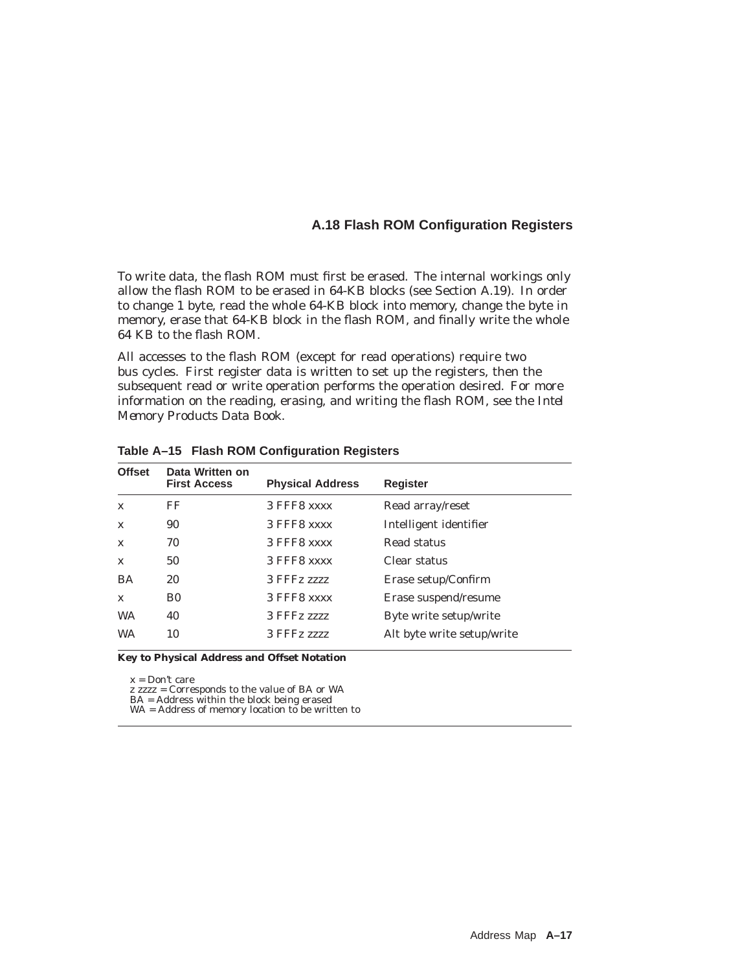### **A.18 Flash ROM Configuration Registers**

To write data, the flash ROM must first be erased. The internal workings only allow the flash ROM to be erased in 64-KB blocks (see Section A.19). In order to change 1 byte, read the whole 64-KB block into memory, change the byte in memory, erase that 64-KB block in the flash ROM, and finally write the whole 64 KB to the flash ROM.

All accesses to the flash ROM (except for read operations) require two bus cycles. First register data is written to set up the registers, then the subsequent read or write operation performs the operation desired. For more information on the reading, erasing, and writing the flash ROM, see the *Intel Memory Products Data Book*.

| <b>Offset</b> | Data Written on<br><b>First Access</b> | <b>Physical Address</b> | Register                   |
|---------------|----------------------------------------|-------------------------|----------------------------|
| $\mathbf{x}$  | FF                                     | 3 FFF8 xxxx             | Read array/reset           |
| $\mathbf x$   | 90                                     | 3 FFF8 xxxx             | Intelligent identifier     |
| $\mathbf{x}$  | 70                                     | 3 FFF8 xxxx             | Read status                |
| $\mathbf{x}$  | 50                                     | 3 FFF8 xxxx             | Clear status               |
| BA            | 20                                     | 3 FFFz 2222             | Erase setup/Confirm        |
| $\mathbf{x}$  | B <sub>0</sub>                         | 3 FFF8 xxxx             | Erase suspend/resume       |
| <b>WA</b>     | 40                                     | 3 FFFz 2222             | Byte write setup/write     |
| <b>WA</b>     | 10                                     | 3 FFFz 2222             | Alt byte write setup/write |

**Table A–15 Flash ROM Configuration Registers**

**Key to Physical Address and Offset Notation**

 $x = Don't care$ 

z zzzz = Corresponds to the value of BA or WA

BA = Address within the block being erased WA = Address of memory location to be written to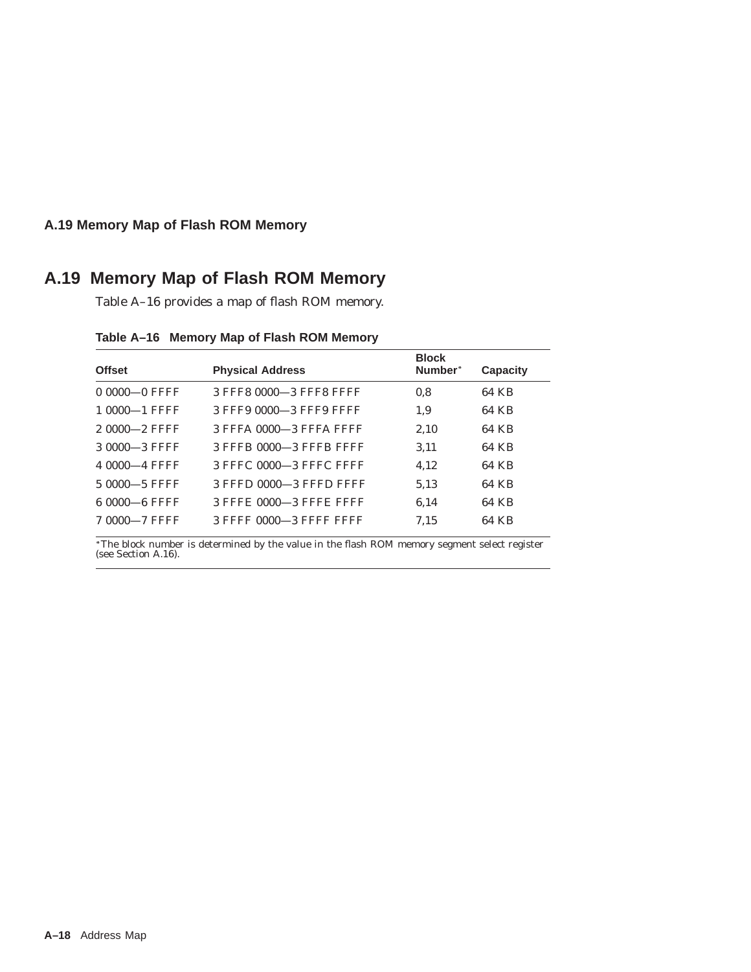## **A.19 Memory Map of Flash ROM Memory**

## **A.19 Memory Map of Flash ROM Memory**

Table A–16 provides a map of flash ROM memory.

| <b>Offset</b>    | <b>Physical Address</b> | <b>Block</b><br>Number* | Capacity |
|------------------|-------------------------|-------------------------|----------|
| $00000 - 0$ FFFF | 3 FFF8 0000-3 FFF8 FFFF | 0.8                     | 64 KB    |
| 1 0000-1 FFFF    | 3 FFF9 0000-3 FFF9 FFFF | 1,9                     | 64 KB    |
| 2 0000-2 FFFF    | 3 FFFA 0000-3 FFFA FFFF | 2,10                    | 64 KB    |
| 3 0000 - 3 FFFF  | 3 FFFB 0000-3 FFFB FFFF | 3.11                    | 64 KB    |
| 4 0000 - 4 FFFF  | 3 FFFC 0000-3 FFFC FFFF | 4.12                    | 64 KB    |
| 5 0000 - 5 FFFF  | 3 FFFD 0000-3 FFFD FFFF | 5.13                    | 64 KB    |
| 6 0000 6 FFFF    | 3 FFFE 0000-3 FFFE FFFF | 6.14                    | 64 KB    |
| 7 0000-7 FFFF    | 3 FFFF 0000-3 FFFF FFFF | 7.15                    | 64 KB    |

The block number is determined by the value in the flash ROM memory segment select register (see Section A.16).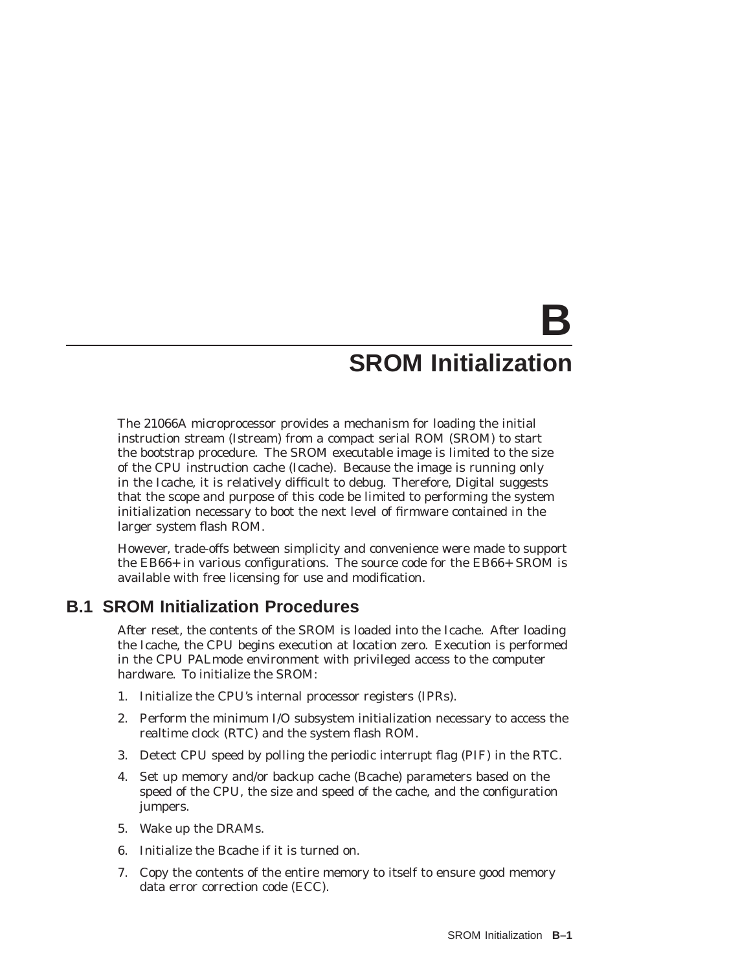# **B SROM Initialization**

The 21066A microprocessor provides a mechanism for loading the initial instruction stream (Istream) from a compact serial ROM (SROM) to start the bootstrap procedure. The SROM executable image is limited to the size of the CPU instruction cache (Icache). Because the image is running only in the Icache, it is relatively difficult to debug. Therefore, Digital suggests that the scope and purpose of this code be limited to performing the system initialization necessary to boot the next level of firmware contained in the larger system flash ROM.

However, trade-offs between simplicity and convenience were made to support the EB66+ in various configurations. The source code for the EB66+ SROM is available with free licensing for use and modification.

## **B.1 SROM Initialization Procedures**

After reset, the contents of the SROM is loaded into the Icache. After loading the Icache, the CPU begins execution at location zero. Execution is performed in the CPU PALmode environment with privileged access to the computer hardware. To initialize the SROM:

- 1. Initialize the CPU's internal processor registers (IPRs).
- 2. Perform the minimum I/O subsystem initialization necessary to access the realtime clock (RTC) and the system flash ROM.
- 3. Detect CPU speed by polling the periodic interrupt flag (PIF) in the RTC.
- 4. Set up memory and/or backup cache (Bcache) parameters based on the speed of the CPU, the size and speed of the cache, and the configuration jumpers.
- 5. Wake up the DRAMs.
- 6. Initialize the Bcache if it is turned on.
- 7. Copy the contents of the entire memory to itself to ensure good memory data error correction code (ECC).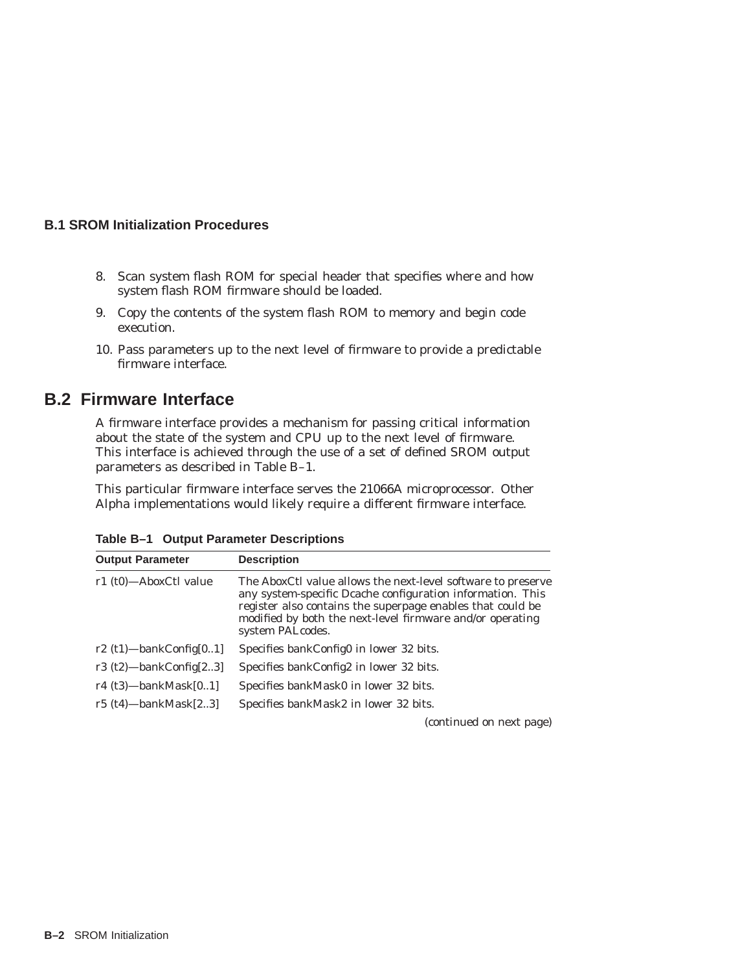## **B.1 SROM Initialization Procedures**

- 8. Scan system flash ROM for special header that specifies where and how system flash ROM firmware should be loaded.
- 9. Copy the contents of the system flash ROM to memory and begin code execution.
- 10. Pass parameters up to the next level of firmware to provide a predictable firmware interface.

## **B.2 Firmware Interface**

A firmware interface provides a mechanism for passing critical information about the state of the system and CPU up to the next level of firmware. This interface is achieved through the use of a set of defined SROM output parameters as described in Table B–1.

This particular firmware interface serves the 21066A microprocessor. Other Alpha implementations would likely require a different firmware interface.

| <b>Output Parameter</b>    | <b>Description</b>                                                                                                                                                                                                                                                        |
|----------------------------|---------------------------------------------------------------------------------------------------------------------------------------------------------------------------------------------------------------------------------------------------------------------------|
| r1 (t0)-AboxCtl value      | The AboxCtl value allows the next-level software to preserve<br>any system-specific Deache configuration information. This<br>register also contains the superpage enables that could be<br>modified by both the next-level firmware and/or operating<br>system PALcodes. |
| r2 $(t1)$ —bankConfig[01]  | Specifies bankConfig0 in lower 32 bits.                                                                                                                                                                                                                                   |
| r3 $(t2)$ —bankConfig[23]  | Specifies bankConfig2 in lower 32 bits.                                                                                                                                                                                                                                   |
| r4 $(t3)$ —bankMask $[01]$ | Specifies bankMask0 in lower 32 bits.                                                                                                                                                                                                                                     |
| r5 $(t4)$ —bankMask $[23]$ | Specifies bankMask2 in lower 32 bits.                                                                                                                                                                                                                                     |

**Table B–1 Output Parameter Descriptions**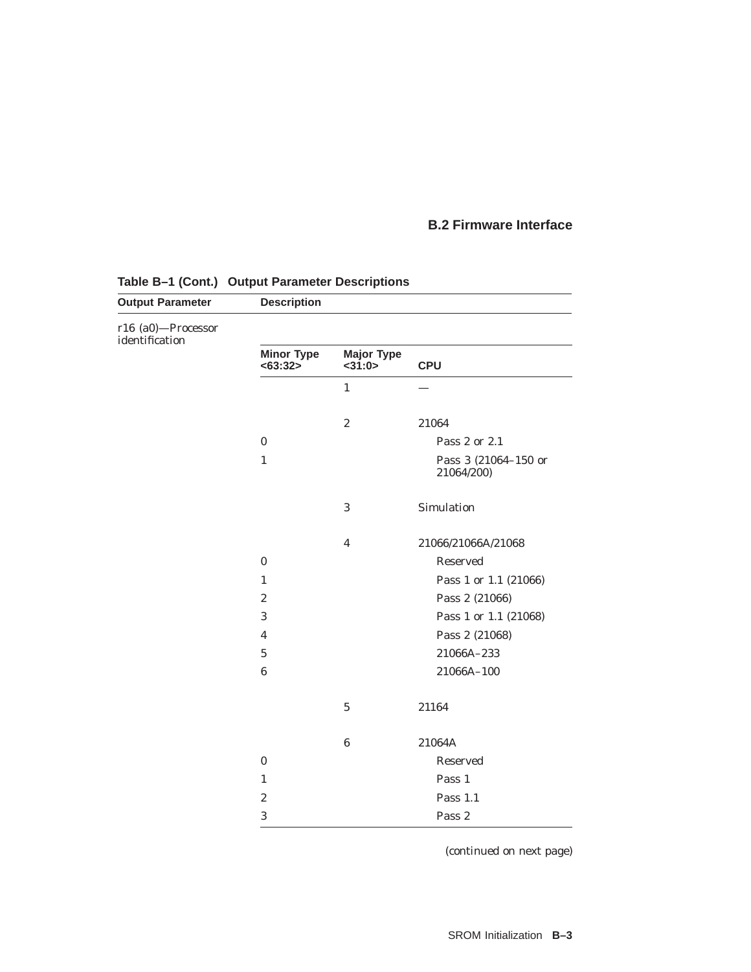## **B.2 Firmware Interface**

| <b>Output Parameter</b>              | <b>Description</b>            |                                |                                    |  |  |
|--------------------------------------|-------------------------------|--------------------------------|------------------------------------|--|--|
| r16 (a0)-Processor<br>identification |                               |                                |                                    |  |  |
|                                      | <b>Minor Type</b><br>< 63:32> | <b>Major Type</b><br>$<$ 31:0> | <b>CPU</b>                         |  |  |
|                                      |                               | $\mathbf{1}$                   |                                    |  |  |
|                                      |                               | $\boldsymbol{2}$               | 21064                              |  |  |
|                                      | $\boldsymbol{0}$              |                                | Pass 2 or 2.1                      |  |  |
|                                      | $\mathbf{1}$                  |                                | Pass 3 (21064-150 or<br>21064/200) |  |  |
|                                      |                               | 3                              | Simulation                         |  |  |
|                                      |                               | $\overline{\mathbf{4}}$        | 21066/21066A/21068                 |  |  |
|                                      | $\bf{0}$                      |                                | Reserved                           |  |  |
|                                      | $\mathbf{1}$                  |                                | Pass 1 or 1.1 (21066)              |  |  |
|                                      | $\boldsymbol{2}$              |                                | Pass 2 (21066)                     |  |  |
|                                      | 3                             |                                | Pass 1 or 1.1 (21068)              |  |  |
|                                      | $\overline{4}$                |                                | Pass 2 (21068)                     |  |  |
|                                      | $\bf 5$                       |                                | 21066A-233                         |  |  |
|                                      | $\bf 6$                       |                                | 21066A-100                         |  |  |
|                                      |                               | $\bf 5$                        | 21164                              |  |  |
|                                      |                               | $\bf 6$                        | 21064A                             |  |  |
|                                      | $\bf{0}$                      |                                | Reserved                           |  |  |
|                                      | $\mathbf{1}$                  |                                | Pass 1                             |  |  |
|                                      | $\boldsymbol{2}$              |                                | Pass 1.1                           |  |  |
|                                      | 3                             |                                | Pass 2                             |  |  |

## **Table B–1 (Cont.) Output Parameter Descriptions**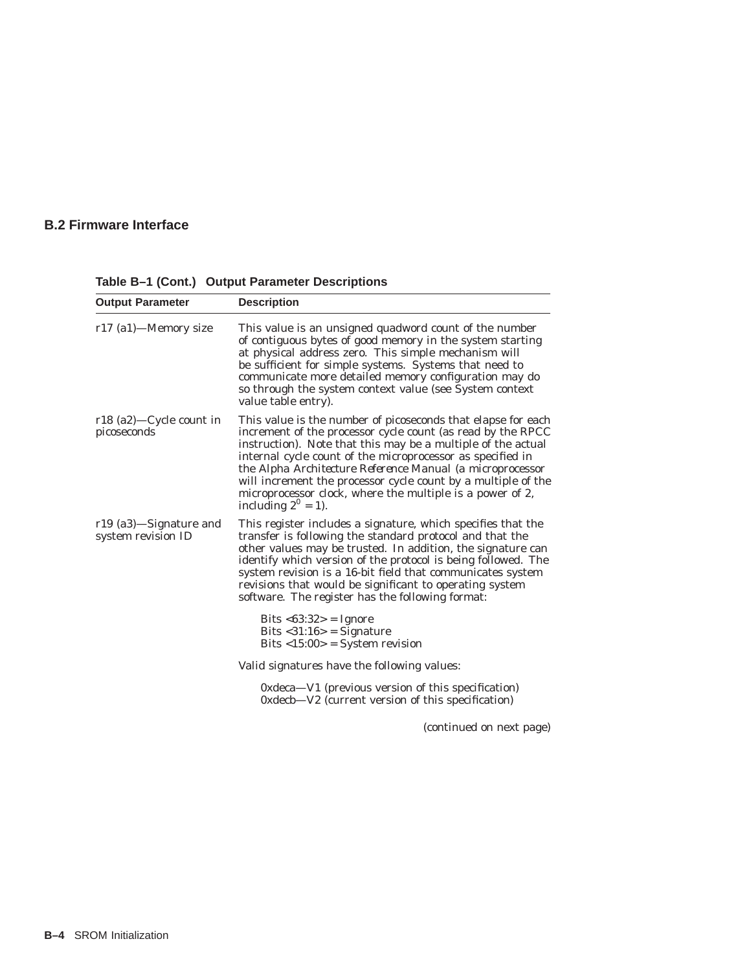## **B.2 Firmware Interface**

| <b>Output Parameter</b>                      | <b>Description</b>                                                                                                                                                                                                                                                                                                                                                                                                                                                             |
|----------------------------------------------|--------------------------------------------------------------------------------------------------------------------------------------------------------------------------------------------------------------------------------------------------------------------------------------------------------------------------------------------------------------------------------------------------------------------------------------------------------------------------------|
| r17 (a1)—Memory size                         | This value is an unsigned quadword count of the number<br>of contiguous bytes of good memory in the system starting<br>at physical address zero. This simple mechanism will<br>be sufficient for simple systems. Systems that need to<br>communicate more detailed memory configuration may do<br>so through the system context value (see System context<br>value table entry).                                                                                               |
| $r18$ (a2)—Cycle count in<br>picoseconds     | This value is the number of picoseconds that elapse for each<br>increment of the processor cycle count (as read by the RPCC<br>instruction). Note that this may be a multiple of the actual<br>internal cycle count of the microprocessor as specified in<br>the Alpha Architecture Reference Manual (a microprocessor<br>will increment the processor cycle count by a multiple of the<br>microprocessor clock, where the multiple is a power of 2,<br>including $2^0 = 1$ ). |
| r19 (a3)-Signature and<br>system revision ID | This register includes a signature, which specifies that the<br>transfer is following the standard protocol and that the<br>other values may be trusted. In addition, the signature can<br>identify which version of the protocol is being followed. The<br>system revision is a 16-bit field that communicates system<br>revisions that would be significant to operating system<br>software. The register has the following format:                                          |
|                                              | Bits $<63:32>$ = Ignore<br>Bits $<$ 31:16> = Signature<br>Bits $\langle 15:00 \rangle$ = System revision                                                                                                                                                                                                                                                                                                                                                                       |
|                                              | Valid signatures have the following values:                                                                                                                                                                                                                                                                                                                                                                                                                                    |
|                                              | 0xdeca—V1 (previous version of this specification)<br>0xdecb—V2 (current version of this specification)                                                                                                                                                                                                                                                                                                                                                                        |

**Table B–1 (Cont.) Output Parameter Descriptions**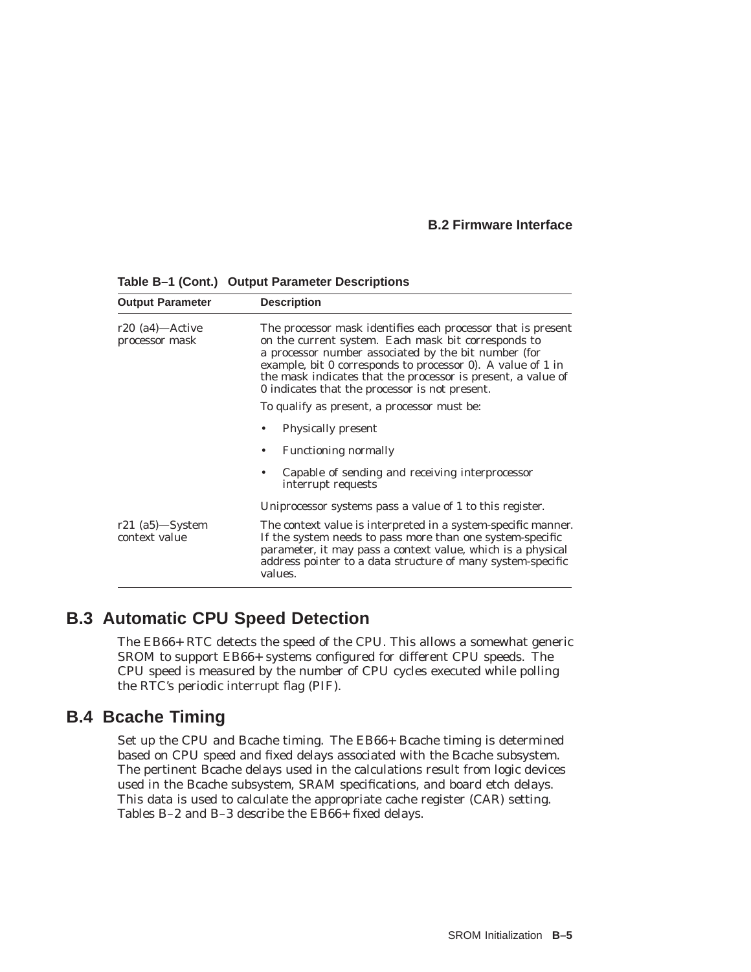## **B.2 Firmware Interface**

| <b>Output Parameter</b>             | <b>Description</b>                                                                                                                                                                                                                                                                                                                                                                                          |  |  |
|-------------------------------------|-------------------------------------------------------------------------------------------------------------------------------------------------------------------------------------------------------------------------------------------------------------------------------------------------------------------------------------------------------------------------------------------------------------|--|--|
| $r20$ (a4)—Active<br>processor mask | The processor mask identifies each processor that is present<br>on the current system. Each mask bit corresponds to<br>a processor number associated by the bit number (for<br>example, bit 0 corresponds to processor 0). A value of 1 in<br>the mask indicates that the processor is present, a value of<br>0 indicates that the processor is not present.<br>To qualify as present, a processor must be: |  |  |
|                                     | <b>Physically present</b>                                                                                                                                                                                                                                                                                                                                                                                   |  |  |
|                                     | <b>Functioning normally</b>                                                                                                                                                                                                                                                                                                                                                                                 |  |  |
|                                     | Capable of sending and receiving interprocessor<br>interrupt requests                                                                                                                                                                                                                                                                                                                                       |  |  |
|                                     | Uniprocessor systems pass a value of 1 to this register.                                                                                                                                                                                                                                                                                                                                                    |  |  |
| $r21$ (a5)—System<br>context value  | The context value is interpreted in a system-specific manner.<br>If the system needs to pass more than one system-specific<br>parameter, it may pass a context value, which is a physical<br>address pointer to a data structure of many system-specific<br>values.                                                                                                                                         |  |  |

**Table B–1 (Cont.) Output Parameter Descriptions**

## **B.3 Automatic CPU Speed Detection**

The EB66+ RTC detects the speed of the CPU. This allows a somewhat generic SROM to support EB66+ systems configured for different CPU speeds. The CPU speed is measured by the number of CPU cycles executed while polling the RTC's periodic interrupt flag (PIF).

## **B.4 Bcache Timing**

Set up the CPU and Bcache timing. The EB66+ Bcache timing is determined based on CPU speed and fixed delays associated with the Bcache subsystem. The pertinent Bcache delays used in the calculations result from logic devices used in the Bcache subsystem, SRAM specifications, and board etch delays. This data is used to calculate the appropriate cache register (CAR) setting. Tables B–2 and B–3 describe the EB66+ fixed delays.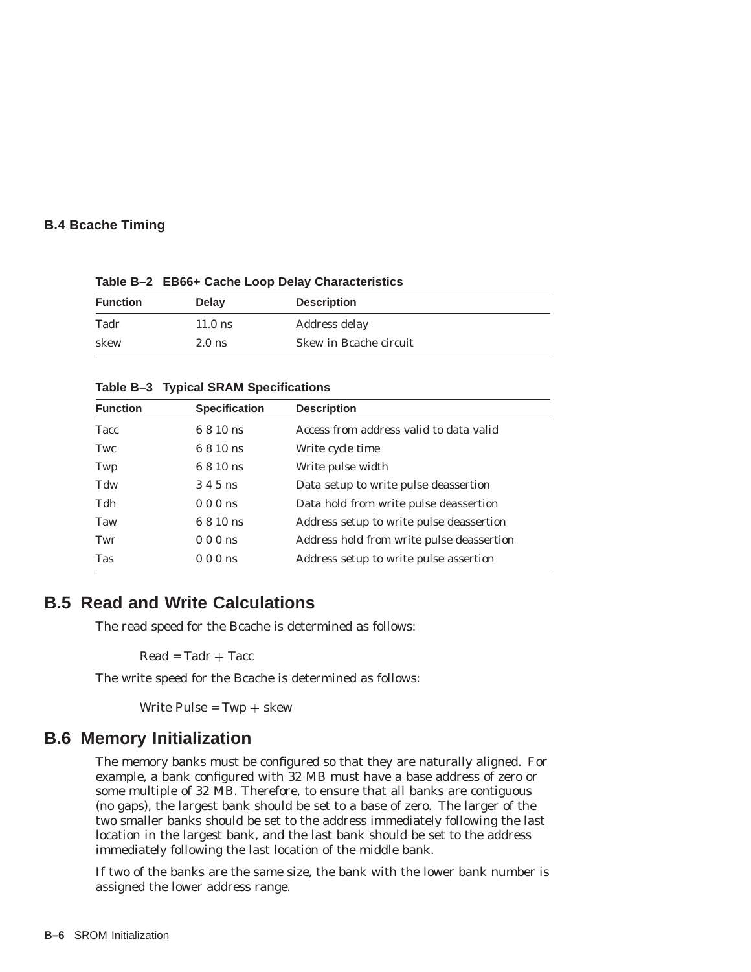## **B.4 Bcache Timing**

**Table B–2 EB66+ Cache Loop Delay Characteristics**

| <b>Function</b> | <b>Delay</b> | <b>Description</b>     |
|-----------------|--------------|------------------------|
| Tadr            | $11.0$ ns    | Address delay          |
| skew            | $2.0$ ns     | Skew in Bcache circuit |

#### **Table B–3 Typical SRAM Specifications**

| <b>Specification</b> | <b>Description</b>                        |
|----------------------|-------------------------------------------|
| 6 8 10 ns            | Access from address valid to data valid   |
| 6 8 10 ns            | Write cycle time                          |
| 6 8 10 ns            | Write pulse width                         |
| 3 4 5 ns             | Data setup to write pulse deassertion     |
| 000ns                | Data hold from write pulse deassertion    |
| 6 8 10 ns            | Address setup to write pulse deassertion  |
| 000ns                | Address hold from write pulse deassertion |
| 000ns                | Address setup to write pulse assertion    |
|                      |                                           |

## **B.5 Read and Write Calculations**

The read speed for the Bcache is determined as follows:

 $Read = Tadr + Tacc$ 

The write speed for the Bcache is determined as follows:

Write Pulse =  $Twp + skew$ 

## **B.6 Memory Initialization**

The memory banks must be configured so that they are naturally aligned. For example, a bank configured with 32 MB must have a base address of zero or some multiple of 32 MB. Therefore, to ensure that all banks are contiguous (no gaps), the largest bank should be set to a base of zero. The larger of the two smaller banks should be set to the address immediately following the last location in the largest bank, and the last bank should be set to the address immediately following the last location of the middle bank.

If two of the banks are the same size, the bank with the lower bank number is assigned the lower address range.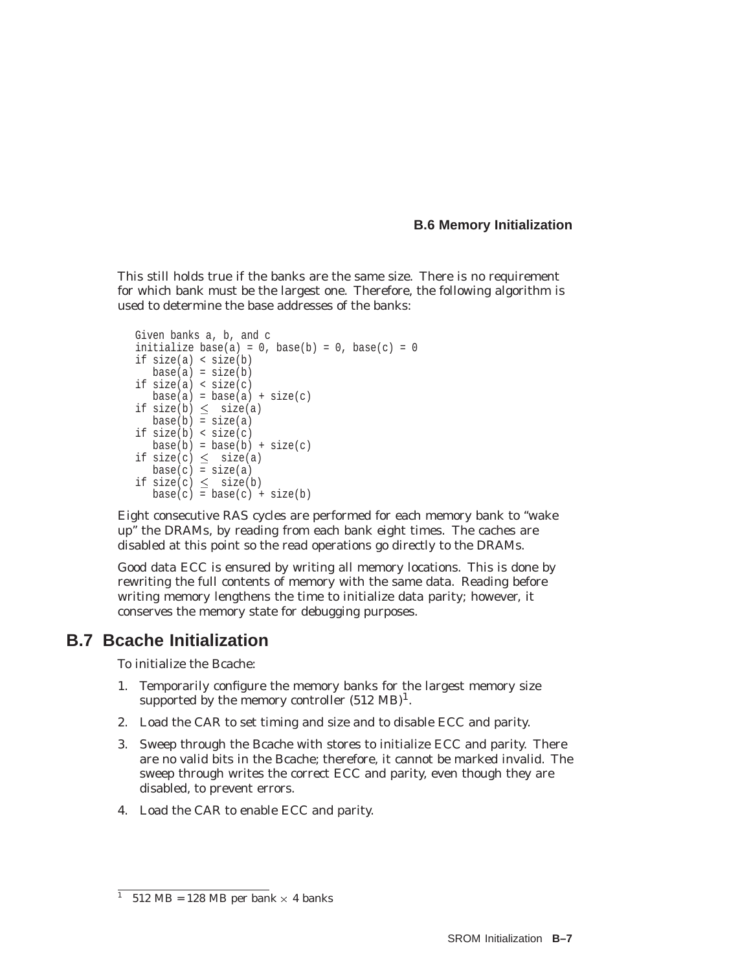### **B.6 Memory Initialization**

This still holds true if the banks are the same size. There is no requirement for which bank must be the largest one. Therefore, the following algorithm is used to determine the base addresses of the banks:

```
Given banks a, b, and c
initialize base(a) = 0, base(b) = 0, base(c) = 0if size(a) < size(b)
  base(a) = size(b)if size(a) < size(c)
  base(a) = base(a) + size(c)if size(b) \leq size(a)base(b) = size(a)if size(b) < size(c)
  base(b) = base(b) + size(c)if size(c) \leq size(a)base(c) = size(a)if size(c) \leq size(b)base(c) = base(c) + size(b)
```
Eight consecutive RAS cycles are performed for each memory bank to ''wake up'' the DRAMs, by reading from each bank eight times. The caches are disabled at this point so the read operations go directly to the DRAMs.

Good data ECC is ensured by writing all memory locations. This is done by rewriting the full contents of memory with the same data. Reading before writing memory lengthens the time to initialize data parity; however, it conserves the memory state for debugging purposes.

## **B.7 Bcache Initialization**

To initialize the Bcache:

- 1. Temporarily configure the memory banks for the largest memory size supported by the memory controller  $(512 \text{ MB})^1$ .
- 2. Load the CAR to set timing and size and to disable ECC and parity.
- 3. Sweep through the Bcache with stores to initialize ECC and parity. There are no valid bits in the Bcache; therefore, it cannot be marked invalid. The sweep through writes the correct ECC and parity, even though they are disabled, to prevent errors.
- 4. Load the CAR to enable ECC and parity.

<sup>&</sup>lt;sup>1</sup> 512 MB = 128 MB per bank  $\times$  4 banks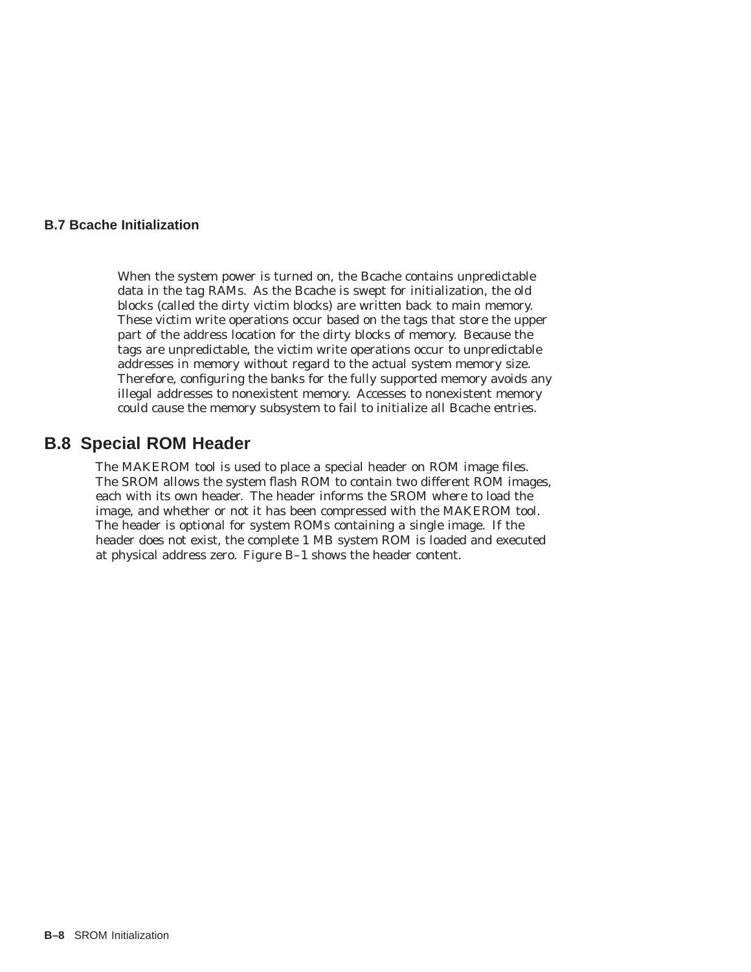### **B.7 Bcache Initialization**

When the system power is turned on, the Bcache contains unpredictable data in the tag RAMs. As the Bcache is swept for initialization, the old blocks (called the dirty victim blocks) are written back to main memory. These victim write operations occur based on the tags that store the upper part of the address location for the dirty blocks of memory. Because the tags are unpredictable, the victim write operations occur to unpredictable addresses in memory without regard to the actual system memory size. Therefore, configuring the banks for the fully supported memory avoids any illegal addresses to nonexistent memory. Accesses to nonexistent memory could cause the memory subsystem to fail to initialize all Bcache entries.

## **B.8 Special ROM Header**

The MAKEROM tool is used to place a special header on ROM image files. The SROM allows the system flash ROM to contain two different ROM images, each with its own header. The header informs the SROM where to load the image, and whether or not it has been compressed with the MAKEROM tool. The header is optional for system ROMs containing a single image. If the header does not exist, the complete 1 MB system ROM is loaded and executed at physical address zero. Figure B–1 shows the header content.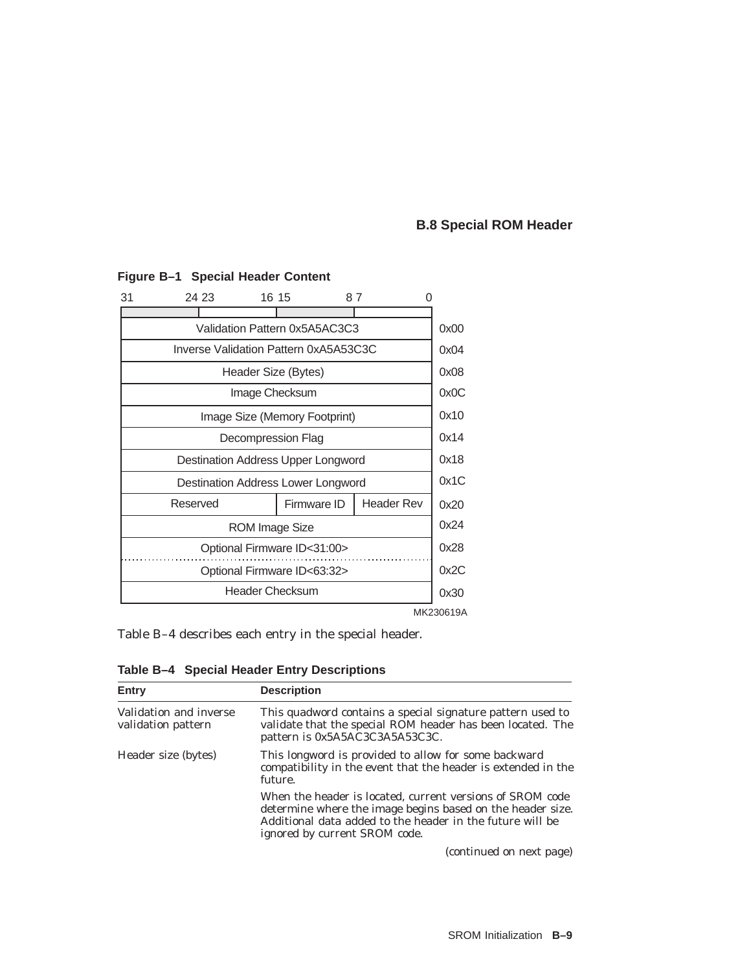## **B.8 Special ROM Header**

| 31                                 | 24 23                                        |  | 16 15               |           | 87                                    |      |      |      |
|------------------------------------|----------------------------------------------|--|---------------------|-----------|---------------------------------------|------|------|------|
|                                    |                                              |  |                     |           |                                       |      |      |      |
|                                    |                                              |  |                     |           | Validation Pattern 0x5A5AC3C3         |      |      | 0x00 |
|                                    |                                              |  |                     |           | Inverse Validation Pattern 0xA5A53C3C |      |      | 0x04 |
|                                    |                                              |  | Header Size (Bytes) |           |                                       |      |      | 0x08 |
|                                    |                                              |  | Image Checksum      |           |                                       |      |      | 0x0C |
|                                    |                                              |  |                     |           | Image Size (Memory Footprint)         |      |      | 0x10 |
|                                    | Decompression Flag                           |  |                     |           |                                       | 0x14 |      |      |
| Destination Address Upper Longword |                                              |  |                     |           | 0x18                                  |      |      |      |
| Destination Address Lower Longword |                                              |  |                     |           | 0x1C                                  |      |      |      |
|                                    | <b>Header Rev</b><br>Reserved<br>Firmware ID |  |                     |           |                                       |      | 0x20 |      |
| <b>ROM Image Size</b>              |                                              |  |                     |           | 0x24                                  |      |      |      |
| Optional Firmware ID<31:00>        |                                              |  |                     |           | 0x28                                  |      |      |      |
|                                    | Optional Firmware ID<63:32>                  |  |                     |           |                                       | 0x2C |      |      |
|                                    | <b>Header Checksum</b>                       |  |                     |           |                                       | 0x30 |      |      |
|                                    |                                              |  |                     | MK230619A |                                       |      |      |      |

## **Figure B–1 Special Header Content**

Table B–4 describes each entry in the special header.

**Table B–4 Special Header Entry Descriptions**

| Entry                                        | <b>Description</b>                                                                                                                                                                                                    |
|----------------------------------------------|-----------------------------------------------------------------------------------------------------------------------------------------------------------------------------------------------------------------------|
| Validation and inverse<br>validation pattern | This quadword contains a special signature pattern used to<br>validate that the special ROM header has been located. The<br>pattern is 0x5A5AC3C3A5A53C3C.                                                            |
| Header size (bytes)                          | This longword is provided to allow for some backward<br>compatibility in the event that the header is extended in the<br>future.                                                                                      |
|                                              | When the header is located, current versions of SROM code<br>determine where the image begins based on the header size.<br>Additional data added to the header in the future will be<br>ignored by current SROM code. |
|                                              | (continued on next page)                                                                                                                                                                                              |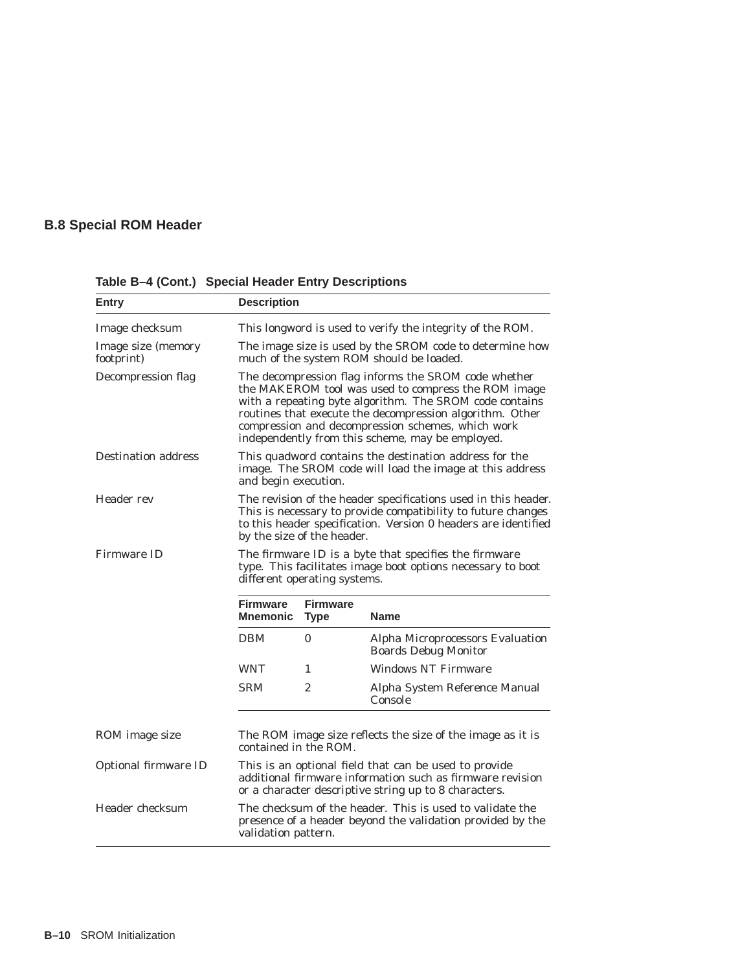## **B.8 Special ROM Header**

| Entry                            | <b>Description</b>                                                                                                                                                                                                                                                                                                                          |              |                                                                 |  |
|----------------------------------|---------------------------------------------------------------------------------------------------------------------------------------------------------------------------------------------------------------------------------------------------------------------------------------------------------------------------------------------|--------------|-----------------------------------------------------------------|--|
| Image checksum                   | This longword is used to verify the integrity of the ROM.                                                                                                                                                                                                                                                                                   |              |                                                                 |  |
| Image size (memory<br>footprint) | The image size is used by the SROM code to determine how<br>much of the system ROM should be loaded.                                                                                                                                                                                                                                        |              |                                                                 |  |
| Decompression flag               | The decompression flag informs the SROM code whether<br>the MAKEROM tool was used to compress the ROM image<br>with a repeating byte algorithm. The SROM code contains<br>routines that execute the decompression algorithm. Other<br>compression and decompression schemes, which work<br>independently from this scheme, may be employed. |              |                                                                 |  |
| <b>Destination address</b>       | This quadword contains the destination address for the<br>image. The SROM code will load the image at this address<br>and begin execution.                                                                                                                                                                                                  |              |                                                                 |  |
| Header rev                       | The revision of the header specifications used in this header.<br>This is necessary to provide compatibility to future changes<br>to this header specification. Version 0 headers are identified<br>by the size of the header.                                                                                                              |              |                                                                 |  |
| <b>Firmware ID</b>               | The firmware ID is a byte that specifies the firmware<br>type. This facilitates image boot options necessary to boot<br>different operating systems.                                                                                                                                                                                        |              |                                                                 |  |
|                                  | <b>Firmware</b><br><b>Mnemonic</b>                                                                                                                                                                                                                                                                                                          | <b>Name</b>  |                                                                 |  |
|                                  | <b>DBM</b>                                                                                                                                                                                                                                                                                                                                  | $\mathbf{0}$ | Alpha Microprocessors Evaluation<br><b>Boards Debug Monitor</b> |  |
|                                  | <b>WNT</b>                                                                                                                                                                                                                                                                                                                                  | 1            | <b>Windows NT Firmware</b>                                      |  |
|                                  | <b>SRM</b>                                                                                                                                                                                                                                                                                                                                  | 2            | Alpha System Reference Manual<br>Console                        |  |
| ROM image size                   | The ROM image size reflects the size of the image as it is<br>contained in the ROM.                                                                                                                                                                                                                                                         |              |                                                                 |  |
| Optional firmware ID             | This is an optional field that can be used to provide<br>additional firmware information such as firmware revision<br>or a character descriptive string up to 8 characters.                                                                                                                                                                 |              |                                                                 |  |
| Header checksum                  | The checksum of the header. This is used to validate the<br>presence of a header beyond the validation provided by the<br>validation pattern.                                                                                                                                                                                               |              |                                                                 |  |

**Table B–4 (Cont.) Special Header Entry Descriptions**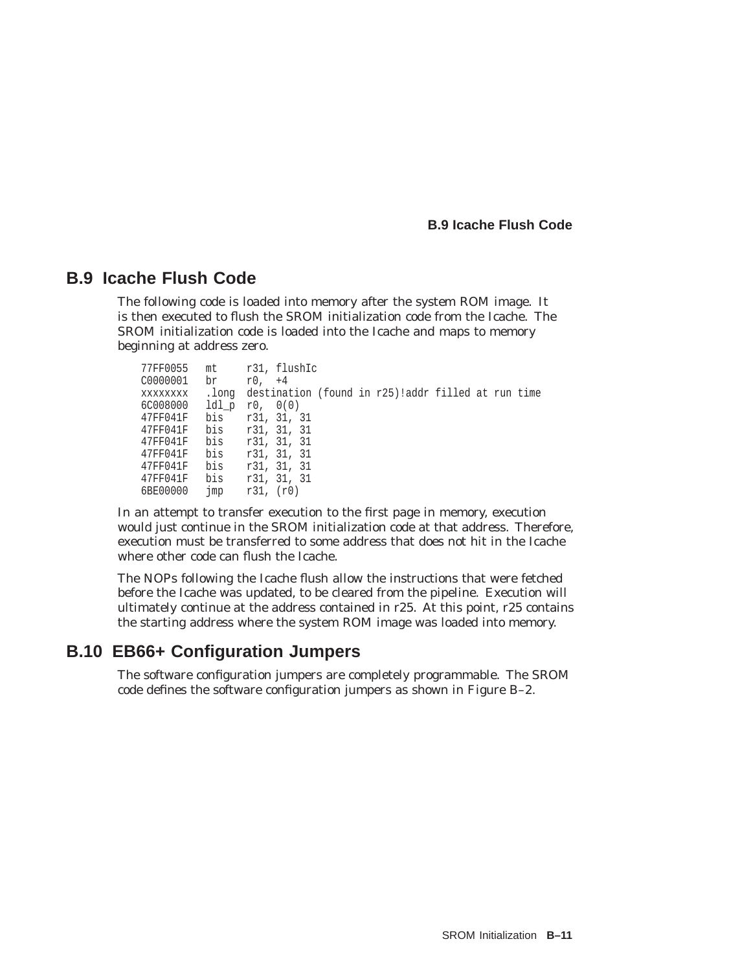**B.9 Icache Flush Code**

## **B.9 Icache Flush Code**

The following code is loaded into memory after the system ROM image. It is then executed to flush the SROM initialization code from the Icache. The SROM initialization code is loaded into the Icache and maps to memory beginning at address zero.

```
77FF0055 mt r31, flushIc<br>C0000001 br r0, +4
              r0, +4xxxxxxxx .long destination (found in r25)!addr filled at run time
6C008000 ldl_p r0, 0(0)
47FF041F bis r31, 31, 31
47FF041F bis r31, 31, 31
47FF041F bis r31, 31, 31
47FF041F bis r31, 31, 31
47FF041F bis r31, 31, 31
47FF041F bis r31, 31, 31
6BE00000 jmp r31, (r0)
```
In an attempt to transfer execution to the first page in memory, execution would just continue in the SROM initialization code at that address. Therefore, execution must be transferred to some address that does not hit in the Icache where other code can flush the Icache.

The NOPs following the Icache flush allow the instructions that were fetched before the Icache was updated, to be cleared from the pipeline. Execution will ultimately continue at the address contained in r25. At this point, r25 contains the starting address where the system ROM image was loaded into memory.

## **B.10 EB66+ Configuration Jumpers**

The software configuration jumpers are completely programmable. The SROM code defines the software configuration jumpers as shown in Figure B–2.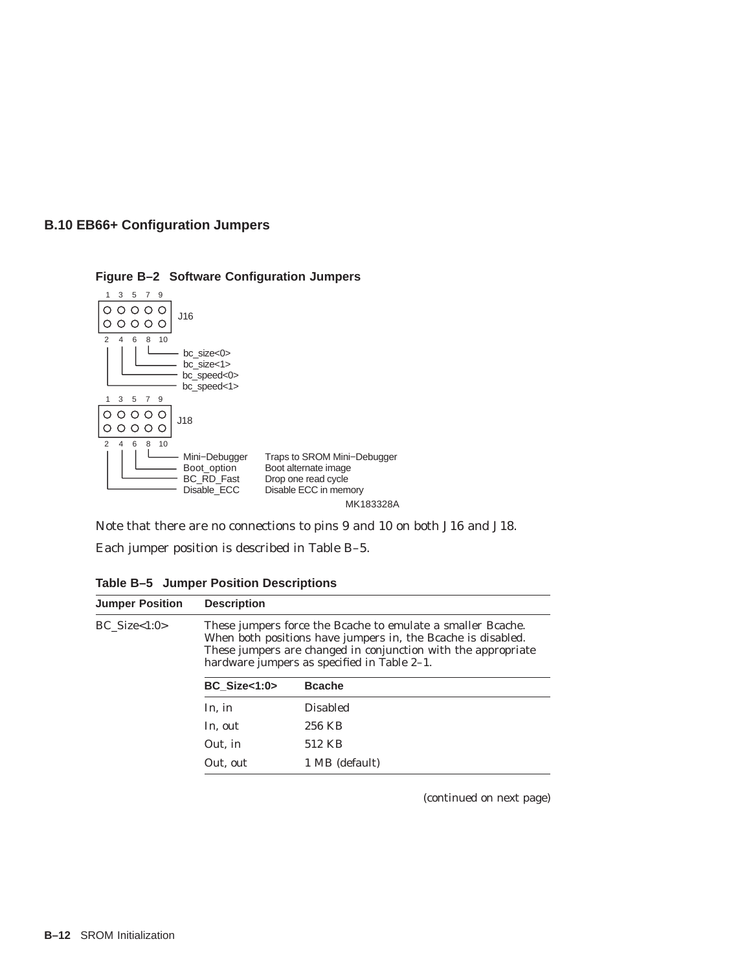



**Figure B–2 Software Configuration Jumpers**

Note that there are no connections to pins 9 and 10 on both J16 and J18.

Each jumper position is described in Table B–5.

**Table B–5 Jumper Position Descriptions**

| <b>Jumper Position</b> | <b>Description</b>                                                                                                                                                                                                                          |                 |  |  |
|------------------------|---------------------------------------------------------------------------------------------------------------------------------------------------------------------------------------------------------------------------------------------|-----------------|--|--|
| $BC\_Size < 1:0>$      | These jumpers force the Bcache to emulate a smaller Bcache.<br>When both positions have jumpers in, the Bcache is disabled.<br>These jumpers are changed in conjunction with the appropriate<br>hardware jumpers as specified in Table 2–1. |                 |  |  |
|                        | BC Size $<$ 1:0 $>$                                                                                                                                                                                                                         | <b>Bcache</b>   |  |  |
|                        | In, in                                                                                                                                                                                                                                      | <b>Disabled</b> |  |  |
|                        | In, out                                                                                                                                                                                                                                     | 256 KB          |  |  |
|                        | Out, in                                                                                                                                                                                                                                     | 512 KB          |  |  |
|                        | Out, out                                                                                                                                                                                                                                    | 1 MB (default)  |  |  |
|                        |                                                                                                                                                                                                                                             |                 |  |  |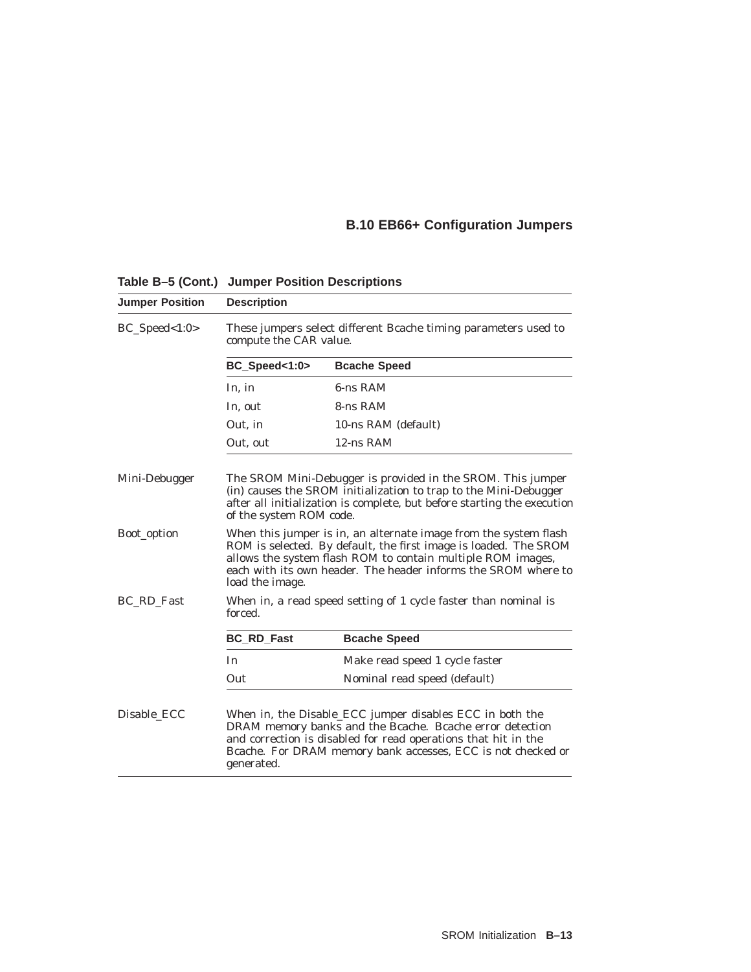## **B.10 EB66+ Configuration Jumpers**

| <b>Jumper Position</b> | <b>Description</b>                                                                                                                                                                                                                                                                       |                                                                                                                                                                                                                                                        |  |  |
|------------------------|------------------------------------------------------------------------------------------------------------------------------------------------------------------------------------------------------------------------------------------------------------------------------------------|--------------------------------------------------------------------------------------------------------------------------------------------------------------------------------------------------------------------------------------------------------|--|--|
| $BC\_Speed < 1:0>$     | compute the CAR value.                                                                                                                                                                                                                                                                   | These jumpers select different Bcache timing parameters used to                                                                                                                                                                                        |  |  |
|                        | BC_Speed<1:0>                                                                                                                                                                                                                                                                            | <b>Bcache Speed</b>                                                                                                                                                                                                                                    |  |  |
|                        | In, in                                                                                                                                                                                                                                                                                   | 6-ns RAM                                                                                                                                                                                                                                               |  |  |
|                        | In, out                                                                                                                                                                                                                                                                                  | 8-ns RAM                                                                                                                                                                                                                                               |  |  |
|                        | Out. in                                                                                                                                                                                                                                                                                  | 10-ns RAM (default)                                                                                                                                                                                                                                    |  |  |
|                        | Out, out                                                                                                                                                                                                                                                                                 | 12-ns RAM                                                                                                                                                                                                                                              |  |  |
| Mini-Debugger          | The SROM Mini-Debugger is provided in the SROM. This jumper<br>(in) causes the SROM initialization to trap to the Mini-Debugger<br>after all initialization is complete, but before starting the execution<br>of the system ROM code.                                                    |                                                                                                                                                                                                                                                        |  |  |
| Boot_option            | When this jumper is in, an alternate image from the system flash<br>ROM is selected. By default, the first image is loaded. The SROM<br>allows the system flash ROM to contain multiple ROM images,<br>each with its own header. The header informs the SROM where to<br>load the image. |                                                                                                                                                                                                                                                        |  |  |
| BC RD Fast             | When in, a read speed setting of 1 cycle faster than nominal is<br>forced.                                                                                                                                                                                                               |                                                                                                                                                                                                                                                        |  |  |
|                        | <b>BC_RD_Fast</b>                                                                                                                                                                                                                                                                        | <b>Bcache Speed</b>                                                                                                                                                                                                                                    |  |  |
|                        | In                                                                                                                                                                                                                                                                                       | Make read speed 1 cycle faster                                                                                                                                                                                                                         |  |  |
|                        | Out                                                                                                                                                                                                                                                                                      | Nominal read speed (default)                                                                                                                                                                                                                           |  |  |
| Disable_ECC            | generated.                                                                                                                                                                                                                                                                               | When in, the Disable_ECC jumper disables ECC in both the<br>DRAM memory banks and the Bcache. Bcache error detection<br>and correction is disabled for read operations that hit in the<br>Bcache. For DRAM memory bank accesses, ECC is not checked or |  |  |

**Table B–5 (Cont.) Jumper Position Descriptions**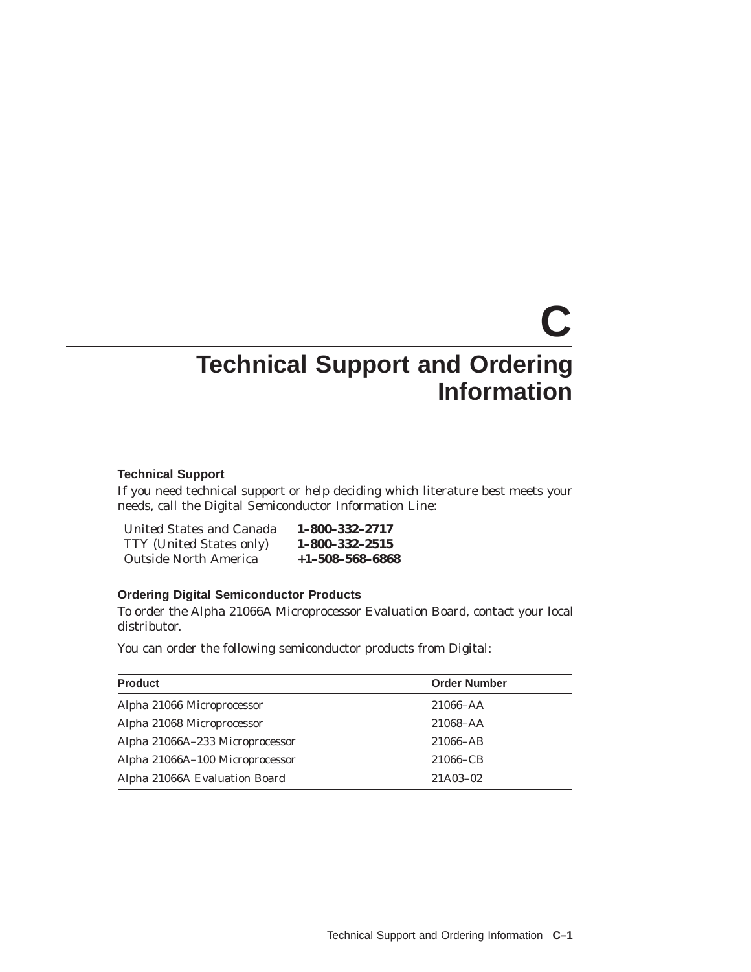# **C Technical Support and Ordering Information**

#### **Technical Support**

If you need technical support or help deciding which literature best meets your needs, call the Digital Semiconductor Information Line:

| <b>United States and Canada</b> | 1-800-332-2717          |
|---------------------------------|-------------------------|
| <b>TTY</b> (United States only) | $1 - 800 - 332 - 2515$  |
| <b>Outside North America</b>    | $+1 - 508 - 568 - 6868$ |

#### **Ordering Digital Semiconductor Products**

To order the Alpha 21066A Microprocessor Evaluation Board, contact your local distributor.

You can order the following semiconductor products from Digital:

| <b>Product</b>                  | <b>Order Number</b> |
|---------------------------------|---------------------|
| Alpha 21066 Microprocessor      | $21066 - AA$        |
| Alpha 21068 Microprocessor      | 21068-AA            |
| Alpha 21066A-233 Microprocessor | 21066-AB            |
| Alpha 21066A-100 Microprocessor | 21066–CB            |
| Alpha 21066A Evaluation Board   | 21A03-02            |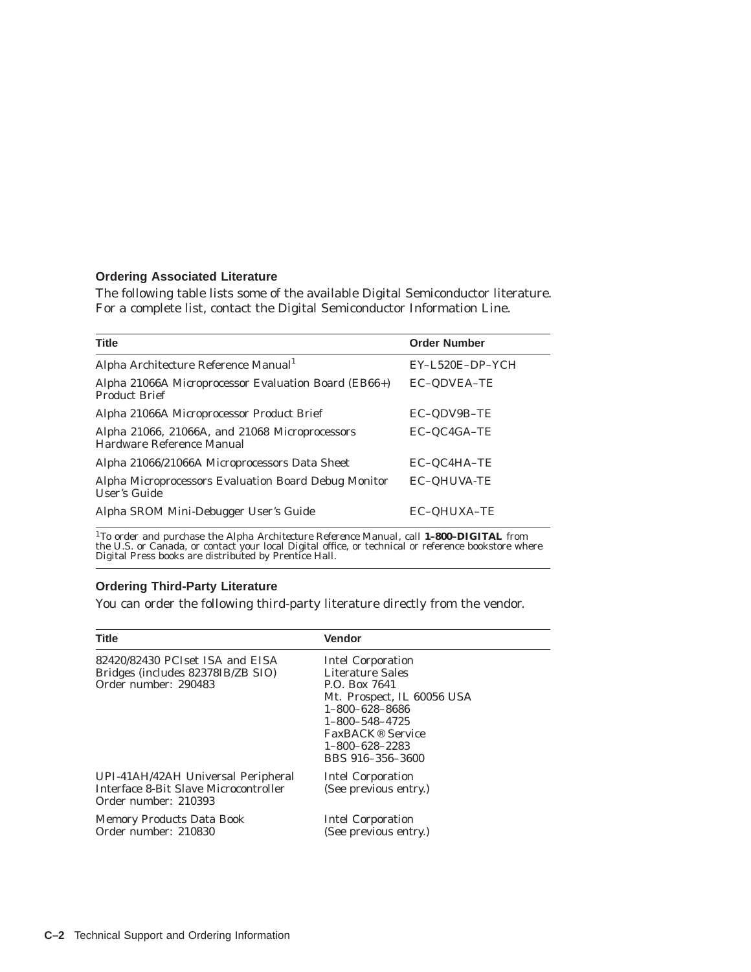#### **Ordering Associated Literature**

The following table lists some of the available Digital Semiconductor literature. For a complete list, contact the Digital Semiconductor Information Line.

| <b>Title</b>                                                                 | <b>Order Number</b> |
|------------------------------------------------------------------------------|---------------------|
| Alpha Architecture Reference Manual <sup>1</sup>                             | EY-L520E-DP-YCH     |
| Alpha 21066A Microprocessor Evaluation Board (EB66+)<br><b>Product Brief</b> | <b>EC-QDVEA-TE</b>  |
| Alpha 21066A Microprocessor Product Brief                                    | EC-QDV9B-TE         |
| Alpha 21066, 21066A, and 21068 Microprocessors<br>Hardware Reference Manual  | EC-QC4GA-TE         |
| Alpha 21066/21066A Microprocessors Data Sheet                                | EC-QC4HA-TE         |
| Alpha Microprocessors Evaluation Board Debug Monitor<br><b>User's Guide</b>  | <b>EC-QHUVA-TE</b>  |
| Alpha SROM Mini-Debugger User's Guide                                        | <b>EC-QHUXA-TE</b>  |

<sup>1</sup>To order and purchase the *Alpha Architecture Reference Manual*, call **1-800-DIGITAL** from<br>the U.S. or Canada, or contact your local Digital office, or technical or reference bookstore where<br>Digital Press books are dis

#### **Ordering Third-Party Literature**

You can order the following third-party literature directly from the vendor.

| <b>Title</b>                                                                                        | <b>Vendor</b>                                                                                                                                                                                                                 |
|-----------------------------------------------------------------------------------------------------|-------------------------------------------------------------------------------------------------------------------------------------------------------------------------------------------------------------------------------|
| 82420/82430 PCIset ISA and EISA<br>Bridges (includes 82378IB/ZB SIO)<br>Order number: 290483        | <b>Intel Corporation</b><br>Literature Sales<br>P.O. Box 7641<br>Mt. Prospect, IL 60056 USA<br>$1 - 800 - 628 - 8686$<br>$1 - 800 - 548 - 4725$<br>FaxBACK <sup>®</sup> Service<br>$1 - 800 - 628 - 2283$<br>BBS 916-356-3600 |
| UPI-41AH/42AH Universal Peripheral<br>Interface 8-Bit Slave Microcontroller<br>Order number: 210393 | <b>Intel Corporation</b><br>(See previous entry.)                                                                                                                                                                             |
| <b>Memory Products Data Book</b><br>Order number: 210830                                            | <b>Intel Corporation</b><br>(See previous entry.)                                                                                                                                                                             |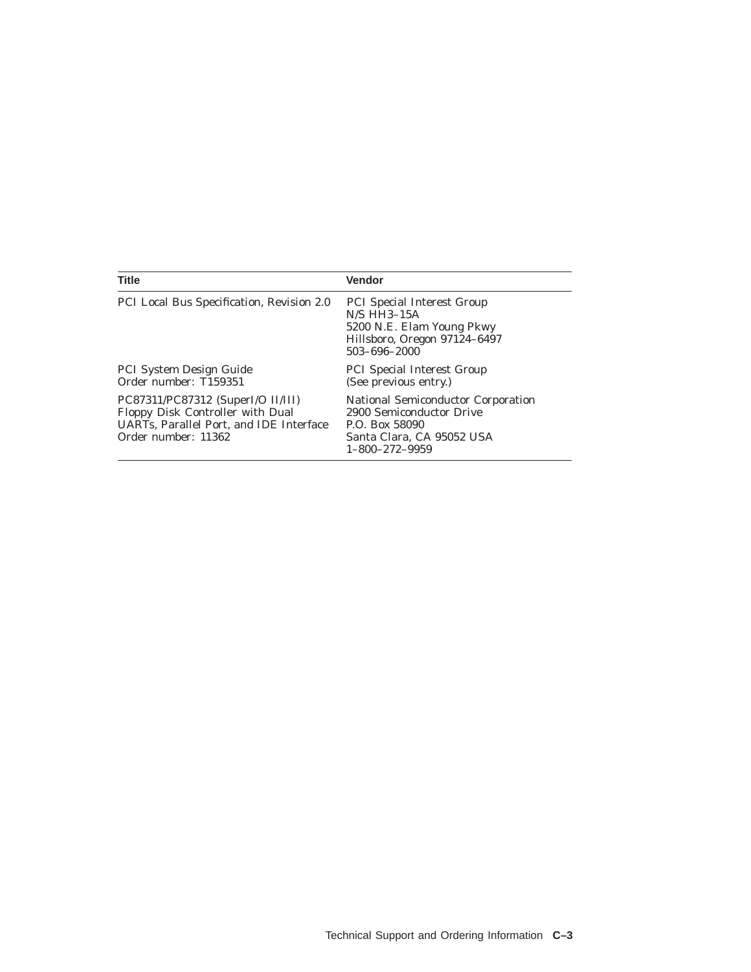| <b>Title</b>                                                                                                                            | <b>Vendor</b>                                                                                                                           |
|-----------------------------------------------------------------------------------------------------------------------------------------|-----------------------------------------------------------------------------------------------------------------------------------------|
| PCI Local Bus Specification, Revision 2.0                                                                                               | <b>PCI</b> Special Interest Group<br>$N/S$ HH3-15A<br>5200 N.E. Elam Young Pkwy<br>Hillsboro, Oregon 97124-6497<br>503-696-2000         |
| <b>PCI System Design Guide</b><br>Order number: T159351                                                                                 | <b>PCI</b> Special Interest Group<br>(See previous entry.)                                                                              |
| PC87311/PC87312 (SuperI/O II/III)<br>Floppy Disk Controller with Dual<br>UARTs, Parallel Port, and IDE Interface<br>Order number: 11362 | National Semiconductor Corporation<br>2900 Semiconductor Drive<br>P.O. Box 58090<br>Santa Clara, CA 95052 USA<br>$1 - 800 - 272 - 9959$ |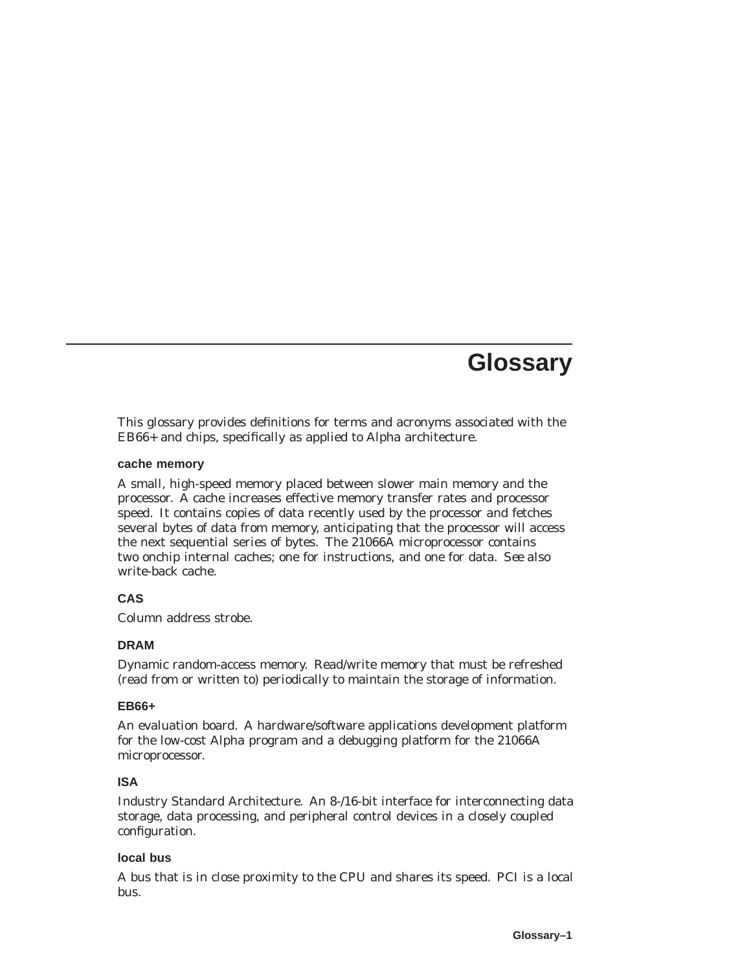# **Glossary**

This glossary provides definitions for terms and acronyms associated with the EB66+ and chips, specifically as applied to Alpha architecture.

#### **cache memory**

A small, high-speed memory placed between slower main memory and the processor. A cache increases effective memory transfer rates and processor speed. It contains copies of data recently used by the processor and fetches several bytes of data from memory, anticipating that the processor will access the next sequential series of bytes. The 21066A microprocessor contains two onchip internal caches; one for instructions, and one for data. *See also* write-back cache.

### **CAS**

Column address strobe.

### **DRAM**

Dynamic random-access memory. Read/write memory that must be refreshed (read from or written to) periodically to maintain the storage of information.

### **EB66+**

An evaluation board. A hardware/software applications development platform for the low-cost Alpha program and a debugging platform for the 21066A microprocessor.

### **ISA**

Industry Standard Architecture. An 8-/16-bit interface for interconnecting data storage, data processing, and peripheral control devices in a closely coupled configuration.

#### **local bus**

A bus that is in close proximity to the CPU and shares its speed. PCI is a local bus.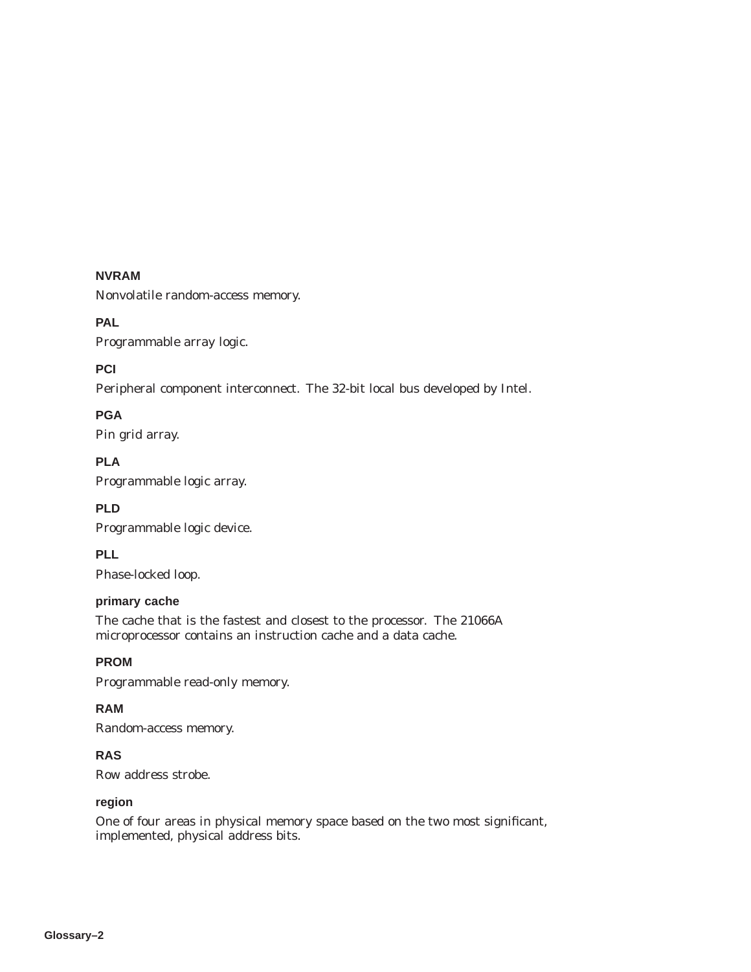#### **NVRAM**

Nonvolatile random-access memory.

#### **PAL**

Programmable array logic.

#### **PCI**

Peripheral component interconnect. The 32-bit local bus developed by Intel.

### **PGA**

Pin grid array.

**PLA** Programmable logic array.

## **PLD**

Programmable logic device.

### **PLL**

Phase-locked loop.

### **primary cache**

The cache that is the fastest and closest to the processor. The 21066A microprocessor contains an instruction cache and a data cache.

#### **PROM**

Programmable read-only memory.

## **RAM**

Random-access memory.

#### **RAS**

Row address strobe.

#### **region**

One of four areas in physical memory space based on the two most significant, implemented, physical address bits.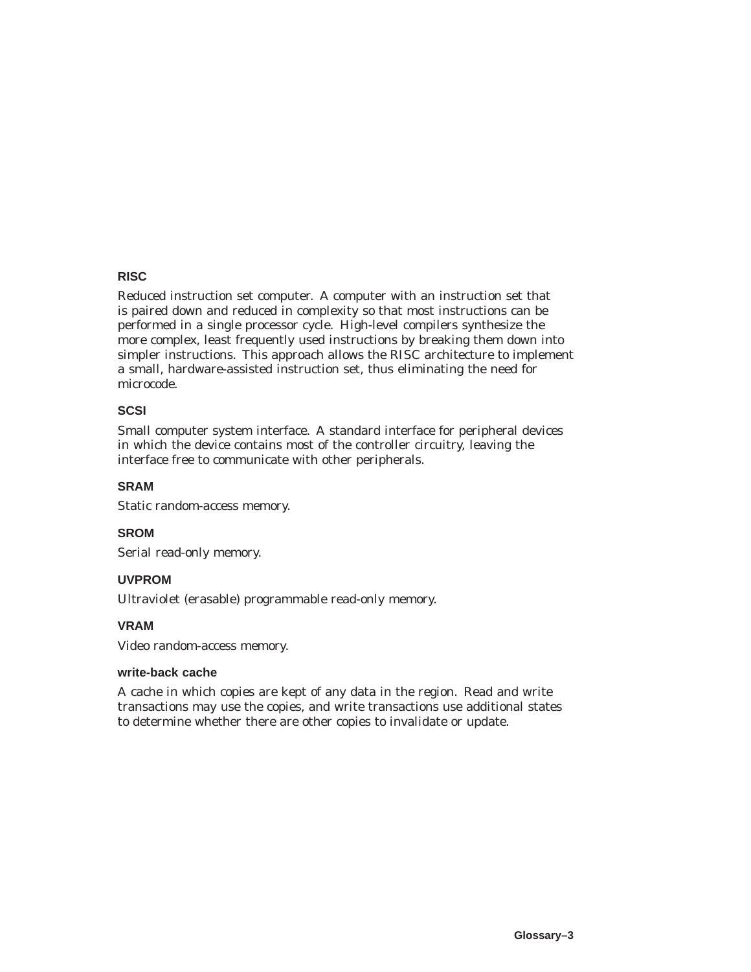#### **RISC**

Reduced instruction set computer. A computer with an instruction set that is paired down and reduced in complexity so that most instructions can be performed in a single processor cycle. High-level compilers synthesize the more complex, least frequently used instructions by breaking them down into simpler instructions. This approach allows the RISC architecture to implement a small, hardware-assisted instruction set, thus eliminating the need for microcode.

#### **SCSI**

Small computer system interface. A standard interface for peripheral devices in which the device contains most of the controller circuitry, leaving the interface free to communicate with other peripherals.

#### **SRAM**

Static random-access memory.

#### **SROM**

Serial read-only memory.

#### **UVPROM**

Ultraviolet (erasable) programmable read-only memory.

#### **VRAM**

Video random-access memory.

#### **write-back cache**

A cache in which copies are kept of any data in the region. Read and write transactions may use the copies, and write transactions use additional states to determine whether there are other copies to invalidate or update.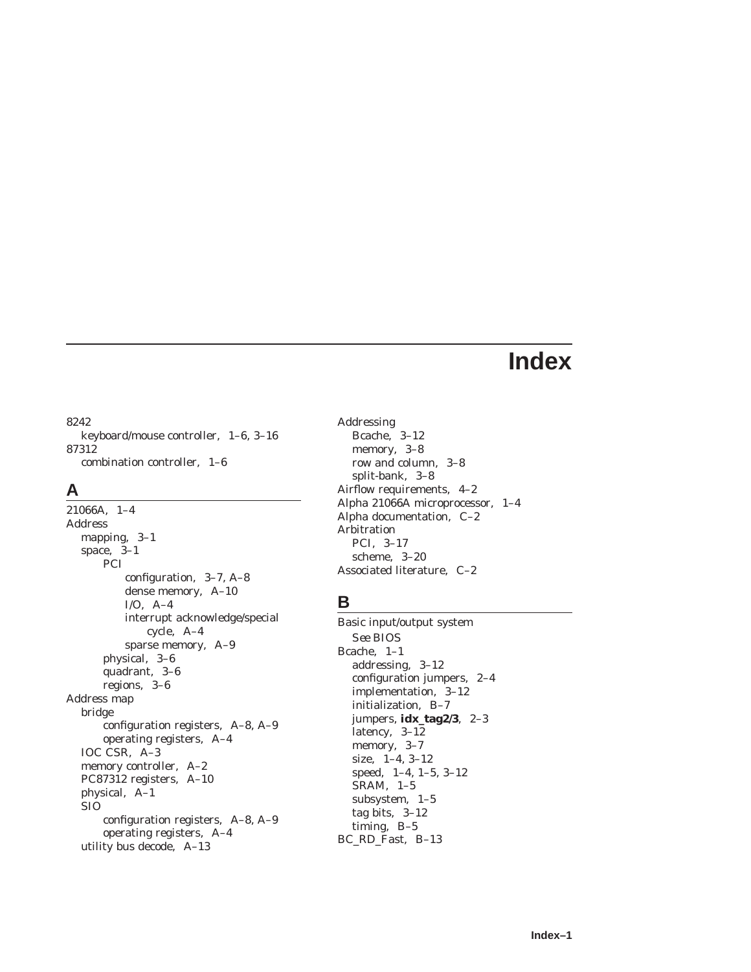# **Index**

#### 8242

keyboard/mouse controller, 1–6, 3–16 87312 combination controller, 1–6

## **A**

21066A, 1–4 Address mapping, 3–1 space, 3–1 PCI configuration, 3–7, A–8 dense memory, A–10 I/O, A–4 interrupt acknowledge/special cycle, A–4 sparse memory, A–9 physical, 3–6 quadrant, 3–6 regions, 3–6 Address map bridge configuration registers, A–8, A–9 operating registers, A–4 IOC CSR, A–3 memory controller, A–2 PC87312 registers, A–10 physical, A–1 SIO configuration registers, A–8, A–9 operating registers, A–4 utility bus decode, A–13

Addressing Bcache, 3–12 memory, 3–8 row and column, 3–8 split-bank, 3–8 Airflow requirements, 4–2 Alpha 21066A microprocessor, 1–4 Alpha documentation, C–2 Arbitration PCI, 3–17 scheme, 3–20 Associated literature, C–2

## **B**

Basic input/output system *See* BIOS Bcache, 1–1 addressing, 3–12 configuration jumpers, 2–4 implementation, 3–12 initialization, B–7 jumpers, **idx\_tag2/3**, 2–3 latency, 3–12 memory, 3–7 size, 1–4, 3–12 speed, 1–4, 1–5, 3–12 SRAM, 1–5 subsystem, 1–5 tag bits, 3–12 timing, B–5 BC\_RD\_Fast, B–13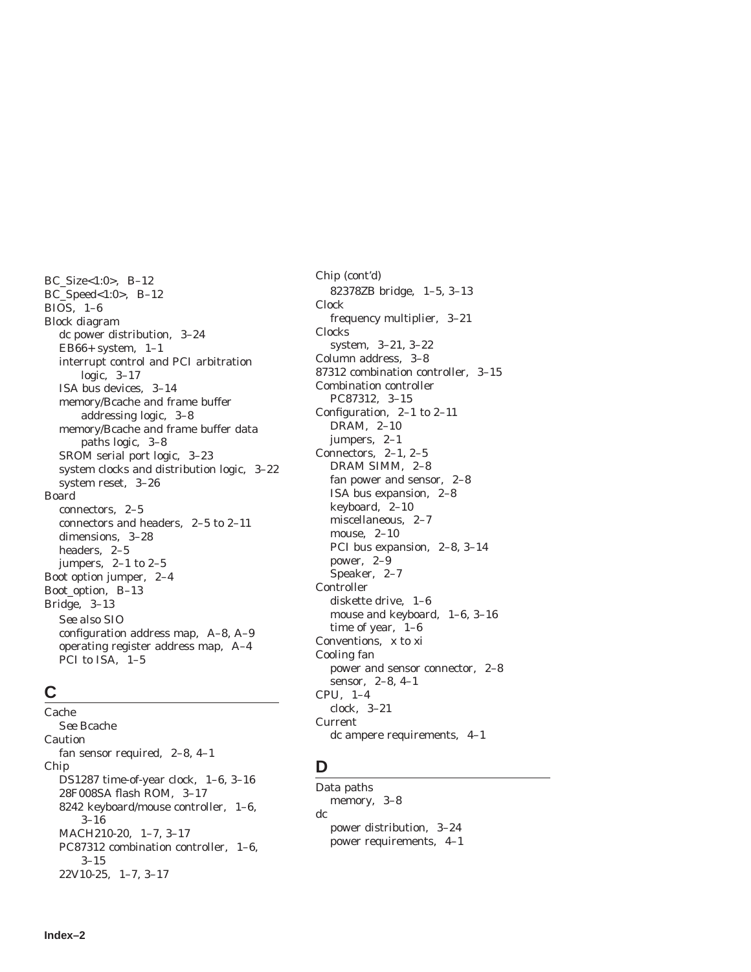BC\_Size<1:0>, B–12 BC\_Speed<1:0>, B–12 BIOS, 1–6 Block diagram dc power distribution, 3–24 EB66+ system,  $1-1$ interrupt control and PCI arbitration logic, 3–17 ISA bus devices, 3–14 memory/Bcache and frame buffer addressing logic, 3–8 memory/Bcache and frame buffer data paths logic, 3–8 SROM serial port logic, 3–23 system clocks and distribution logic, 3–22 system reset, 3–26 Board connectors, 2–5 connectors and headers, 2–5 to 2–11 dimensions, 3–28 headers, 2–5 jumpers, 2–1 to 2–5 Boot option jumper, 2–4 Boot\_option, B–13 Bridge, 3–13 *See also* SIO configuration address map, A–8, A–9 operating register address map, A–4 PCI to ISA, 1–5

## **C**

Cache *See* Bcache Caution fan sensor required, 2–8, 4–1 Chip DS1287 time-of-year clock, 1–6, 3–16 28F008SA flash ROM, 3–17 8242 keyboard/mouse controller, 1–6, 3–16 MACH210-20, 1–7, 3–17 PC87312 combination controller, 1–6, 3–15 22V10-25, 1–7, 3–17

Chip (cont'd) 82378ZB bridge, 1–5, 3–13 Clock frequency multiplier, 3–21 Clocks system, 3–21, 3–22 Column address, 3–8 87312 combination controller, 3–15 Combination controller PC87312, 3–15 Configuration, 2–1 to 2–11 DRAM, 2–10 jumpers, 2–1 Connectors, 2–1, 2–5 DRAM SIMM, 2–8 fan power and sensor, 2–8 ISA bus expansion, 2–8 keyboard, 2–10 miscellaneous, 2–7 mouse, 2–10 PCI bus expansion, 2–8, 3–14 power, 2–9 Speaker, 2–7 Controller diskette drive, 1–6 mouse and keyboard, 1–6, 3–16 time of year, 1–6 Conventions, x to xi Cooling fan power and sensor connector, 2–8 sensor, 2–8, 4–1 CPU, 1–4 clock, 3–21 Current dc ampere requirements, 4–1

## **D**

Data paths memory, 3–8 dc power distribution, 3–24 power requirements, 4–1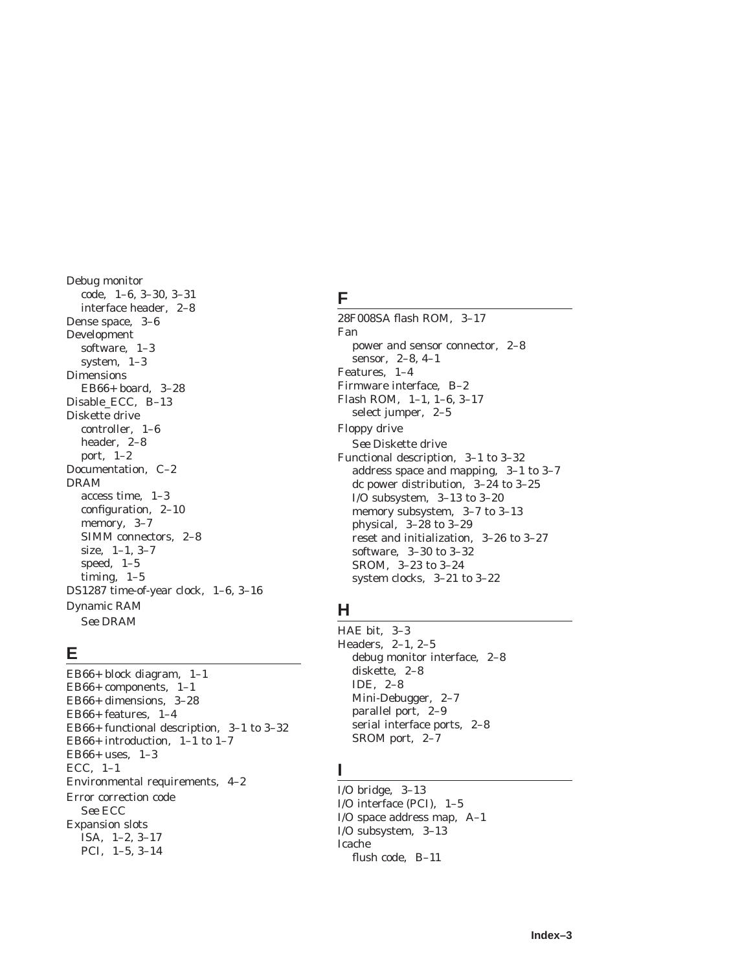Debug monitor code, 1–6, 3–30, 3–31 interface header, 2–8 Dense space, 3–6 Development software, 1–3 system, 1–3 Dimensions EB66+ board, 3–28 Disable\_ECC, B–13 Diskette drive controller, 1–6 header, 2–8 port, 1–2 Documentation, C–2 DRAM access time, 1–3 configuration, 2–10 memory, 3–7 SIMM connectors, 2–8 size, 1–1, 3–7 speed, 1–5 timing, 1–5 DS1287 time-of-year clock, 1–6, 3–16 Dynamic RAM *See* DRAM

#### **E**

EB66+ block diagram, 1–1 EB66+ components, 1–1 EB66+ dimensions, 3–28 EB66+ features, 1–4 EB66+ functional description, 3–1 to 3–32 EB66+ introduction, 1–1 to 1–7 EB66+ uses, 1–3 ECC, 1–1 Environmental requirements, 4–2 Error correction code *See* ECC Expansion slots ISA, 1–2, 3–17 PCI, 1–5, 3–14

# **F**

28F008SA flash ROM, 3–17 Fan power and sensor connector, 2–8 sensor, 2–8, 4–1 Features, 1–4 Firmware interface, B–2 Flash ROM, 1–1, 1–6, 3–17 select jumper, 2–5 Floppy drive *See* Diskette drive Functional description, 3–1 to 3–32 address space and mapping, 3–1 to 3–7 dc power distribution, 3–24 to 3–25 I/O subsystem, 3–13 to 3–20 memory subsystem, 3–7 to 3–13 physical, 3–28 to 3–29 reset and initialization, 3–26 to 3–27 software, 3–30 to 3–32 SROM, 3–23 to 3–24 system clocks, 3–21 to 3–22

## **H**

HAE bit, 3–3 Headers, 2–1, 2–5 debug monitor interface, 2–8 diskette, 2–8 IDE, 2–8 Mini-Debugger, 2–7 parallel port, 2–9 serial interface ports, 2–8 SROM port, 2–7

### **I**

I/O bridge, 3–13 I/O interface (PCI), 1–5 I/O space address map, A–1 I/O subsystem, 3–13 Icache flush code, B–11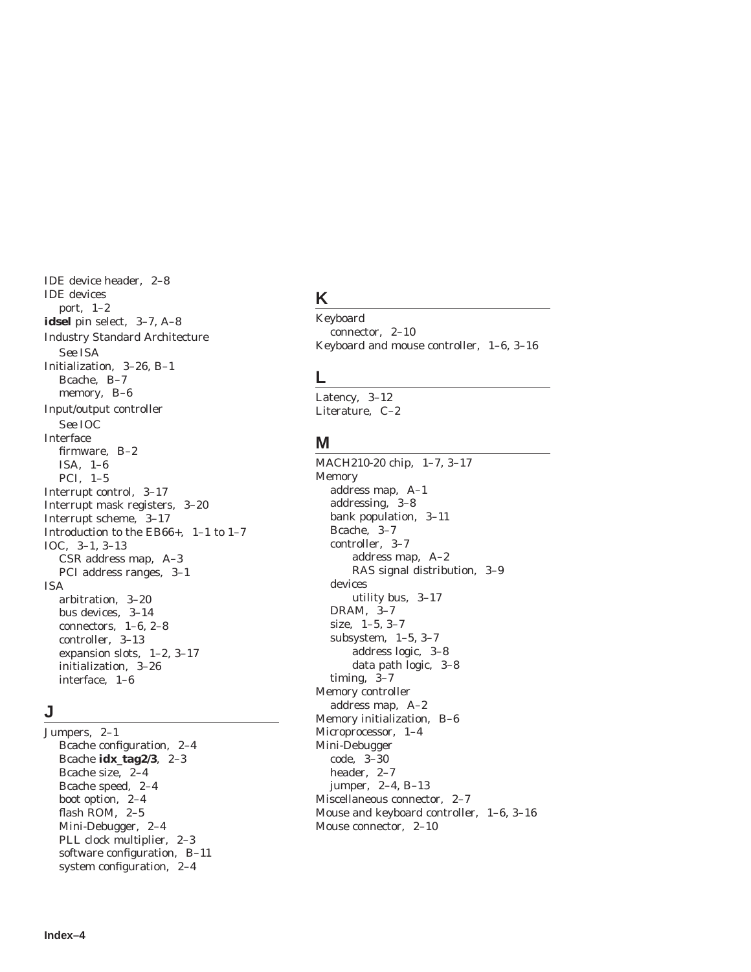IDE device header, 2–8 IDE devices port, 1–2 **idsel** pin select, 3–7, A–8 Industry Standard Architecture *See* ISA Initialization, 3–26, B–1 Bcache, B–7 memory, B–6 Input/output controller *See* IOC Interface firmware, B–2 ISA, 1–6 PCI, 1–5 Interrupt control, 3–17 Interrupt mask registers, 3–20 Interrupt scheme, 3–17 Introduction to the EB66+, 1–1 to 1–7 IOC, 3–1, 3–13 CSR address map, A–3 PCI address ranges, 3–1 ISA arbitration, 3–20 bus devices, 3–14 connectors, 1–6, 2–8 controller, 3–13 expansion slots, 1–2, 3–17 initialization, 3–26 interface, 1–6

### **J**

Jumpers, 2–1 Bcache configuration, 2–4 Bcache **idx\_tag2/3**, 2–3 Bcache size, 2–4 Bcache speed, 2–4 boot option, 2–4 flash ROM, 2–5 Mini-Debugger, 2–4 PLL clock multiplier, 2–3 software configuration, B–11 system configuration, 2–4

# **K**

Keyboard connector, 2–10 Keyboard and mouse controller, 1–6, 3–16

#### **L**

Latency, 3–12 Literature, C–2

#### **M**

MACH210-20 chip, 1–7, 3–17 Memory address map, A–1 addressing, 3–8 bank population, 3–11 Bcache, 3–7 controller, 3–7 address map, A–2 RAS signal distribution, 3–9 devices utility bus, 3–17 DRAM, 3–7 size, 1–5, 3–7 subsystem, 1–5, 3–7 address logic, 3–8 data path logic, 3–8 timing, 3–7 Memory controller address map, A–2 Memory initialization, B–6 Microprocessor, 1–4 Mini-Debugger code, 3–30 header, 2–7 jumper, 2–4, B–13 Miscellaneous connector, 2–7 Mouse and keyboard controller, 1–6, 3–16 Mouse connector, 2–10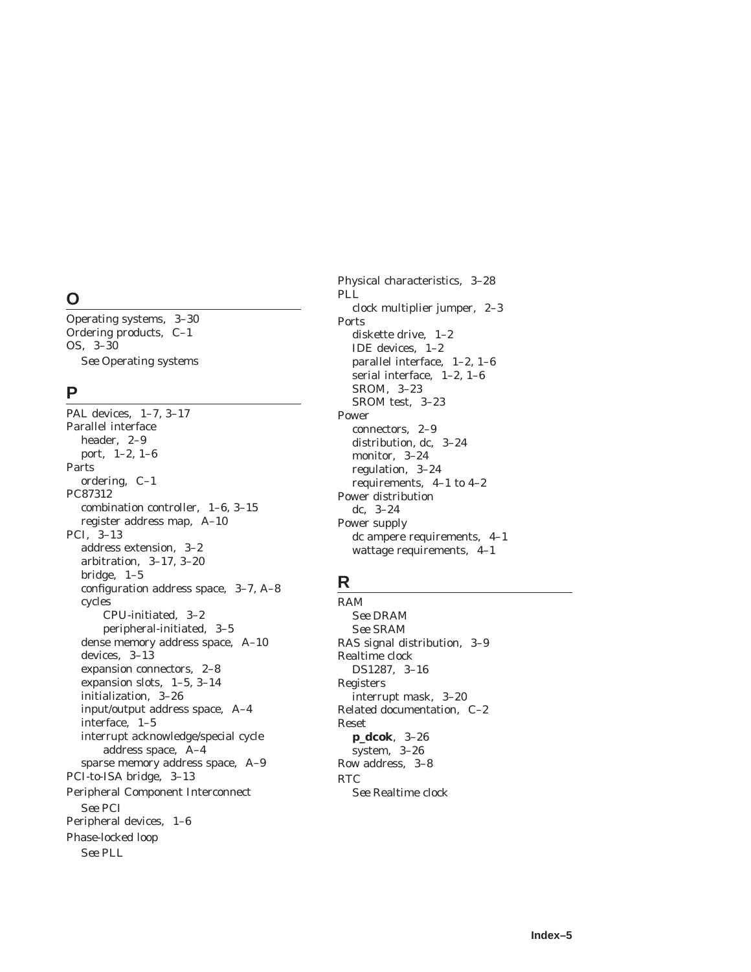# **O**

Operating systems, 3–30 Ordering products, C–1 OS, 3–30 *See* Operating systems

#### **P**

PAL devices, 1–7, 3–17 Parallel interface header, 2–9 port, 1–2, 1–6 Parts ordering, C–1 PC87312 combination controller, 1–6, 3–15 register address map, A–10 PCI, 3–13 address extension, 3–2 arbitration, 3–17, 3–20 bridge, 1–5 configuration address space, 3–7, A–8 cycles CPU-initiated, 3–2 peripheral-initiated, 3–5 dense memory address space, A–10 devices, 3–13 expansion connectors, 2–8 expansion slots, 1–5, 3–14 initialization, 3–26 input/output address space, A–4 interface, 1–5 interrupt acknowledge/special cycle address space, A–4 sparse memory address space, A–9 PCI-to-ISA bridge, 3–13 Peripheral Component Interconnect *See* PCI Peripheral devices, 1–6 Phase-locked loop *See* PLL

Physical characteristics, 3–28 PLL clock multiplier jumper, 2–3 Ports diskette drive, 1–2 IDE devices, 1–2 parallel interface, 1–2, 1–6 serial interface, 1–2, 1–6 SROM, 3–23 SROM test, 3–23 Power connectors, 2–9 distribution, dc, 3–24 monitor, 3–24 regulation, 3–24 requirements, 4–1 to 4–2 Power distribution dc, 3–24 Power supply dc ampere requirements, 4–1 wattage requirements, 4–1

# **R**

RAM *See* DRAM *See* SRAM RAS signal distribution, 3–9 Realtime clock DS1287, 3–16 Registers interrupt mask, 3–20 Related documentation, C–2 Reset **p\_dcok**, 3–26 system, 3–26 Row address, 3–8 RTC *See* Realtime clock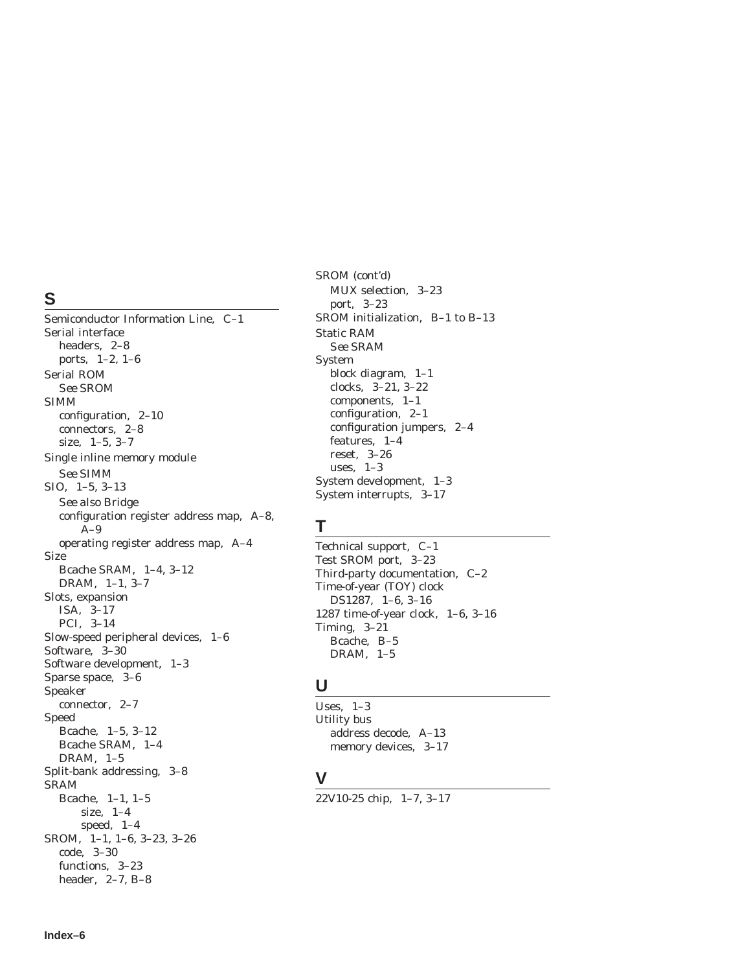## **S**

Semiconductor Information Line, C–1 Serial interface headers, 2–8 ports, 1–2, 1–6 Serial ROM *See* SROM SIMM configuration, 2–10 connectors, 2–8 size, 1–5, 3–7 Single inline memory module *See* SIMM SIO, 1–5, 3–13 *See also* Bridge configuration register address map, A–8,  $A-9$ operating register address map, A–4 Size Bcache SRAM, 1–4, 3–12 DRAM, 1–1, 3–7 Slots, expansion ISA, 3–17 PCI, 3–14 Slow-speed peripheral devices, 1–6 Software, 3–30 Software development, 1–3 Sparse space, 3–6 Speaker connector, 2–7 Speed Bcache, 1–5, 3–12 Bcache SRAM, 1–4 DRAM, 1–5 Split-bank addressing, 3–8 SRAM Bcache, 1–1, 1–5 size, 1–4 speed, 1–4 SROM, 1–1, 1–6, 3–23, 3–26 code, 3–30 functions, 3–23 header, 2–7, B–8

SROM (cont'd) MUX selection, 3–23 port, 3–23 SROM initialization, B–1 to B–13 Static RAM *See* SRAM System block diagram, 1–1 clocks, 3–21, 3–22 components, 1–1 configuration, 2–1 configuration jumpers, 2–4 features, 1–4 reset, 3–26 uses, 1–3 System development, 1–3 System interrupts, 3–17

### **T**

Technical support, C–1 Test SROM port, 3–23 Third-party documentation, C–2 Time-of-year (TOY) clock DS1287, 1–6, 3–16 1287 time-of-year clock, 1–6, 3–16 Timing, 3–21 Bcache, B–5 DRAM, 1–5

#### **U**

Uses, 1–3 Utility bus address decode, A–13 memory devices, 3–17

# **V**

22V10-25 chip, 1–7, 3–17